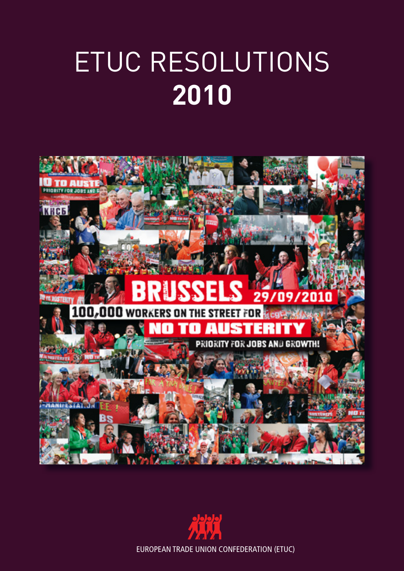# etuc Resolutions **2010**



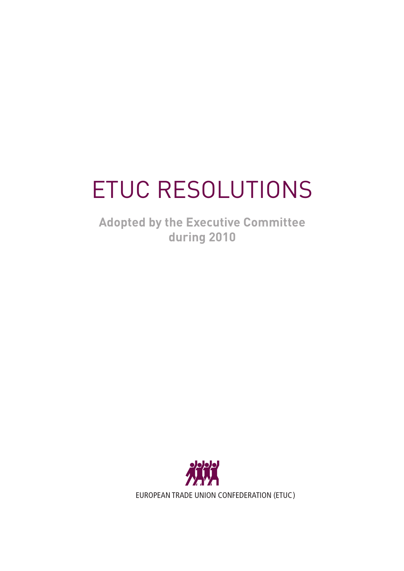# Etuc Resolutions

**Adopted by the Executive Committee during 2010**

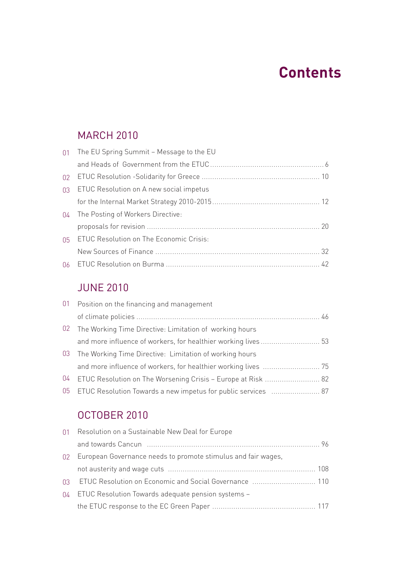## **Contents**

## **MARCH 2010**

|    | 01 The EU Spring Summit - Message to the EU |  |
|----|---------------------------------------------|--|
|    |                                             |  |
|    |                                             |  |
|    | 03 ETUC Resolution on A new social impetus  |  |
|    |                                             |  |
| 04 | The Posting of Workers Directive:           |  |
|    |                                             |  |
|    | 05 ETUC Resolution on The Economic Crisis:  |  |
|    |                                             |  |
|    |                                             |  |

### JUne 2010

|    | 01 Position on the financing and management                      |  |
|----|------------------------------------------------------------------|--|
|    |                                                                  |  |
|    | 02 The Working Time Directive: Limitation of working hours       |  |
|    |                                                                  |  |
|    | 03 The Working Time Directive: Limitation of working hours       |  |
|    |                                                                  |  |
| 04 | ETUC Resolution on The Worsening Crisis – Europe at Risk  82     |  |
|    | 05 ETUC Resolution Towards a new impetus for public services  87 |  |

## October 2010

|          | 01 Resolution on a Sustainable New Deal for Europe            |  |
|----------|---------------------------------------------------------------|--|
|          |                                                               |  |
| $\Omega$ | European Governance needs to promote stimulus and fair wages, |  |
|          |                                                               |  |
|          | 03 ETUC Resolution on Economic and Social Governance  110     |  |
| $\Omega$ | ETUC Resolution Towards adequate pension systems -            |  |
|          |                                                               |  |
|          |                                                               |  |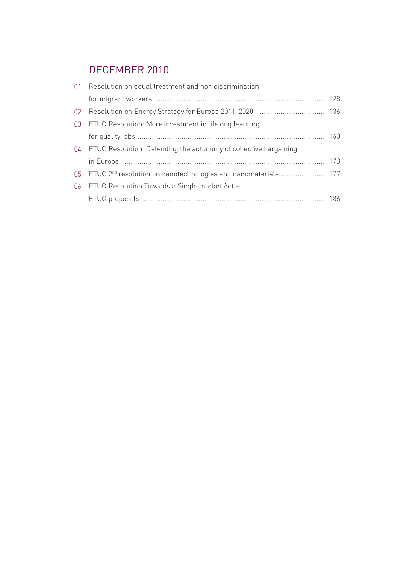## december 2010

|                 | 01 Resolution on equal treatment and non discrimination                       |  |
|-----------------|-------------------------------------------------------------------------------|--|
|                 |                                                                               |  |
| 02 <sup>°</sup> |                                                                               |  |
|                 | 03 ETUC Resolution: More investment in lifelong learning                      |  |
|                 |                                                                               |  |
|                 | 04 ETUC Resolution (Defending the autonomy of collective bargaining           |  |
|                 |                                                                               |  |
|                 | 05 ETUC 2 <sup>nd</sup> resolution on nanotechnologies and nanomaterials  177 |  |
| 06 <sub>1</sub> | ETUC Resolution Towards a Single market Act –                                 |  |
|                 |                                                                               |  |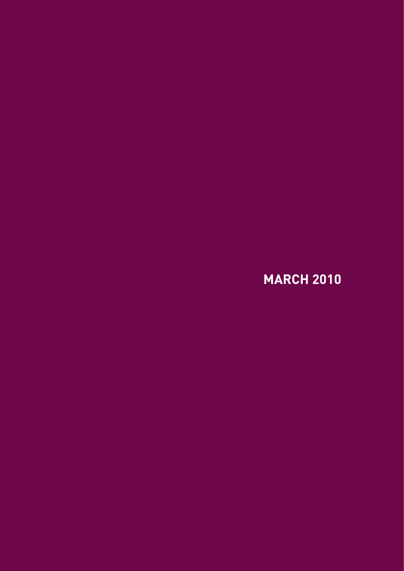**March 2010**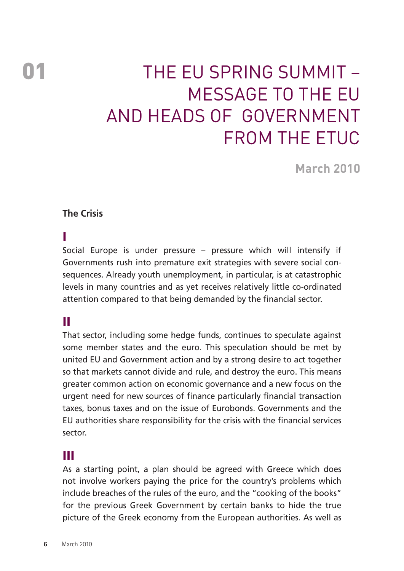## 01 The EU Spring Summit – Message to the EU and Heads of Government from the ETUC

**March 2010**

#### **The Crisis**

#### I

Social Europe is under pressure – pressure which will intensify if Governments rush into premature exit strategies with severe social consequences. Already youth unemployment, in particular, is at catastrophic levels in many countries and as yet receives relatively little co-ordinated attention compared to that being demanded by the financial sector.

## II

That sector, including some hedge funds, continues to speculate against some member states and the euro. This speculation should be met by united EU and Government action and by a strong desire to act together so that markets cannot divide and rule, and destroy the euro. This means greater common action on economic governance and a new focus on the urgent need for new sources of finance particularly financial transaction taxes, bonus taxes and on the issue of Eurobonds. Governments and the EU authorities share responsibility for the crisis with the financial services sector.

### III

As a starting point, a plan should be agreed with Greece which does not involve workers paying the price for the country's problems which include breaches of the rules of the euro, and the "cooking of the books" for the previous Greek Government by certain banks to hide the true picture of the Greek economy from the European authorities. As well as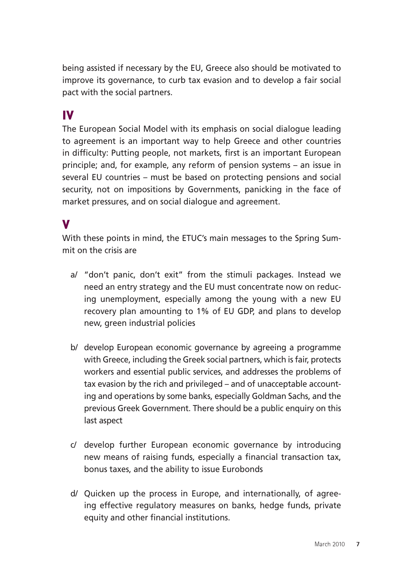being assisted if necessary by the EU, Greece also should be motivated to improve its governance, to curb tax evasion and to develop a fair social pact with the social partners.

## IV

The European Social Model with its emphasis on social dialogue leading to agreement is an important way to help Greece and other countries in difficulty: Putting people, not markets, first is an important European principle; and, for example, any reform of pension systems – an issue in several EU countries – must be based on protecting pensions and social security, not on impositions by Governments, panicking in the face of market pressures, and on social dialogue and agreement.

#### V

With these points in mind, the ETUC's main messages to the Spring Summit on the crisis are

- a/ "don't panic, don't exit" from the stimuli packages. Instead we need an entry strategy and the EU must concentrate now on reducing unemployment, especially among the young with a new EU recovery plan amounting to 1% of EU GDP, and plans to develop new, green industrial policies
- b/ develop European economic governance by agreeing a programme with Greece, including the Greek social partners, which is fair, protects workers and essential public services, and addresses the problems of tax evasion by the rich and privileged – and of unacceptable accounting and operations by some banks, especially Goldman Sachs, and the previous Greek Government. There should be a public enquiry on this last aspect
- c/ develop further European economic governance by introducing new means of raising funds, especially a financial transaction tax, bonus taxes, and the ability to issue Eurobonds
- d/ Quicken up the process in Europe, and internationally, of agreeing effective regulatory measures on banks, hedge funds, private equity and other financial institutions.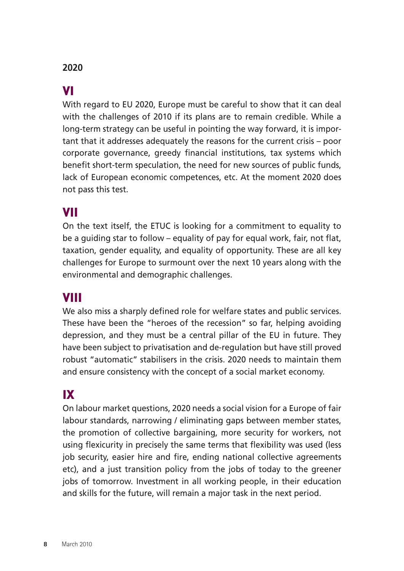#### **2020**

### VI

With regard to EU 2020, Europe must be careful to show that it can deal with the challenges of 2010 if its plans are to remain credible. While a long-term strategy can be useful in pointing the way forward, it is important that it addresses adequately the reasons for the current crisis – poor corporate governance, greedy financial institutions, tax systems which benefit short-term speculation, the need for new sources of public funds, lack of European economic competences, etc. At the moment 2020 does not pass this test.

#### VII

On the text itself, the ETUC is looking for a commitment to equality to be a guiding star to follow – equality of pay for equal work, fair, not flat, taxation, gender equality, and equality of opportunity. These are all key challenges for Europe to surmount over the next 10 years along with the environmental and demographic challenges.

#### VIII

We also miss a sharply defined role for welfare states and public services. These have been the "heroes of the recession" so far, helping avoiding depression, and they must be a central pillar of the EU in future. They have been subject to privatisation and de-regulation but have still proved robust "automatic" stabilisers in the crisis. 2020 needs to maintain them and ensure consistency with the concept of a social market economy.

## IX

On labour market questions, 2020 needs a social vision for a Europe of fair labour standards, narrowing / eliminating gaps between member states, the promotion of collective bargaining, more security for workers, not using flexicurity in precisely the same terms that flexibility was used (less job security, easier hire and fire, ending national collective agreements etc), and a just transition policy from the jobs of today to the greener jobs of tomorrow. Investment in all working people, in their education and skills for the future, will remain a major task in the next period.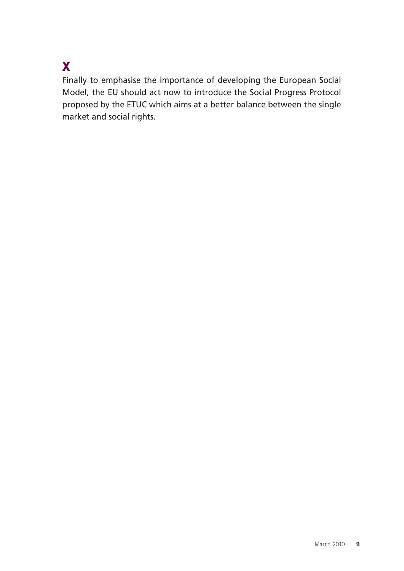## X

Finally to emphasise the importance of developing the European Social Model, the EU should act now to introduce the Social Progress Protocol proposed by the ETUC which aims at a better balance between the single market and social rights.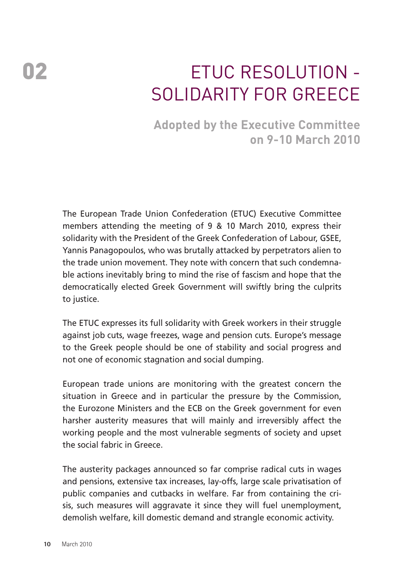## 02 **ETUC RESOLUTION -**SOLIDARITY FOR GREECE

## **Adopted by the Executive Committee on 9-10 March 2010**

The European Trade Union Confederation (ETUC) Executive Committee members attending the meeting of 9 & 10 March 2010, express their solidarity with the President of the Greek Confederation of Labour, GSEE, Yannis Panagopoulos, who was brutally attacked by perpetrators alien to the trade union movement. They note with concern that such condemnable actions inevitably bring to mind the rise of fascism and hope that the democratically elected Greek Government will swiftly bring the culprits to justice.

The ETUC expresses its full solidarity with Greek workers in their struggle against job cuts, wage freezes, wage and pension cuts. Europe's message to the Greek people should be one of stability and social progress and not one of economic stagnation and social dumping.

European trade unions are monitoring with the greatest concern the situation in Greece and in particular the pressure by the Commission, the Eurozone Ministers and the ECB on the Greek government for even harsher austerity measures that will mainly and irreversibly affect the working people and the most vulnerable segments of society and upset the social fabric in Greece.

The austerity packages announced so far comprise radical cuts in wages and pensions, extensive tax increases, lay-offs, large scale privatisation of public companies and cutbacks in welfare. Far from containing the crisis, such measures will aggravate it since they will fuel unemployment, demolish welfare, kill domestic demand and strangle economic activity.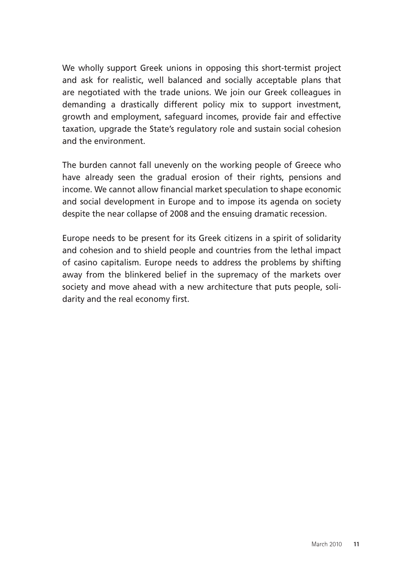We wholly support Greek unions in opposing this short-termist project and ask for realistic, well balanced and socially acceptable plans that are negotiated with the trade unions. We join our Greek colleagues in demanding a drastically different policy mix to support investment, growth and employment, safeguard incomes, provide fair and effective taxation, upgrade the State's regulatory role and sustain social cohesion and the environment.

The burden cannot fall unevenly on the working people of Greece who have already seen the gradual erosion of their rights, pensions and income. We cannot allow financial market speculation to shape economic and social development in Europe and to impose its agenda on society despite the near collapse of 2008 and the ensuing dramatic recession.

Europe needs to be present for its Greek citizens in a spirit of solidarity and cohesion and to shield people and countries from the lethal impact of casino capitalism. Europe needs to address the problems by shifting away from the blinkered belief in the supremacy of the markets over society and move ahead with a new architecture that puts people, solidarity and the real economy first.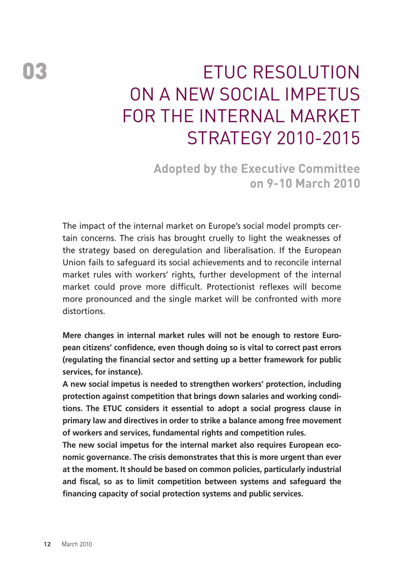## ETUC Resolution on A new social impetus for the Internal Market Strategy 2010-2015

**Adopted by the Executive Committee on 9-10 March 2010**

The impact of the internal market on Europe's social model prompts certain concerns. The crisis has brought cruelly to light the weaknesses of the strategy based on deregulation and liberalisation. If the European Union fails to safeguard its social achievements and to reconcile internal market rules with workers' rights, further development of the internal market could prove more difficult. Protectionist reflexes will become more pronounced and the single market will be confronted with more distortions.

**Mere changes in internal market rules will not be enough to restore European citizens' confidence, even though doing so is vital to correct past errors (regulating the financial sector and setting up a better framework for public services, for instance).** 

**A new social impetus is needed to strengthen workers' protection, including protection against competition that brings down salaries and working conditions. The ETUC considers it essential to adopt a social progress clause in primary law and directives in order to strike a balance among free movement of workers and services, fundamental rights and competition rules.** 

**The new social impetus for the internal market also requires European economic governance. The crisis demonstrates that this is more urgent than ever at the moment. It should be based on common policies, particularly industrial and fiscal, so as to limit competition between systems and safeguard the financing capacity of social protection systems and public services.**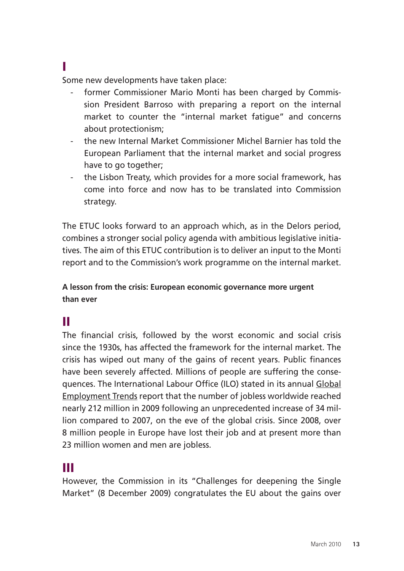#### I

Some new developments have taken place:

- former Commissioner Mario Monti has been charged by Commission President Barroso with preparing a report on the internal market to counter the "internal market fatigue" and concerns about protectionism;
- the new Internal Market Commissioner Michel Barnier has told the European Parliament that the internal market and social progress have to go together;
- the Lisbon Treaty, which provides for a more social framework, has come into force and now has to be translated into Commission strategy.

The ETUC looks forward to an approach which, as in the Delors period, combines a stronger social policy agenda with ambitious legislative initiatives. The aim of this ETUC contribution is to deliver an input to the Monti report and to the Commission's work programme on the internal market.

**A lesson from the crisis: European economic governance more urgent than ever** 

## II

The financial crisis, followed by the worst economic and social crisis since the 1930s, has affected the framework for the internal market. The crisis has wiped out many of the gains of recent years. Public finances have been severely affected. Millions of people are suffering the consequences. The International Labour Office (ILO) stated in its annual Global Employment Trends report that the number of jobless worldwide reached nearly 212 million in 2009 following an unprecedented increase of 34 million compared to 2007, on the eve of the global crisis. Since 2008, over 8 million people in Europe have lost their job and at present more than 23 million women and men are jobless.

## III

However, the Commission in its "Challenges for deepening the Single Market" (8 December 2009) congratulates the EU about the gains over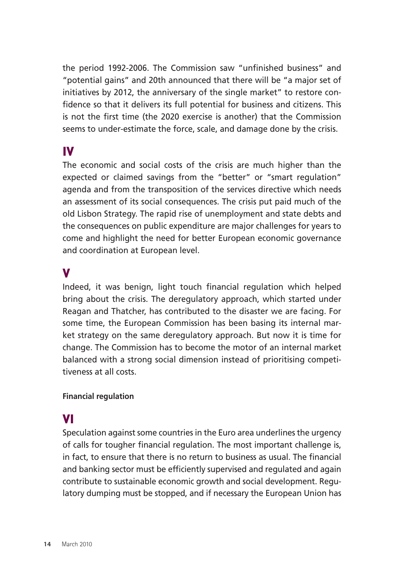the period 1992-2006. The Commission saw "unfinished business" and "potential gains" and 20th announced that there will be "a major set of initiatives by 2012, the anniversary of the single market" to restore confidence so that it delivers its full potential for business and citizens. This is not the first time (the 2020 exercise is another) that the Commission seems to under-estimate the force, scale, and damage done by the crisis.

## IV

The economic and social costs of the crisis are much higher than the expected or claimed savings from the "better" or "smart regulation" agenda and from the transposition of the services directive which needs an assessment of its social consequences. The crisis put paid much of the old Lisbon Strategy. The rapid rise of unemployment and state debts and the consequences on public expenditure are major challenges for years to come and highlight the need for better European economic governance and coordination at European level.

### V

Indeed, it was benign, light touch financial regulation which helped bring about the crisis. The deregulatory approach, which started under Reagan and Thatcher, has contributed to the disaster we are facing. For some time, the European Commission has been basing its internal market strategy on the same deregulatory approach. But now it is time for change. The Commission has to become the motor of an internal market balanced with a strong social dimension instead of prioritising competitiveness at all costs.

#### **Financial regulation**

## VI

Speculation against some countries in the Euro area underlines the urgency of calls for tougher financial regulation. The most important challenge is, in fact, to ensure that there is no return to business as usual. The financial and banking sector must be efficiently supervised and regulated and again contribute to sustainable economic growth and social development. Regulatory dumping must be stopped, and if necessary the European Union has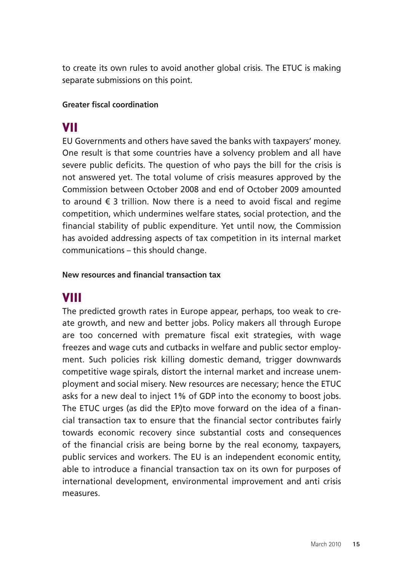to create its own rules to avoid another global crisis. The ETUC is making separate submissions on this point.

#### **Greater fiscal coordination**

## VII

EU Governments and others have saved the banks with taxpayers' money. One result is that some countries have a solvency problem and all have severe public deficits. The question of who pays the bill for the crisis is not answered yet. The total volume of crisis measures approved by the Commission between October 2008 and end of October 2009 amounted to around  $\epsilon$  3 trillion. Now there is a need to avoid fiscal and regime competition, which undermines welfare states, social protection, and the financial stability of public expenditure. Yet until now, the Commission has avoided addressing aspects of tax competition in its internal market communications – this should change.

#### **New resources and financial transaction tax**

## VIII

The predicted growth rates in Europe appear, perhaps, too weak to create growth, and new and better jobs. Policy makers all through Europe are too concerned with premature fiscal exit strategies, with wage freezes and wage cuts and cutbacks in welfare and public sector employment. Such policies risk killing domestic demand, trigger downwards competitive wage spirals, distort the internal market and increase unemployment and social misery. New resources are necessary; hence the ETUC asks for a new deal to inject 1% of GDP into the economy to boost jobs. The ETUC urges (as did the EP)to move forward on the idea of a financial transaction tax to ensure that the financial sector contributes fairly towards economic recovery since substantial costs and consequences of the financial crisis are being borne by the real economy, taxpayers, public services and workers. The EU is an independent economic entity, able to introduce a financial transaction tax on its own for purposes of international development, environmental improvement and anti crisis measures.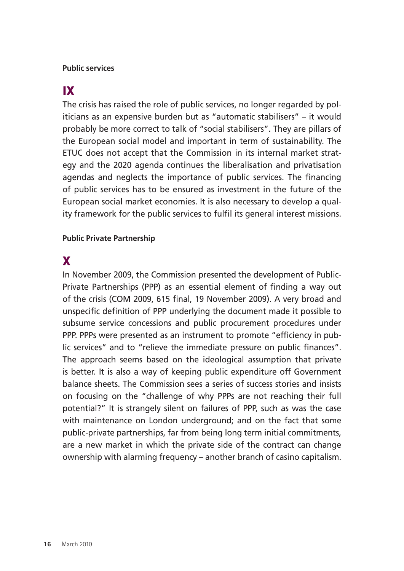#### **Public services**

## IX

The crisis has raised the role of public services, no longer regarded by politicians as an expensive burden but as "automatic stabilisers" – it would probably be more correct to talk of "social stabilisers". They are pillars of the European social model and important in term of sustainability. The ETUC does not accept that the Commission in its internal market strategy and the 2020 agenda continues the liberalisation and privatisation agendas and neglects the importance of public services. The financing of public services has to be ensured as investment in the future of the European social market economies. It is also necessary to develop a quality framework for the public services to fulfil its general interest missions.

#### **Public Private Partnership**

## X

In November 2009, the Commission presented the development of Public-Private Partnerships (PPP) as an essential element of finding a way out of the crisis (COM 2009, 615 final, 19 November 2009). A very broad and unspecific definition of PPP underlying the document made it possible to subsume service concessions and public procurement procedures under PPP. PPPs were presented as an instrument to promote "efficiency in public services" and to "relieve the immediate pressure on public finances". The approach seems based on the ideological assumption that private is better. It is also a way of keeping public expenditure off Government balance sheets. The Commission sees a series of success stories and insists on focusing on the "challenge of why PPPs are not reaching their full potential?" It is strangely silent on failures of PPP, such as was the case with maintenance on London underground; and on the fact that some public-private partnerships, far from being long term initial commitments, are a new market in which the private side of the contract can change ownership with alarming frequency – another branch of casino capitalism.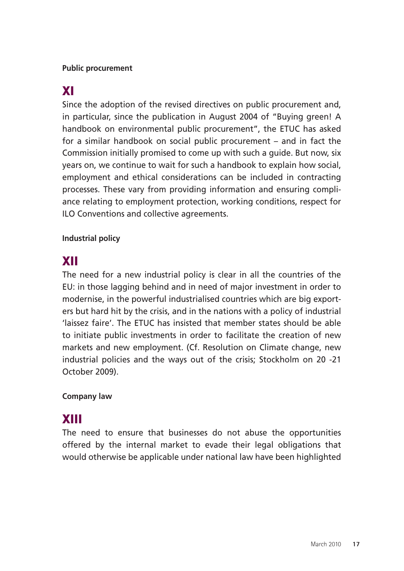#### **Public procurement**

## XI

Since the adoption of the revised directives on public procurement and, in particular, since the publication in August 2004 of "Buying green! A handbook on environmental public procurement", the ETUC has asked for a similar handbook on social public procurement – and in fact the Commission initially promised to come up with such a guide. But now, six years on, we continue to wait for such a handbook to explain how social, employment and ethical considerations can be included in contracting processes. These vary from providing information and ensuring compliance relating to employment protection, working conditions, respect for ILO Conventions and collective agreements.

#### **Industrial policy**

## XII

The need for a new industrial policy is clear in all the countries of the EU: in those lagging behind and in need of major investment in order to modernise, in the powerful industrialised countries which are big exporters but hard hit by the crisis, and in the nations with a policy of industrial 'laissez faire'. The ETUC has insisted that member states should be able to initiate public investments in order to facilitate the creation of new markets and new employment. (Cf. Resolution on Climate change, new industrial policies and the ways out of the crisis; Stockholm on 20 -21 October 2009).

#### **Company law**

## XIII

The need to ensure that businesses do not abuse the opportunities offered by the internal market to evade their legal obligations that would otherwise be applicable under national law have been highlighted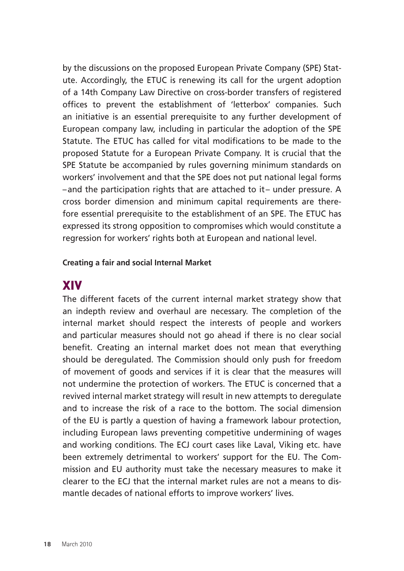by the discussions on the proposed European Private Company (SPE) Statute. Accordingly, the ETUC is renewing its call for the urgent adoption of a 14th Company Law Directive on cross-border transfers of registered offices to prevent the establishment of 'letterbox' companies. Such an initiative is an essential prerequisite to any further development of European company law, including in particular the adoption of the SPE Statute. The ETUC has called for vital modifications to be made to the proposed Statute for a European Private Company. It is crucial that the SPE Statute be accompanied by rules governing minimum standards on workers' involvement and that the SPE does not put national legal forms –and the participation rights that are attached to it– under pressure. A cross border dimension and minimum capital requirements are therefore essential prerequisite to the establishment of an SPE. The ETUC has expressed its strong opposition to compromises which would constitute a regression for workers' rights both at European and national level.

#### **Creating a fair and social Internal Market**

### XIV

The different facets of the current internal market strategy show that an indepth review and overhaul are necessary. The completion of the internal market should respect the interests of people and workers and particular measures should not go ahead if there is no clear social benefit. Creating an internal market does not mean that everything should be deregulated. The Commission should only push for freedom of movement of goods and services if it is clear that the measures will not undermine the protection of workers. The ETUC is concerned that a revived internal market strategy will result in new attempts to deregulate and to increase the risk of a race to the bottom. The social dimension of the EU is partly a question of having a framework labour protection, including European laws preventing competitive undermining of wages and working conditions. The ECJ court cases like Laval, Viking etc. have been extremely detrimental to workers' support for the EU. The Commission and EU authority must take the necessary measures to make it clearer to the ECJ that the internal market rules are not a means to dismantle decades of national efforts to improve workers' lives.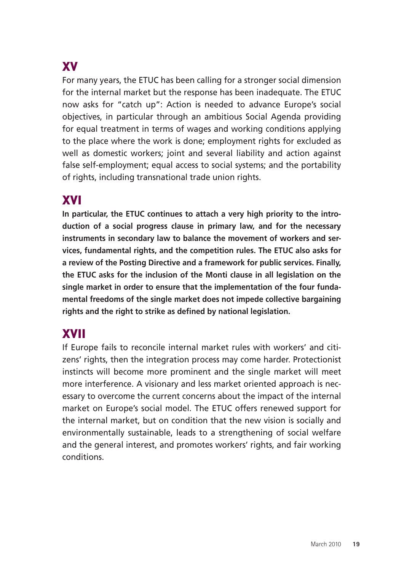## XV

For many years, the ETUC has been calling for a stronger social dimension for the internal market but the response has been inadequate. The ETUC now asks for "catch up": Action is needed to advance Europe's social objectives, in particular through an ambitious Social Agenda providing for equal treatment in terms of wages and working conditions applying to the place where the work is done; employment rights for excluded as well as domestic workers; joint and several liability and action against false self-employment; equal access to social systems; and the portability of rights, including transnational trade union rights.

## XVI

**In particular, the ETUC continues to attach a very high priority to the introduction of a social progress clause in primary law, and for the necessary instruments in secondary law to balance the movement of workers and services, fundamental rights, and the competition rules. The ETUC also asks for a review of the Posting Directive and a framework for public services. Finally, the ETUC asks for the inclusion of the Monti clause in all legislation on the single market in order to ensure that the implementation of the four fundamental freedoms of the single market does not impede collective bargaining rights and the right to strike as defined by national legislation.** 

## XVII

If Europe fails to reconcile internal market rules with workers' and citizens' rights, then the integration process may come harder. Protectionist instincts will become more prominent and the single market will meet more interference. A visionary and less market oriented approach is necessary to overcome the current concerns about the impact of the internal market on Europe's social model. The ETUC offers renewed support for the internal market, but on condition that the new vision is socially and environmentally sustainable, leads to a strengthening of social welfare and the general interest, and promotes workers' rights, and fair working conditions.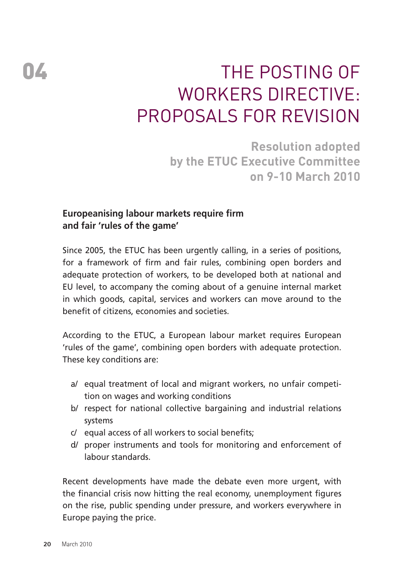## 04 The Posting of WORKERS DIRECTIVF: proposals for revision

**Resolution adopted by the ETUC Executive Committee on 9-10 March 2010**

#### **Europeanising labour markets require firm and fair 'rules of the game'**

Since 2005, the ETUC has been urgently calling, in a series of positions, for a framework of firm and fair rules, combining open borders and adequate protection of workers, to be developed both at national and EU level, to accompany the coming about of a genuine internal market in which goods, capital, services and workers can move around to the benefit of citizens, economies and societies.

According to the ETUC, a European labour market requires European 'rules of the game', combining open borders with adequate protection. These key conditions are:

- a/ equal treatment of local and migrant workers, no unfair competition on wages and working conditions
- b/ respect for national collective bargaining and industrial relations systems
- c/ equal access of all workers to social benefits;
- d/ proper instruments and tools for monitoring and enforcement of labour standards.

Recent developments have made the debate even more urgent, with the financial crisis now hitting the real economy, unemployment figures on the rise, public spending under pressure, and workers everywhere in Europe paying the price.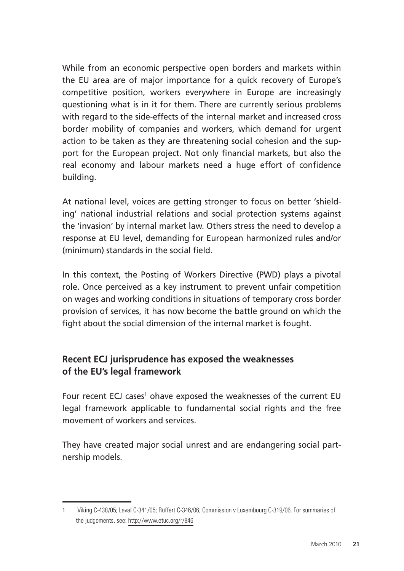While from an economic perspective open borders and markets within the EU area are of major importance for a quick recovery of Europe's competitive position, workers everywhere in Europe are increasingly questioning what is in it for them. There are currently serious problems with regard to the side-effects of the internal market and increased cross border mobility of companies and workers, which demand for urgent action to be taken as they are threatening social cohesion and the support for the European project. Not only financial markets, but also the real economy and labour markets need a huge effort of confidence building.

At national level, voices are getting stronger to focus on better 'shielding' national industrial relations and social protection systems against the 'invasion' by internal market law. Others stress the need to develop a response at EU level, demanding for European harmonized rules and/or (minimum) standards in the social field.

In this context, the Posting of Workers Directive (PWD) plays a pivotal role. Once perceived as a key instrument to prevent unfair competition on wages and working conditions in situations of temporary cross border provision of services, it has now become the battle ground on which the fight about the social dimension of the internal market is fought.

#### **Recent ECJ jurisprudence has exposed the weaknesses of the EU's legal framework**

Four recent ECJ cases<sup>1</sup> ohave exposed the weaknesses of the current EU legal framework applicable to fundamental social rights and the free movement of workers and services.

They have created major social unrest and are endangering social partnership models.

<sup>1</sup> Viking C-438/05; Laval C-341/05; Rüffert C-346/06; Commission v Luxembourg C-319/06. For summaries of the judgements, see: http://www.etuc.org/r/846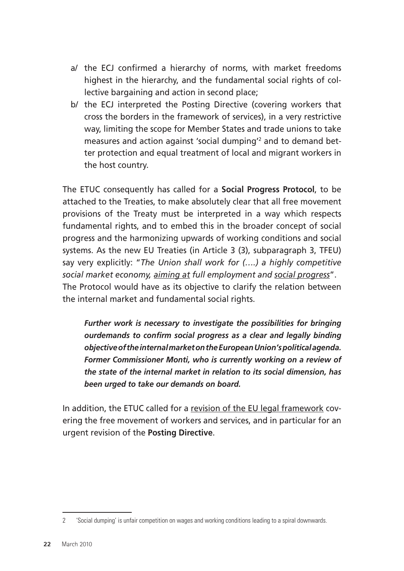- a/ the ECJ confirmed a hierarchy of norms, with market freedoms highest in the hierarchy, and the fundamental social rights of collective bargaining and action in second place;
- b/ the ECJ interpreted the Posting Directive (covering workers that cross the borders in the framework of services), in a very restrictive way, limiting the scope for Member States and trade unions to take measures and action against 'social dumping'2 and to demand better protection and equal treatment of local and migrant workers in the host country.

The ETUC consequently has called for a **Social Progress Protocol**, to be attached to the Treaties, to make absolutely clear that all free movement provisions of the Treaty must be interpreted in a way which respects fundamental rights, and to embed this in the broader concept of social progress and the harmonizing upwards of working conditions and social systems. As the new EU Treaties (in Article 3 (3), subparagraph 3, TFEU) say very explicitly: "*The Union shall work for (….) a highly competitive social market economy, aiming at full employment and social progress*". The Protocol would have as its objective to clarify the relation between the internal market and fundamental social rights.

*Further work is necessary to investigate the possibilities for bringing ourdemands to confirm social progress as a clear and legally binding objective of the internal market on the European Union's political agenda. Former Commissioner Monti, who is currently working on a review of the state of the internal market in relation to its social dimension, has been urged to take our demands on board.*

In addition, the ETUC called for a revision of the EU legal framework covering the free movement of workers and services, and in particular for an urgent revision of the **Posting Directive**.

<sup>2</sup> 'Social dumping' is unfair competition on wages and working conditions leading to a spiral downwards.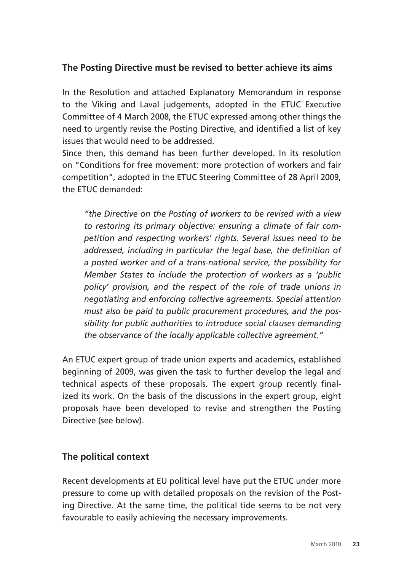#### **The Posting Directive must be revised to better achieve its aims**

In the Resolution and attached Explanatory Memorandum in response to the Viking and Laval judgements, adopted in the ETUC Executive Committee of 4 March 2008, the ETUC expressed among other things the need to urgently revise the Posting Directive, and identified a list of key issues that would need to be addressed.

Since then, this demand has been further developed. In its resolution on "Conditions for free movement: more protection of workers and fair competition", adopted in the ETUC Steering Committee of 28 April 2009, the ETUC demanded:

*"the Directive on the Posting of workers to be revised with a view to restoring its primary objective: ensuring a climate of fair competition and respecting workers' rights. Several issues need to be addressed, including in particular the legal base, the definition of a posted worker and of a trans-national service, the possibility for Member States to include the protection of workers as a 'public policy' provision, and the respect of the role of trade unions in negotiating and enforcing collective agreements. Special attention must also be paid to public procurement procedures, and the possibility for public authorities to introduce social clauses demanding the observance of the locally applicable collective agreement."*

An ETUC expert group of trade union experts and academics, established beginning of 2009, was given the task to further develop the legal and technical aspects of these proposals. The expert group recently finalized its work. On the basis of the discussions in the expert group, eight proposals have been developed to revise and strengthen the Posting Directive (see below).

#### **The political context**

Recent developments at EU political level have put the ETUC under more pressure to come up with detailed proposals on the revision of the Posting Directive. At the same time, the political tide seems to be not very favourable to easily achieving the necessary improvements.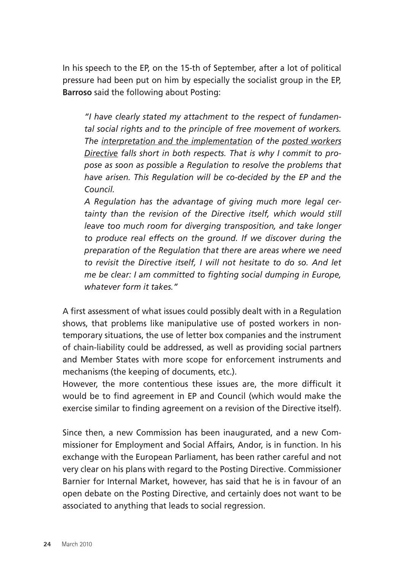In his speech to the EP, on the 15-th of September, after a lot of political pressure had been put on him by especially the socialist group in the EP, **Barroso** said the following about Posting:

*"I have clearly stated my attachment to the respect of fundamental social rights and to the principle of free movement of workers. The interpretation and the implementation of the posted workers Directive falls short in both respects. That is why I commit to propose as soon as possible a Regulation to resolve the problems that have arisen. This Regulation will be co-decided by the EP and the Council.* 

*A Regulation has the advantage of giving much more legal certainty than the revision of the Directive itself, which would still leave too much room for diverging transposition, and take longer to produce real effects on the ground. If we discover during the preparation of the Regulation that there are areas where we need to revisit the Directive itself, I will not hesitate to do so. And let me be clear: I am committed to fighting social dumping in Europe, whatever form it takes."* 

A first assessment of what issues could possibly dealt with in a Regulation shows, that problems like manipulative use of posted workers in nontemporary situations, the use of letter box companies and the instrument of chain-liability could be addressed, as well as providing social partners and Member States with more scope for enforcement instruments and mechanisms (the keeping of documents, etc.).

However, the more contentious these issues are, the more difficult it would be to find agreement in EP and Council (which would make the exercise similar to finding agreement on a revision of the Directive itself).

Since then, a new Commission has been inaugurated, and a new Commissioner for Employment and Social Affairs, Andor, is in function. In his exchange with the European Parliament, has been rather careful and not very clear on his plans with regard to the Posting Directive. Commissioner Barnier for Internal Market, however, has said that he is in favour of an open debate on the Posting Directive, and certainly does not want to be associated to anything that leads to social regression.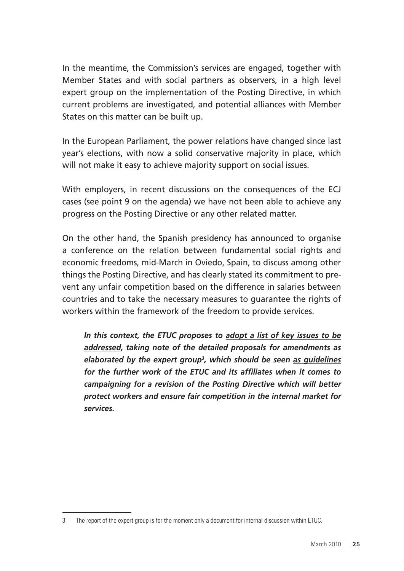In the meantime, the Commission's services are engaged, together with Member States and with social partners as observers, in a high level expert group on the implementation of the Posting Directive, in which current problems are investigated, and potential alliances with Member States on this matter can be built up.

In the European Parliament, the power relations have changed since last year's elections, with now a solid conservative majority in place, which will not make it easy to achieve majority support on social issues.

With employers, in recent discussions on the consequences of the ECJ cases (see point 9 on the agenda) we have not been able to achieve any progress on the Posting Directive or any other related matter.

On the other hand, the Spanish presidency has announced to organise a conference on the relation between fundamental social rights and economic freedoms, mid-March in Oviedo, Spain, to discuss among other things the Posting Directive, and has clearly stated its commitment to prevent any unfair competition based on the difference in salaries between countries and to take the necessary measures to guarantee the rights of workers within the framework of the freedom to provide services.

*In this context, the ETUC proposes to adopt a list of key issues to be addressed, taking note of the detailed proposals for amendments as elaborated by the expert group3 , which should be seen as guidelines for the further work of the ETUC and its affiliates when it comes to campaigning for a revision of the Posting Directive which will better protect workers and ensure fair competition in the internal market for services.*

<sup>3</sup> The report of the expert group is for the moment only a document for internal discussion within ETUC.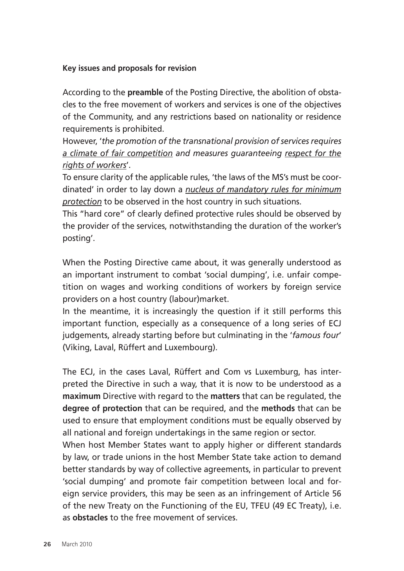#### **Key issues and proposals for revision**

According to the **preamble** of the Posting Directive, the abolition of obstacles to the free movement of workers and services is one of the objectives of the Community, and any restrictions based on nationality or residence requirements is prohibited.

However, '*the promotion of the transnational provision of services requires a climate of fair competition and measures guaranteeing respect for the rights of workers*'.

To ensure clarity of the applicable rules, 'the laws of the MS's must be coordinated' in order to lay down a *nucleus of mandatory rules for minimum protection* to be observed in the host country in such situations.

This "hard core" of clearly defined protective rules should be observed by the provider of the services, notwithstanding the duration of the worker's posting'.

When the Posting Directive came about, it was generally understood as an important instrument to combat 'social dumping', i.e. unfair competition on wages and working conditions of workers by foreign service providers on a host country (labour)market.

In the meantime, it is increasingly the question if it still performs this important function, especially as a consequence of a long series of ECJ judgements, already starting before but culminating in the '*famous four*' (Viking, Laval, Rüffert and Luxembourg).

The ECJ, in the cases Laval, Rüffert and Com vs Luxemburg, has interpreted the Directive in such a way, that it is now to be understood as a **maximum** Directive with regard to the **matters** that can be regulated, the **degree of protection** that can be required, and the **methods** that can be used to ensure that employment conditions must be equally observed by all national and foreign undertakings in the same region or sector.

When host Member States want to apply higher or different standards by law, or trade unions in the host Member State take action to demand better standards by way of collective agreements, in particular to prevent 'social dumping' and promote fair competition between local and foreign service providers, this may be seen as an infringement of Article 56 of the new Treaty on the Functioning of the EU, TFEU (49 EC Treaty), i.e. as **obstacles** to the free movement of services.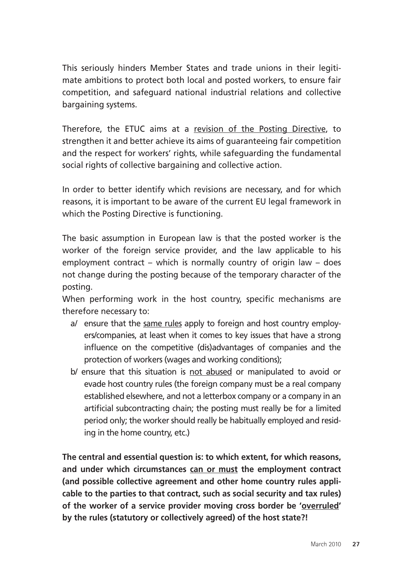This seriously hinders Member States and trade unions in their legitimate ambitions to protect both local and posted workers, to ensure fair competition, and safeguard national industrial relations and collective bargaining systems.

Therefore, the ETUC aims at a revision of the Posting Directive, to strengthen it and better achieve its aims of guaranteeing fair competition and the respect for workers' rights, while safeguarding the fundamental social rights of collective bargaining and collective action.

In order to better identify which revisions are necessary, and for which reasons, it is important to be aware of the current EU legal framework in which the Posting Directive is functioning.

The basic assumption in European law is that the posted worker is the worker of the foreign service provider, and the law applicable to his employment contract – which is normally country of origin law – does not change during the posting because of the temporary character of the posting.

When performing work in the host country, specific mechanisms are therefore necessary to:

- a/ ensure that the same rules apply to foreign and host country employers/companies, at least when it comes to key issues that have a strong influence on the competitive (dis)advantages of companies and the protection of workers (wages and working conditions);
- b/ ensure that this situation is not abused or manipulated to avoid or evade host country rules (the foreign company must be a real company established elsewhere, and not a letterbox company or a company in an artificial subcontracting chain; the posting must really be for a limited period only; the worker should really be habitually employed and residing in the home country, etc.)

**The central and essential question is: to which extent, for which reasons, and under which circumstances can or must the employment contract (and possible collective agreement and other home country rules applicable to the parties to that contract, such as social security and tax rules) of the worker of a service provider moving cross border be 'overruled' by the rules (statutory or collectively agreed) of the host state?!**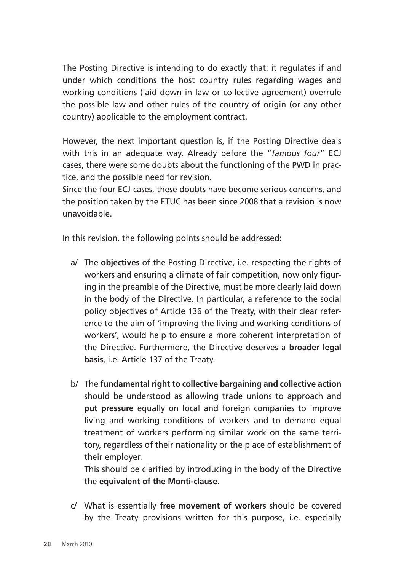The Posting Directive is intending to do exactly that: it regulates if and under which conditions the host country rules regarding wages and working conditions (laid down in law or collective agreement) overrule the possible law and other rules of the country of origin (or any other country) applicable to the employment contract.

However, the next important question is, if the Posting Directive deals with this in an adequate way. Already before the "*famous four*" ECJ cases, there were some doubts about the functioning of the PWD in practice, and the possible need for revision.

Since the four ECJ-cases, these doubts have become serious concerns, and the position taken by the ETUC has been since 2008 that a revision is now unavoidable.

In this revision, the following points should be addressed:

- a/ The **objectives** of the Posting Directive, i.e. respecting the rights of workers and ensuring a climate of fair competition, now only figuring in the preamble of the Directive, must be more clearly laid down in the body of the Directive. In particular, a reference to the social policy objectives of Article 136 of the Treaty, with their clear reference to the aim of 'improving the living and working conditions of workers', would help to ensure a more coherent interpretation of the Directive. Furthermore, the Directive deserves a **broader legal basis**, i.e. Article 137 of the Treaty.
- b/ The **fundamental right to collective bargaining and collective action**  should be understood as allowing trade unions to approach and **put pressure** equally on local and foreign companies to improve living and working conditions of workers and to demand equal treatment of workers performing similar work on the same territory, regardless of their nationality or the place of establishment of their employer.

This should be clarified by introducing in the body of the Directive the **equivalent of the Monti-clause**.

c/ What is essentially **free movement of workers** should be covered by the Treaty provisions written for this purpose, i.e. especially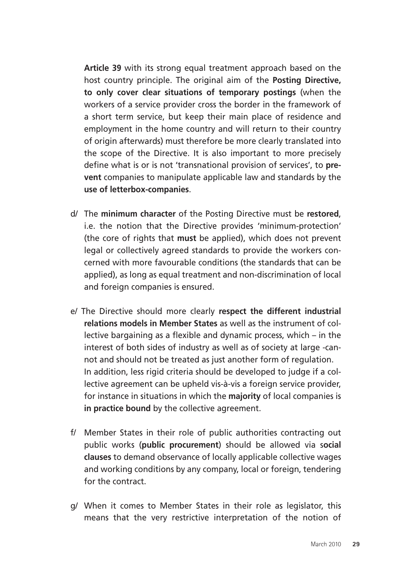**Article 39** with its strong equal treatment approach based on the host country principle. The original aim of the **Posting Directive, to only cover clear situations of temporary postings** (when the workers of a service provider cross the border in the framework of a short term service, but keep their main place of residence and employment in the home country and will return to their country of origin afterwards) must therefore be more clearly translated into the scope of the Directive. It is also important to more precisely define what is or is not 'transnational provision of services', to **prevent** companies to manipulate applicable law and standards by the **use of letterbox-companies**.

- d/ The **minimum character** of the Posting Directive must be **restored**, i.e. the notion that the Directive provides 'minimum-protection' (the core of rights that **must** be applied), which does not prevent legal or collectively agreed standards to provide the workers concerned with more favourable conditions (the standards that can be applied), as long as equal treatment and non-discrimination of local and foreign companies is ensured.
- e/ The Directive should more clearly **respect the different industrial relations models in Member States** as well as the instrument of collective bargaining as a flexible and dynamic process, which – in the interest of both sides of industry as well as of society at large -cannot and should not be treated as just another form of regulation. In addition, less rigid criteria should be developed to judge if a collective agreement can be upheld vis-à-vis a foreign service provider, for instance in situations in which the **majority** of local companies is **in practice bound** by the collective agreement.
- f/ Member States in their role of public authorities contracting out public works (**public procurement**) should be allowed via s**ocial clauses** to demand observance of locally applicable collective wages and working conditions by any company, local or foreign, tendering for the contract.
- g/ When it comes to Member States in their role as legislator, this means that the very restrictive interpretation of the notion of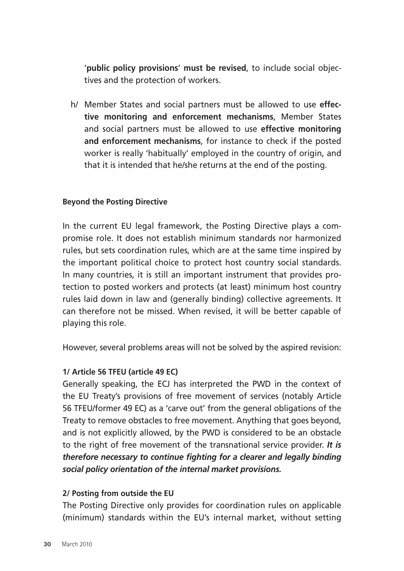'**public policy provisions**' **must be revised**, to include social objectives and the protection of workers.

h/ Member States and social partners must be allowed to use **effective monitoring and enforcement mechanisms**, Member States and social partners must be allowed to use **effective monitoring and enforcement mechanisms**, for instance to check if the posted worker is really 'habitually' employed in the country of origin, and that it is intended that he/she returns at the end of the posting.

#### **Beyond the Posting Directive**

In the current EU legal framework, the Posting Directive plays a compromise role. It does not establish minimum standards nor harmonized rules, but sets coordination rules, which are at the same time inspired by the important political choice to protect host country social standards. In many countries, it is still an important instrument that provides protection to posted workers and protects (at least) minimum host country rules laid down in law and (generally binding) collective agreements. It can therefore not be missed. When revised, it will be better capable of playing this role.

However, several problems areas will not be solved by the aspired revision:

#### **1/ Article 56 TFEU (article 49 EC)**

Generally speaking, the ECJ has interpreted the PWD in the context of the EU Treaty's provisions of free movement of services (notably Article 56 TFEU/former 49 EC) as a 'carve out' from the general obligations of the Treaty to remove obstacles to free movement. Anything that goes beyond, and is not explicitly allowed, by the PWD is considered to be an obstacle to the right of free movement of the transnational service provider. *It is therefore necessary to continue fighting for a clearer and legally binding social policy orientation of the internal market provisions.* 

#### **2/ Posting from outside the EU**

The Posting Directive only provides for coordination rules on applicable (minimum) standards within the EU's internal market, without setting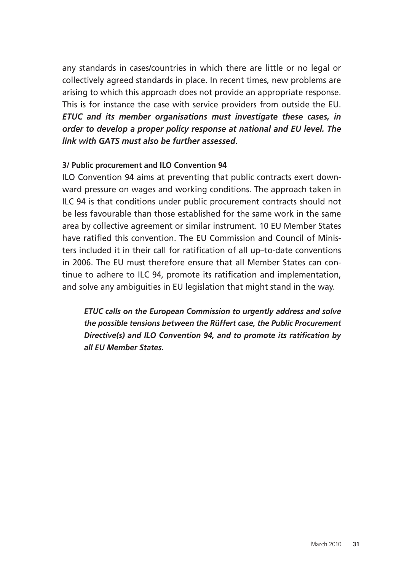any standards in cases/countries in which there are little or no legal or collectively agreed standards in place. In recent times, new problems are arising to which this approach does not provide an appropriate response. This is for instance the case with service providers from outside the EU. *ETUC and its member organisations must investigate these cases, in order to develop a proper policy response at national and EU level. The link with GATS must also be further assessed*.

#### **3/ Public procurement and ILO Convention 94**

ILO Convention 94 aims at preventing that public contracts exert downward pressure on wages and working conditions. The approach taken in ILC 94 is that conditions under public procurement contracts should not be less favourable than those established for the same work in the same area by collective agreement or similar instrument. 10 EU Member States have ratified this convention. The EU Commission and Council of Ministers included it in their call for ratification of all up–to-date conventions in 2006. The EU must therefore ensure that all Member States can continue to adhere to ILC 94, promote its ratification and implementation, and solve any ambiguities in EU legislation that might stand in the way.

*ETUC calls on the European Commission to urgently address and solve the possible tensions between the Rüffert case, the Public Procurement Directive(s) and ILO Convention 94, and to promote its ratification by all EU Member States.*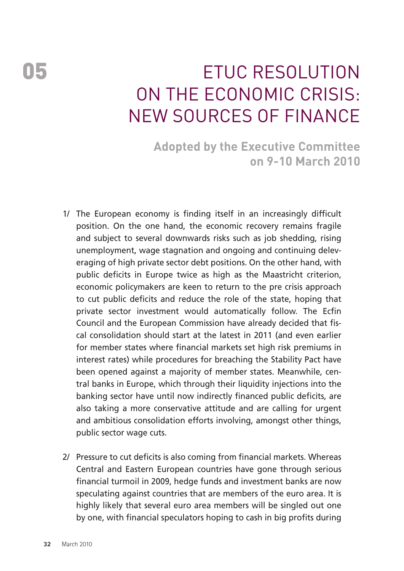## 05 ETUC RESOLUTION on The Economic Crisis: New Sources of Finance

**Adopted by the Executive Committee on 9-10 March 2010** 

- 1/ The European economy is finding itself in an increasingly difficult position. On the one hand, the economic recovery remains fragile and subject to several downwards risks such as job shedding, rising unemployment, wage stagnation and ongoing and continuing deleveraging of high private sector debt positions. On the other hand, with public deficits in Europe twice as high as the Maastricht criterion, economic policymakers are keen to return to the pre crisis approach to cut public deficits and reduce the role of the state, hoping that private sector investment would automatically follow. The Ecfin Council and the European Commission have already decided that fiscal consolidation should start at the latest in 2011 (and even earlier for member states where financial markets set high risk premiums in interest rates) while procedures for breaching the Stability Pact have been opened against a majority of member states. Meanwhile, central banks in Europe, which through their liquidity injections into the banking sector have until now indirectly financed public deficits, are also taking a more conservative attitude and are calling for urgent and ambitious consolidation efforts involving, amongst other things, public sector wage cuts.
- 2/ Pressure to cut deficits is also coming from financial markets. Whereas Central and Eastern European countries have gone through serious financial turmoil in 2009, hedge funds and investment banks are now speculating against countries that are members of the euro area. It is highly likely that several euro area members will be singled out one by one, with financial speculators hoping to cash in big profits during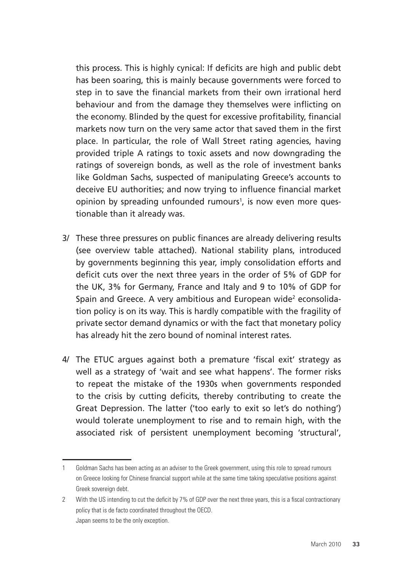this process. This is highly cynical: If deficits are high and public debt has been soaring, this is mainly because governments were forced to step in to save the financial markets from their own irrational herd behaviour and from the damage they themselves were inflicting on the economy. Blinded by the quest for excessive profitability, financial markets now turn on the very same actor that saved them in the first place. In particular, the role of Wall Street rating agencies, having provided triple A ratings to toxic assets and now downgrading the ratings of sovereign bonds, as well as the role of investment banks like Goldman Sachs, suspected of manipulating Greece's accounts to deceive EU authorities; and now trying to influence financial market opinion by spreading unfounded rumours<sup>1</sup>, is now even more questionable than it already was.

- 3/ These three pressures on public finances are already delivering results (see overview table attached). National stability plans, introduced by governments beginning this year, imply consolidation efforts and deficit cuts over the next three years in the order of 5% of GDP for the UK, 3% for Germany, France and Italy and 9 to 10% of GDP for Spain and Greece. A very ambitious and European wide<sup>2</sup> econsolidation policy is on its way. This is hardly compatible with the fragility of private sector demand dynamics or with the fact that monetary policy has already hit the zero bound of nominal interest rates.
- 4/ The ETUC argues against both a premature 'fiscal exit' strategy as well as a strategy of 'wait and see what happens'. The former risks to repeat the mistake of the 1930s when governments responded to the crisis by cutting deficits, thereby contributing to create the Great Depression. The latter ('too early to exit so let's do nothing') would tolerate unemployment to rise and to remain high, with the associated risk of persistent unemployment becoming 'structural',

<sup>1</sup> Goldman Sachs has been acting as an adviser to the Greek government, using this role to spread rumours on Greece looking for Chinese financial support while at the same time taking speculative positions against Greek sovereign debt.

<sup>2</sup> With the US intending to cut the deficit by 7% of GDP over the next three years, this is a fiscal contractionary policy that is de facto coordinated throughout the OECD. Japan seems to be the only exception.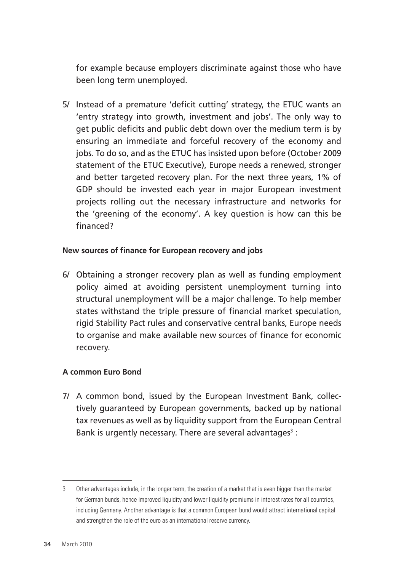for example because employers discriminate against those who have been long term unemployed.

5/ Instead of a premature 'deficit cutting' strategy, the ETUC wants an 'entry strategy into growth, investment and jobs'. The only way to get public deficits and public debt down over the medium term is by ensuring an immediate and forceful recovery of the economy and jobs. To do so, and as the ETUC has insisted upon before (October 2009 statement of the ETUC Executive), Europe needs a renewed, stronger and better targeted recovery plan. For the next three years, 1% of GDP should be invested each year in major European investment projects rolling out the necessary infrastructure and networks for the 'greening of the economy'. A key question is how can this be financed?

#### **New sources of finance for European recovery and jobs**

6/ Obtaining a stronger recovery plan as well as funding employment policy aimed at avoiding persistent unemployment turning into structural unemployment will be a major challenge. To help member states withstand the triple pressure of financial market speculation, rigid Stability Pact rules and conservative central banks, Europe needs to organise and make available new sources of finance for economic recovery.

#### **A common Euro Bond**

7/ A common bond, issued by the European Investment Bank, collectively guaranteed by European governments, backed up by national tax revenues as well as by liquidity support from the European Central Bank is urgently necessary. There are several advantages<sup>3</sup>:

<sup>3</sup> Other advantages include, in the longer term, the creation of a market that is even bigger than the market for German bunds, hence improved liquidity and lower liquidity premiums in interest rates for all countries, including Germany. Another advantage is that a common European bund would attract international capital and strengthen the role of the euro as an international reserve currency.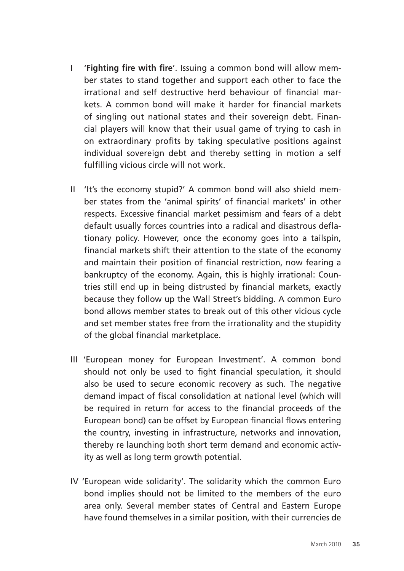- I '**Fighting fire with fire**'. Issuing a common bond will allow member states to stand together and support each other to face the irrational and self destructive herd behaviour of financial markets. A common bond will make it harder for financial markets of singling out national states and their sovereign debt. Financial players will know that their usual game of trying to cash in on extraordinary profits by taking speculative positions against individual sovereign debt and thereby setting in motion a self fulfilling vicious circle will not work.
- II 'It's the economy stupid?' A common bond will also shield member states from the 'animal spirits' of financial markets' in other respects. Excessive financial market pessimism and fears of a debt default usually forces countries into a radical and disastrous deflationary policy. However, once the economy goes into a tailspin, financial markets shift their attention to the state of the economy and maintain their position of financial restriction, now fearing a bankruptcy of the economy. Again, this is highly irrational: Countries still end up in being distrusted by financial markets, exactly because they follow up the Wall Street's bidding. A common Euro bond allows member states to break out of this other vicious cycle and set member states free from the irrationality and the stupidity of the global financial marketplace.
- III 'European money for European Investment'. A common bond should not only be used to fight financial speculation, it should also be used to secure economic recovery as such. The negative demand impact of fiscal consolidation at national level (which will be required in return for access to the financial proceeds of the European bond) can be offset by European financial flows entering the country, investing in infrastructure, networks and innovation, thereby re launching both short term demand and economic activity as well as long term growth potential.
- IV 'European wide solidarity'. The solidarity which the common Euro bond implies should not be limited to the members of the euro area only. Several member states of Central and Eastern Europe have found themselves in a similar position, with their currencies de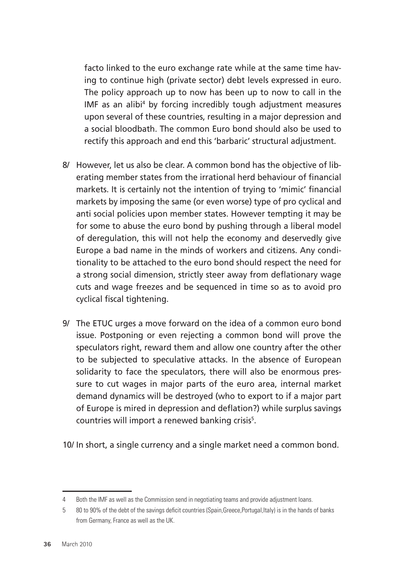facto linked to the euro exchange rate while at the same time having to continue high (private sector) debt levels expressed in euro. The policy approach up to now has been up to now to call in the IMF as an alibi4 by forcing incredibly tough adjustment measures upon several of these countries, resulting in a major depression and a social bloodbath. The common Euro bond should also be used to rectify this approach and end this 'barbaric' structural adjustment.

- 8/ However, let us also be clear. A common bond has the objective of liberating member states from the irrational herd behaviour of financial markets. It is certainly not the intention of trying to 'mimic' financial markets by imposing the same (or even worse) type of pro cyclical and anti social policies upon member states. However tempting it may be for some to abuse the euro bond by pushing through a liberal model of deregulation, this will not help the economy and deservedly give Europe a bad name in the minds of workers and citizens. Any conditionality to be attached to the euro bond should respect the need for a strong social dimension, strictly steer away from deflationary wage cuts and wage freezes and be sequenced in time so as to avoid pro cyclical fiscal tightening.
- 9/ The ETUC urges a move forward on the idea of a common euro bond issue. Postponing or even rejecting a common bond will prove the speculators right, reward them and allow one country after the other to be subjected to speculative attacks. In the absence of European solidarity to face the speculators, there will also be enormous pressure to cut wages in major parts of the euro area, internal market demand dynamics will be destroyed (who to export to if a major part of Europe is mired in depression and deflation?) while surplus savings countries will import a renewed banking crisis<sup>5</sup>.

10/ In short, a single currency and a single market need a common bond.

<sup>4</sup> Both the IMF as well as the Commission send in negotiating teams and provide adjustment loans.

<sup>5</sup> 80 to 90% of the debt of the savings deficit countries (Spain,Greece,Portugal,Italy) is in the hands of banks from Germany, France as well as the UK.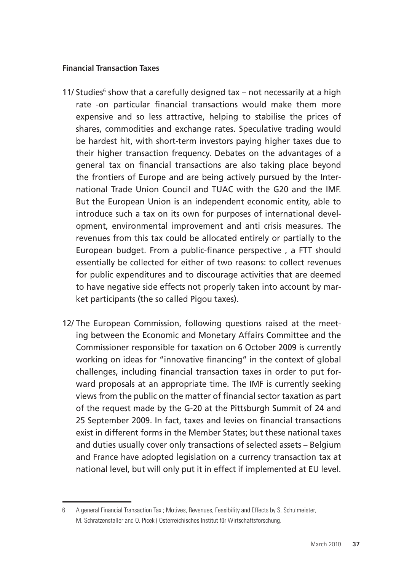#### **Financial Transaction Taxes**

- 11/ Studies<sup>6</sup> show that a carefully designed tax not necessarily at a high rate -on particular financial transactions would make them more expensive and so less attractive, helping to stabilise the prices of shares, commodities and exchange rates. Speculative trading would be hardest hit, with short-term investors paying higher taxes due to their higher transaction frequency. Debates on the advantages of a general tax on financial transactions are also taking place beyond the frontiers of Europe and are being actively pursued by the International Trade Union Council and TUAC with the G20 and the IMF. But the European Union is an independent economic entity, able to introduce such a tax on its own for purposes of international development, environmental improvement and anti crisis measures. The revenues from this tax could be allocated entirely or partially to the European budget. From a public-finance perspective , a FTT should essentially be collected for either of two reasons: to collect revenues for public expenditures and to discourage activities that are deemed to have negative side effects not properly taken into account by market participants (the so called Pigou taxes).
- 12/ The European Commission, following questions raised at the meeting between the Economic and Monetary Affairs Committee and the Commissioner responsible for taxation on 6 October 2009 is currently working on ideas for "innovative financing" in the context of global challenges, including financial transaction taxes in order to put forward proposals at an appropriate time. The IMF is currently seeking views from the public on the matter of financial sector taxation as part of the request made by the G-20 at the Pittsburgh Summit of 24 and 25 September 2009. In fact, taxes and levies on financial transactions exist in different forms in the Member States; but these national taxes and duties usually cover only transactions of selected assets – Belgium and France have adopted legislation on a currency transaction tax at national level, but will only put it in effect if implemented at EU level.

<sup>6</sup> A general Financial Transaction Tax ; Motives, Revenues, Feasibility and Effects by S. Schulmeister, M. Schratzenstaller and O. Picek ( Osterreichisches Institut für Wirtschaftsforschung.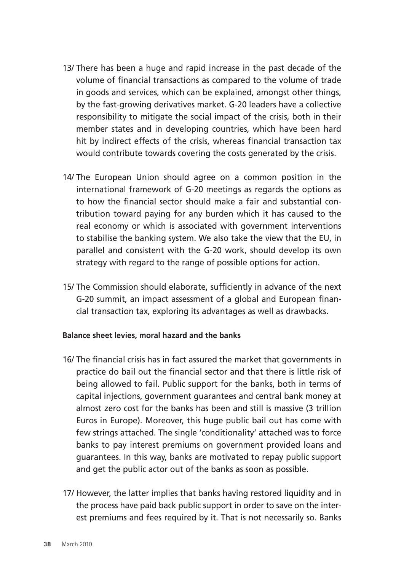- 13/ There has been a huge and rapid increase in the past decade of the volume of financial transactions as compared to the volume of trade in goods and services, which can be explained, amongst other things, by the fast-growing derivatives market. G-20 leaders have a collective responsibility to mitigate the social impact of the crisis, both in their member states and in developing countries, which have been hard hit by indirect effects of the crisis, whereas financial transaction tax would contribute towards covering the costs generated by the crisis.
- 14/ The European Union should agree on a common position in the international framework of G-20 meetings as regards the options as to how the financial sector should make a fair and substantial contribution toward paying for any burden which it has caused to the real economy or which is associated with government interventions to stabilise the banking system. We also take the view that the EU, in parallel and consistent with the G-20 work, should develop its own strategy with regard to the range of possible options for action.
- 15/ The Commission should elaborate, sufficiently in advance of the next G-20 summit, an impact assessment of a global and European financial transaction tax, exploring its advantages as well as drawbacks.

#### **Balance sheet levies, moral hazard and the banks**

- 16/ The financial crisis has in fact assured the market that governments in practice do bail out the financial sector and that there is little risk of being allowed to fail. Public support for the banks, both in terms of capital injections, government guarantees and central bank money at almost zero cost for the banks has been and still is massive (3 trillion Euros in Europe). Moreover, this huge public bail out has come with few strings attached. The single 'conditionality' attached was to force banks to pay interest premiums on government provided loans and guarantees. In this way, banks are motivated to repay public support and get the public actor out of the banks as soon as possible.
- 17/ However, the latter implies that banks having restored liquidity and in the process have paid back public support in order to save on the interest premiums and fees required by it. That is not necessarily so. Banks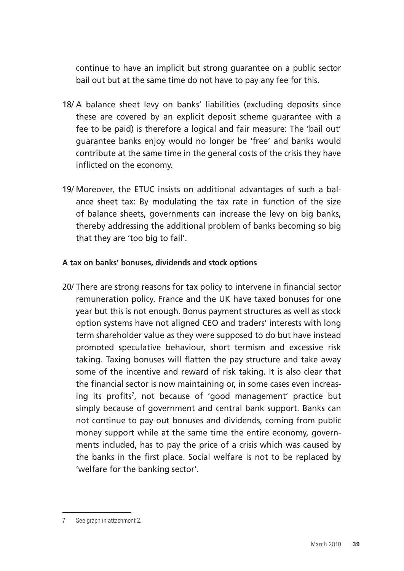continue to have an implicit but strong guarantee on a public sector bail out but at the same time do not have to pay any fee for this.

- 18/ A balance sheet levy on banks' liabilities (excluding deposits since these are covered by an explicit deposit scheme guarantee with a fee to be paid) is therefore a logical and fair measure: The 'bail out' guarantee banks enjoy would no longer be 'free' and banks would contribute at the same time in the general costs of the crisis they have inflicted on the economy.
- 19/ Moreover, the ETUC insists on additional advantages of such a balance sheet tax: By modulating the tax rate in function of the size of balance sheets, governments can increase the levy on big banks, thereby addressing the additional problem of banks becoming so big that they are 'too big to fail'.

#### **A tax on banks' bonuses, dividends and stock options**

20/ There are strong reasons for tax policy to intervene in financial sector remuneration policy. France and the UK have taxed bonuses for one year but this is not enough. Bonus payment structures as well as stock option systems have not aligned CEO and traders' interests with long term shareholder value as they were supposed to do but have instead promoted speculative behaviour, short termism and excessive risk taking. Taxing bonuses will flatten the pay structure and take away some of the incentive and reward of risk taking. It is also clear that the financial sector is now maintaining or, in some cases even increasing its profits<sup>7</sup>, not because of 'good management' practice but simply because of government and central bank support. Banks can not continue to pay out bonuses and dividends, coming from public money support while at the same time the entire economy, governments included, has to pay the price of a crisis which was caused by the banks in the first place. Social welfare is not to be replaced by 'welfare for the banking sector'.

<sup>7</sup> See graph in attachment 2.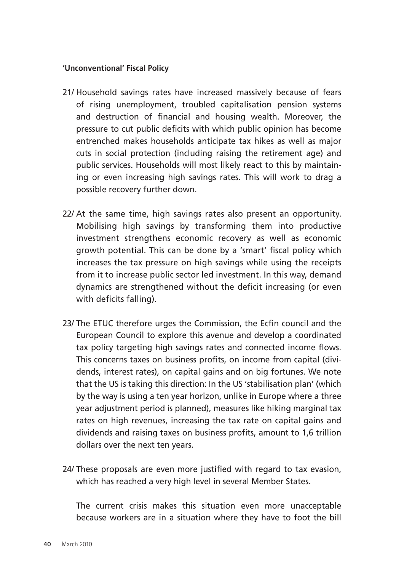#### **'Unconventional' Fiscal Policy**

- 21/ Household savings rates have increased massively because of fears of rising unemployment, troubled capitalisation pension systems and destruction of financial and housing wealth. Moreover, the pressure to cut public deficits with which public opinion has become entrenched makes households anticipate tax hikes as well as major cuts in social protection (including raising the retirement age) and public services. Households will most likely react to this by maintaining or even increasing high savings rates. This will work to drag a possible recovery further down.
- 22/ At the same time, high savings rates also present an opportunity. Mobilising high savings by transforming them into productive investment strengthens economic recovery as well as economic growth potential. This can be done by a 'smart' fiscal policy which increases the tax pressure on high savings while using the receipts from it to increase public sector led investment. In this way, demand dynamics are strengthened without the deficit increasing (or even with deficits falling).
- 23/ The ETUC therefore urges the Commission, the Ecfin council and the European Council to explore this avenue and develop a coordinated tax policy targeting high savings rates and connected income flows. This concerns taxes on business profits, on income from capital (dividends, interest rates), on capital gains and on big fortunes. We note that the US is taking this direction: In the US 'stabilisation plan' (which by the way is using a ten year horizon, unlike in Europe where a three year adjustment period is planned), measures like hiking marginal tax rates on high revenues, increasing the tax rate on capital gains and dividends and raising taxes on business profits, amount to 1,6 trillion dollars over the next ten years.
- 24/ These proposals are even more justified with regard to tax evasion, which has reached a very high level in several Member States.

The current crisis makes this situation even more unacceptable because workers are in a situation where they have to foot the bill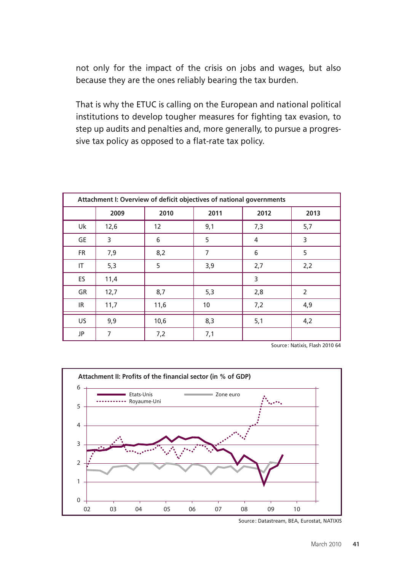not only for the impact of the crisis on jobs and wages, but also because they are the ones reliably bearing the tax burden.

That is why the ETUC is calling on the European and national political institutions to develop tougher measures for fighting tax evasion, to step up audits and penalties and, more generally, to pursue a progressive tax policy as opposed to a flat-rate tax policy.

| Attachment I: Overview of deficit objectives of national governments |      |      |      |      |                |
|----------------------------------------------------------------------|------|------|------|------|----------------|
|                                                                      | 2009 | 2010 | 2011 | 2012 | 2013           |
| Uk                                                                   | 12,6 | 12   | 9,1  | 7,3  | 5,7            |
| GE                                                                   | 3    | 6    | 5    | 4    | 3              |
| <b>FR</b>                                                            | 7,9  | 8,2  | 7    | 6    | 5              |
| IT                                                                   | 5,3  | 5    | 3,9  | 2,7  | 2,2            |
| ES                                                                   | 11,4 |      |      | 3    |                |
| GR                                                                   | 12,7 | 8,7  | 5,3  | 2,8  | $\overline{2}$ |
| IR                                                                   | 11,7 | 11,6 | 10   | 7,2  | 4,9            |
| US                                                                   | 9,9  | 10,6 | 8,3  | 5,1  | 4,2            |
| JP                                                                   | 7    | 7,2  | 7,1  |      |                |

Source: Natixis, Flash 2010 64



Source: Datastream, BEA, Eurostat, NATIXIS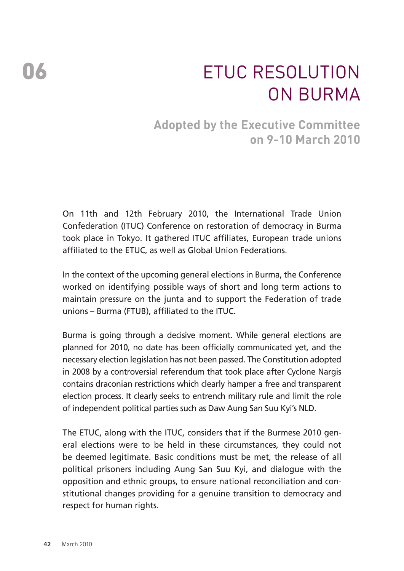# ETUC Resolution on Burma

### **Adopted by the Executive Committee on 9-10 March 2010**

On 11th and 12th February 2010, the International Trade Union Confederation (ITUC) Conference on restoration of democracy in Burma took place in Tokyo. It gathered ITUC affiliates, European trade unions affiliated to the ETUC, as well as Global Union Federations.

In the context of the upcoming general elections in Burma, the Conference worked on identifying possible ways of short and long term actions to maintain pressure on the junta and to support the Federation of trade unions – Burma (FTUB), affiliated to the ITUC.

Burma is going through a decisive moment. While general elections are planned for 2010, no date has been officially communicated yet, and the necessary election legislation has not been passed. The Constitution adopted in 2008 by a controversial referendum that took place after Cyclone Nargis contains draconian restrictions which clearly hamper a free and transparent election process. It clearly seeks to entrench military rule and limit the role of independent political parties such as Daw Aung San Suu Kyi's NLD.

The ETUC, along with the ITUC, considers that if the Burmese 2010 general elections were to be held in these circumstances, they could not be deemed legitimate. Basic conditions must be met, the release of all political prisoners including Aung San Suu Kyi, and dialogue with the opposition and ethnic groups, to ensure national reconciliation and constitutional changes providing for a genuine transition to democracy and respect for human rights.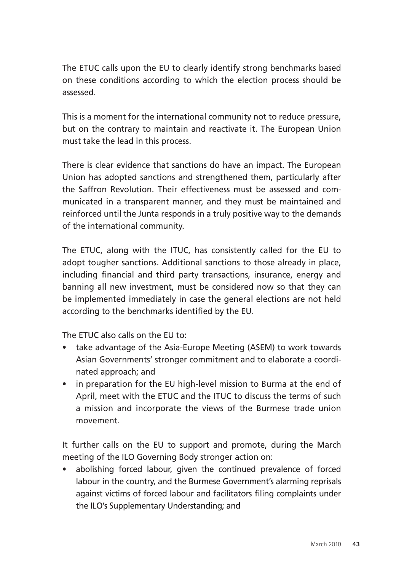The ETUC calls upon the EU to clearly identify strong benchmarks based on these conditions according to which the election process should be assessed.

This is a moment for the international community not to reduce pressure, but on the contrary to maintain and reactivate it. The European Union must take the lead in this process.

There is clear evidence that sanctions do have an impact. The European Union has adopted sanctions and strengthened them, particularly after the Saffron Revolution. Their effectiveness must be assessed and communicated in a transparent manner, and they must be maintained and reinforced until the Junta responds in a truly positive way to the demands of the international community.

The ETUC, along with the ITUC, has consistently called for the EU to adopt tougher sanctions. Additional sanctions to those already in place, including financial and third party transactions, insurance, energy and banning all new investment, must be considered now so that they can be implemented immediately in case the general elections are not held according to the benchmarks identified by the EU.

The ETUC also calls on the EU to:

- take advantage of the Asia-Europe Meeting (ASEM) to work towards Asian Governments' stronger commitment and to elaborate a coordinated approach; and
- in preparation for the EU high-level mission to Burma at the end of April, meet with the ETUC and the ITUC to discuss the terms of such a mission and incorporate the views of the Burmese trade union movement.

It further calls on the EU to support and promote, during the March meeting of the ILO Governing Body stronger action on:

• abolishing forced labour, given the continued prevalence of forced labour in the country, and the Burmese Government's alarming reprisals against victims of forced labour and facilitators filing complaints under the ILO's Supplementary Understanding; and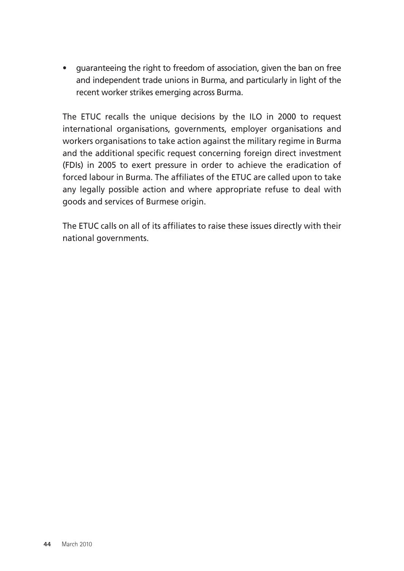• guaranteeing the right to freedom of association, given the ban on free and independent trade unions in Burma, and particularly in light of the recent worker strikes emerging across Burma.

The ETUC recalls the unique decisions by the ILO in 2000 to request international organisations, governments, employer organisations and workers organisations to take action against the military regime in Burma and the additional specific request concerning foreign direct investment (FDIs) in 2005 to exert pressure in order to achieve the eradication of forced labour in Burma. The affiliates of the ETUC are called upon to take any legally possible action and where appropriate refuse to deal with goods and services of Burmese origin.

The ETUC calls on all of its affiliates to raise these issues directly with their national governments.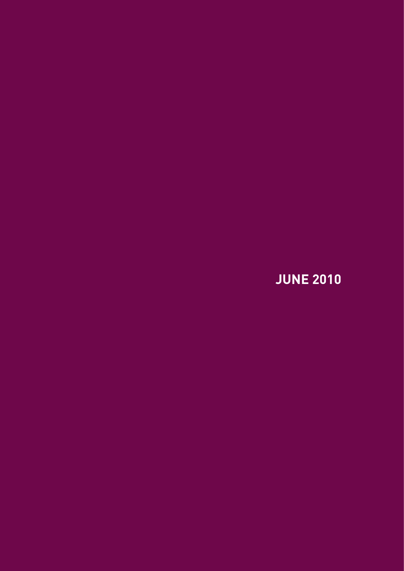**JUNE 2010**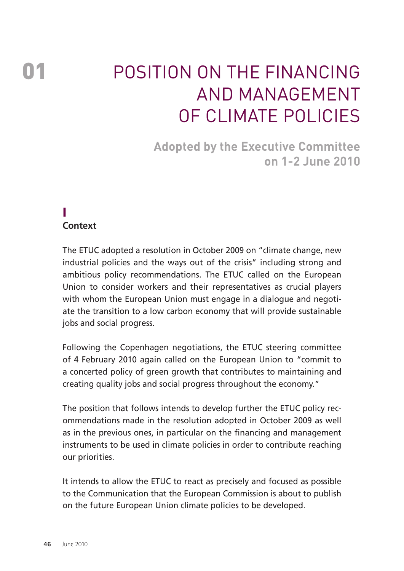# Position on the financing and management of climate policies

**Adopted by the Executive Committee on 1-2 June 2010** 

#### I **Context**

The ETUC adopted a resolution in October 2009 on "climate change, new industrial policies and the ways out of the crisis" including strong and ambitious policy recommendations. The ETUC called on the European Union to consider workers and their representatives as crucial players with whom the European Union must engage in a dialogue and negotiate the transition to a low carbon economy that will provide sustainable jobs and social progress.

Following the Copenhagen negotiations, the ETUC steering committee of 4 February 2010 again called on the European Union to "commit to a concerted policy of green growth that contributes to maintaining and creating quality jobs and social progress throughout the economy."

The position that follows intends to develop further the ETUC policy recommendations made in the resolution adopted in October 2009 as well as in the previous ones, in particular on the financing and management instruments to be used in climate policies in order to contribute reaching our priorities.

It intends to allow the ETUC to react as precisely and focused as possible to the Communication that the European Commission is about to publish on the future European Union climate policies to be developed.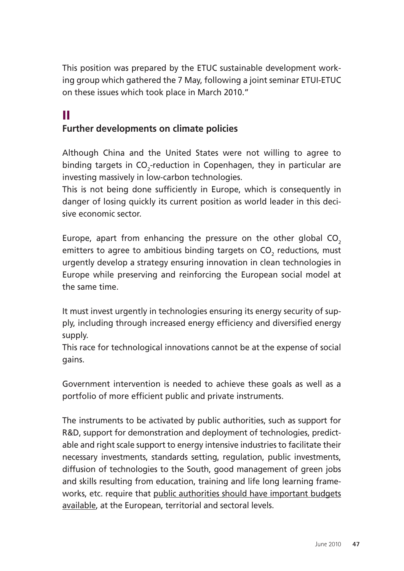This position was prepared by the ETUC sustainable development working group which gathered the 7 May, following a joint seminar ETUI-ETUC on these issues which took place in March 2010."

#### II **Further developments on climate policies**

Although China and the United States were not willing to agree to binding targets in CO<sub>2</sub>-reduction in Copenhagen, they in particular are investing massively in low-carbon technologies.

This is not being done sufficiently in Europe, which is consequently in danger of losing quickly its current position as world leader in this decisive economic sector.

Europe, apart from enhancing the pressure on the other global  $CO<sub>2</sub>$ emitters to agree to ambitious binding targets on CO $_{\textrm{\tiny{2}}}$  reductions, must urgently develop a strategy ensuring innovation in clean technologies in Europe while preserving and reinforcing the European social model at the same time.

It must invest urgently in technologies ensuring its energy security of supply, including through increased energy efficiency and diversified energy supply.

This race for technological innovations cannot be at the expense of social gains.

Government intervention is needed to achieve these goals as well as a portfolio of more efficient public and private instruments.

The instruments to be activated by public authorities, such as support for R&D, support for demonstration and deployment of technologies, predictable and right scale support to energy intensive industries to facilitate their necessary investments, standards setting, regulation, public investments, diffusion of technologies to the South, good management of green jobs and skills resulting from education, training and life long learning frameworks, etc. require that public authorities should have important budgets available, at the European, territorial and sectoral levels.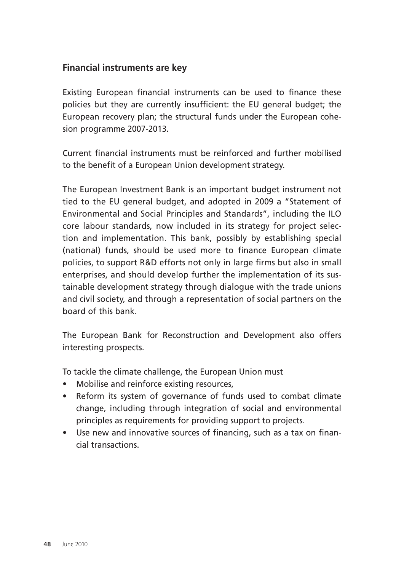#### **Financial instruments are key**

Existing European financial instruments can be used to finance these policies but they are currently insufficient: the EU general budget; the European recovery plan; the structural funds under the European cohesion programme 2007-2013.

Current financial instruments must be reinforced and further mobilised to the benefit of a European Union development strategy.

The European Investment Bank is an important budget instrument not tied to the EU general budget, and adopted in 2009 a "Statement of Environmental and Social Principles and Standards", including the ILO core labour standards, now included in its strategy for project selection and implementation. This bank, possibly by establishing special (national) funds, should be used more to finance European climate policies, to support R&D efforts not only in large firms but also in small enterprises, and should develop further the implementation of its sustainable development strategy through dialogue with the trade unions and civil society, and through a representation of social partners on the board of this bank.

The European Bank for Reconstruction and Development also offers interesting prospects.

To tackle the climate challenge, the European Union must

- Mobilise and reinforce existing resources,
- Reform its system of governance of funds used to combat climate change, including through integration of social and environmental principles as requirements for providing support to projects.
- Use new and innovative sources of financing, such as a tax on financial transactions.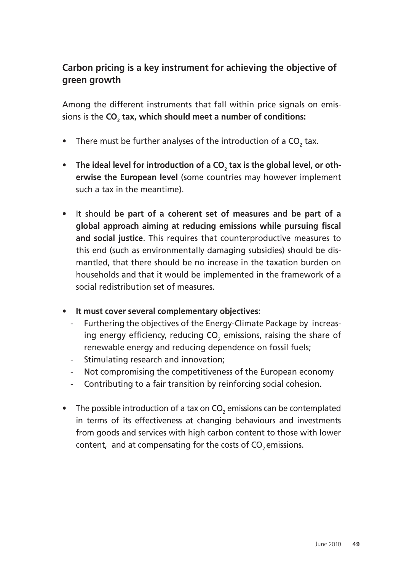#### **Carbon pricing is a key instrument for achieving the objective of green growth**

Among the different instruments that fall within price signals on emissions is the **CO<sub>2</sub> tax, which should meet a number of conditions:** 

- There must be further analyses of the introduction of a  $\mathsf{CO}_2$  tax.
- The ideal level for introduction of a CO<sub>2</sub> tax is the global level, or oth**erwise the European level** (some countries may however implement such a tax in the meantime).
- It should **be part of a coherent set of measures and be part of a global approach aiming at reducing emissions while pursuing fiscal and social justice**. This requires that counterproductive measures to this end (such as environmentally damaging subsidies) should be dismantled, that there should be no increase in the taxation burden on households and that it would be implemented in the framework of a social redistribution set of measures.
- **It must cover several complementary objectives:** 
	- Furthering the objectives of the Energy-Climate Package by increasing energy efficiency, reducing CO<sub>2</sub> emissions, raising the share of renewable energy and reducing dependence on fossil fuels;
	- Stimulating research and innovation;
	- Not compromising the competitiveness of the European economy
	- Contributing to a fair transition by reinforcing social cohesion.
- The possible introduction of a tax on CO<sub>2</sub> emissions can be contemplated in terms of its effectiveness at changing behaviours and investments from goods and services with high carbon content to those with lower content, and at compensating for the costs of  $CO<sub>2</sub>$  emissions.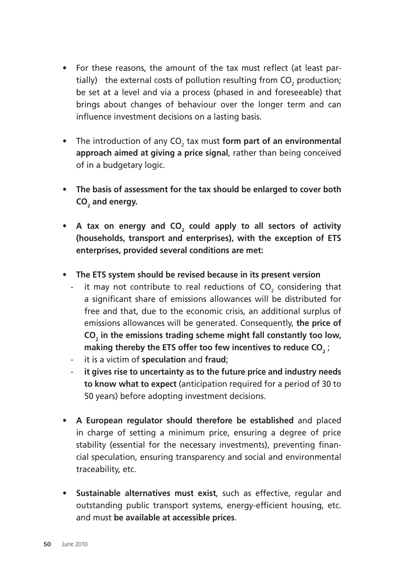- For these reasons, the amount of the tax must reflect (at least partially) the external costs of pollution resulting from  $\mathsf{CO}_2$  production; be set at a level and via a process (phased in and foreseeable) that brings about changes of behaviour over the longer term and can influence investment decisions on a lasting basis.
- The introduction of any CO<sub>2</sub> tax must form part of an environmental **approach aimed at giving a price signal**, rather than being conceived of in a budgetary logic.
- **The basis of assessment for the tax should be enlarged to cover both**  CO<sub>2</sub> and energy.
- A tax on energy and  $CO<sub>2</sub>$  could apply to all sectors of activity **(households, transport and enterprises), with the exception of ETS enterprises, provided several conditions are met:**
- **The ETS system should be revised because in its present version**
	- $\;$  it may not contribute to real reductions of CO $_{_2}$  considering that a significant share of emissions allowances will be distributed for free and that, due to the economic crisis, an additional surplus of emissions allowances will be generated. Consequently, **the price of**  CO<sub>2</sub> in the emissions trading scheme might fall constantly too low, making thereby the ETS offer too few incentives to reduce CO<sub>2</sub> ;
	- it is a victim of **speculation** and **fraud**;
	- **it gives rise to uncertainty as to the future price and industry needs to know what to expect** (anticipation required for a period of 30 to 50 years) before adopting investment decisions.
- **A European regulator should therefore be established** and placed in charge of setting a minimum price, ensuring a degree of price stability (essential for the necessary investments), preventing financial speculation, ensuring transparency and social and environmental traceability, etc.
- **Sustainable alternatives must exist**, such as effective, regular and outstanding public transport systems, energy-efficient housing, etc. and must **be available at accessible prices**.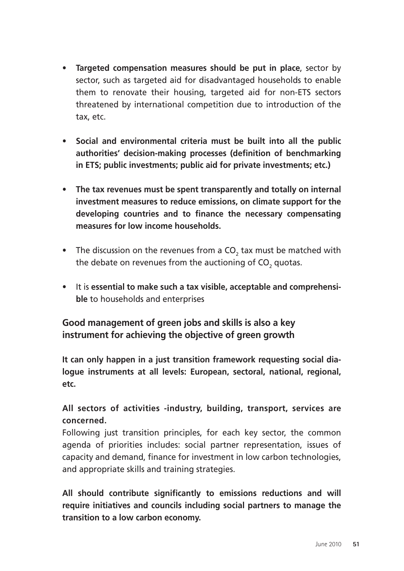- **Targeted compensation measures should be put in place**, sector by sector, such as targeted aid for disadvantaged households to enable them to renovate their housing, targeted aid for non-ETS sectors threatened by international competition due to introduction of the tax, etc.
- **Social and environmental criteria must be built into all the public authorities' decision-making processes (definition of benchmarking in ETS; public investments; public aid for private investments; etc.)**
- **The tax revenues must be spent transparently and totally on internal investment measures to reduce emissions, on climate support for the developing countries and to finance the necessary compensating measures for low income households.**
- The discussion on the revenues from a CO<sub>2</sub> tax must be matched with the debate on revenues from the auctioning of CO<sub>2</sub> quotas.
- It is **essential to make such a tax visible, acceptable and comprehensible** to households and enterprises

**Good management of green jobs and skills is also a key instrument for achieving the objective of green growth** 

**It can only happen in a just transition framework requesting social dialogue instruments at all levels: European, sectoral, national, regional, etc.** 

#### **All sectors of activities -industry, building, transport, services are concerned.**

Following just transition principles, for each key sector, the common agenda of priorities includes: social partner representation, issues of capacity and demand, finance for investment in low carbon technologies, and appropriate skills and training strategies.

**All should contribute significantly to emissions reductions and will require initiatives and councils including social partners to manage the transition to a low carbon economy.**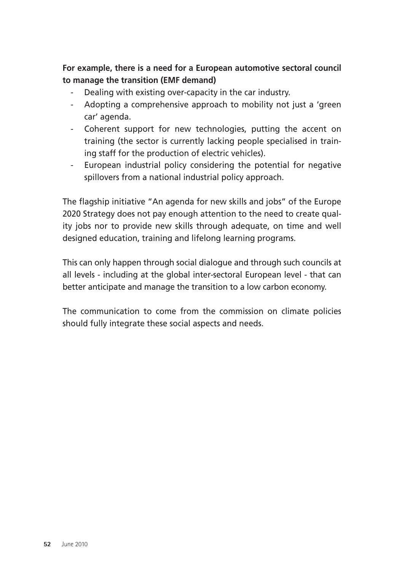#### **For example, there is a need for a European automotive sectoral council to manage the transition (EMF demand)**

- Dealing with existing over-capacity in the car industry.
- Adopting a comprehensive approach to mobility not just a 'green car' agenda.
- Coherent support for new technologies, putting the accent on training (the sector is currently lacking people specialised in training staff for the production of electric vehicles).
- European industrial policy considering the potential for negative spillovers from a national industrial policy approach.

The flagship initiative "An agenda for new skills and jobs" of the Europe 2020 Strategy does not pay enough attention to the need to create quality jobs nor to provide new skills through adequate, on time and well designed education, training and lifelong learning programs.

This can only happen through social dialogue and through such councils at all levels - including at the global inter-sectoral European level - that can better anticipate and manage the transition to a low carbon economy.

The communication to come from the commission on climate policies should fully integrate these social aspects and needs.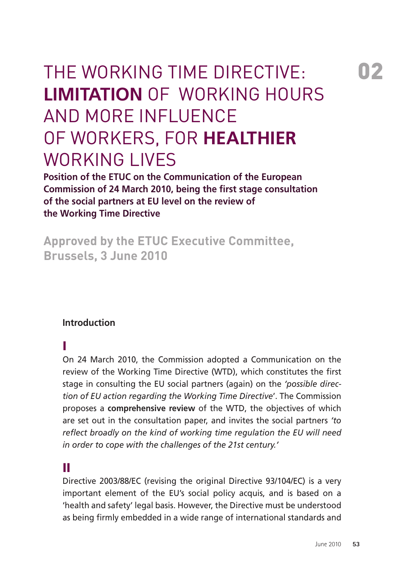# The Working Time Directive: **Limitation** of working hours and more influence of workers, for **healthier** WORKING LIVES

**Position of the ETUC on the Communication of the European Commission of 24 March 2010, being the first stage consultation of the social partners at EU level on the review of the Working Time Directive** 

**Approved by the ETUC Executive Committee, Brussels, 3 June 2010** 

#### **Introduction**

#### I

On 24 March 2010, the Commission adopted a Communication on the review of the Working Time Directive (WTD), which constitutes the first stage in consulting the EU social partners (again) on the *'possible direction of EU action regarding the Working Time Directive*'. The Commission proposes a **comprehensive review** of the WTD, the objectives of which are set out in the consultation paper, and invites the social partners *'to reflect broadly on the kind of working time regulation the EU will need in order to cope with the challenges of the 21st century.'*

#### II

Directive 2003/88/EC (revising the original Directive 93/104/EC) is a very important element of the EU's social policy acquis, and is based on a 'health and safety' legal basis. However, the Directive must be understood as being firmly embedded in a wide range of international standards and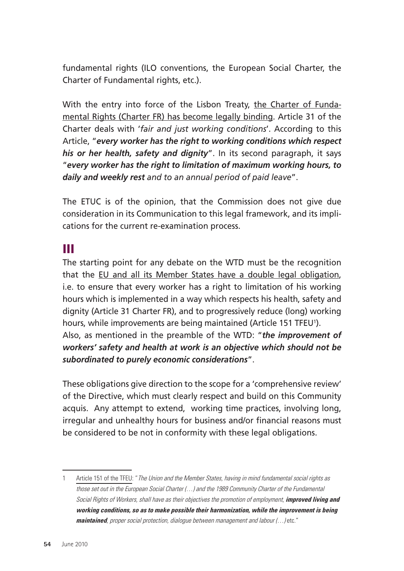fundamental rights (ILO conventions, the European Social Charter, the Charter of Fundamental rights, etc.).

With the entry into force of the Lisbon Treaty, the Charter of Fundamental Rights (Charter FR) has become legally binding. Article 31 of the Charter deals with '*fair and just working conditions*'. According to this Article, "*every worker has the right to working conditions which respect his or her health, safety and dignity*". In its second paragraph, it says "*every worker has the right to limitation of maximum working hours, to daily and weekly rest and to an annual period of paid leave*".

The ETUC is of the opinion, that the Commission does not give due consideration in its Communication to this legal framework, and its implications for the current re-examination process.

#### III

The starting point for any debate on the WTD must be the recognition that the EU and all its Member States have a double legal obligation, i.e. to ensure that every worker has a right to limitation of his working hours which is implemented in a way which respects his health, safety and dignity (Article 31 Charter FR), and to progressively reduce (long) working hours, while improvements are being maintained (Article 151 TFEU'). Also, as mentioned in the preamble of the WTD: "*the improvement of workers' safety and health at work is an objective which should not be subordinated to purely economic considerations*".

These obligations give direction to the scope for a 'comprehensive review' of the Directive, which must clearly respect and build on this Community acquis. Any attempt to extend, working time practices, involving long, irregular and unhealthy hours for business and/or financial reasons must be considered to be not in conformity with these legal obligations.

<sup>1</sup> Article 151 of the TFEU: "The Union and the Member States, having in mind fundamental social rights as those set out in the European Social Charter (…) and the 1989 Community Charter of the Fundamental Social Rights of Workers, shall have as their objectives the promotion of employment, **improved living and working conditions, so as to make possible their harmonization, while the improvement is being maintained**, proper social protection, dialogue between management and labour (…) etc."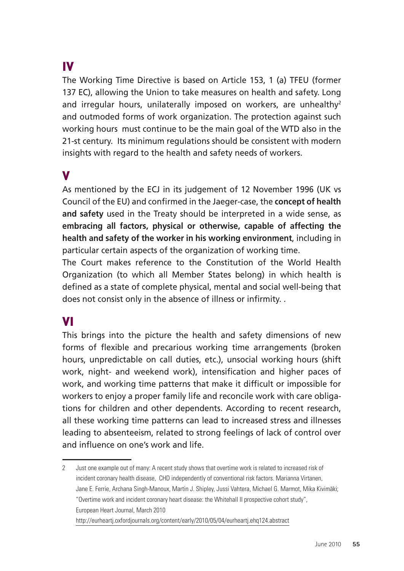### IV

The Working Time Directive is based on Article 153, 1 (a) TFEU (former 137 EC), allowing the Union to take measures on health and safety. Long and irregular hours, unilaterally imposed on workers, are unhealthy<sup>2</sup> and outmoded forms of work organization. The protection against such working hours must continue to be the main goal of the WTD also in the 21-st century. Its minimum regulations should be consistent with modern insights with regard to the health and safety needs of workers.

#### V

As mentioned by the ECJ in its judgement of 12 November 1996 (UK vs Council of the EU) and confirmed in the Jaeger-case, the **concept of health and safety** used in the Treaty should be interpreted in a wide sense, as **embracing all factors, physical or otherwise, capable of affecting the health and safety of the worker in his working environment**, including in particular certain aspects of the organization of working time.

The Court makes reference to the Constitution of the World Health Organization (to which all Member States belong) in which health is defined as a state of complete physical, mental and social well-being that does not consist only in the absence of illness or infirmity. .

#### VI

This brings into the picture the health and safety dimensions of new forms of flexible and precarious working time arrangements (broken hours, unpredictable on call duties, etc.), unsocial working hours (shift work, night- and weekend work), intensification and higher paces of work, and working time patterns that make it difficult or impossible for workers to enjoy a proper family life and reconcile work with care obligations for children and other dependents. According to recent research, all these working time patterns can lead to increased stress and illnesses leading to absenteeism, related to strong feelings of lack of control over and influence on one's work and life.

<sup>2</sup> Just one example out of many: A recent study shows that overtime work is related to increased risk of incident coronary health disease, CHD independently of conventional risk factors. Marianna Virtanen, Jane E. Ferrie, Archana Singh-Manoux, Martin J. Shipley, Jussi Vahtera, Michael G. Marmot, Mika Kivimäki; "Overtime work and incident coronary heart disease: the Whitehall II prospective cohort study", European Heart Journal, March 2010 http://eurheartj.oxfordjournals.org/content/early/2010/05/04/eurheartj.ehq124.abstract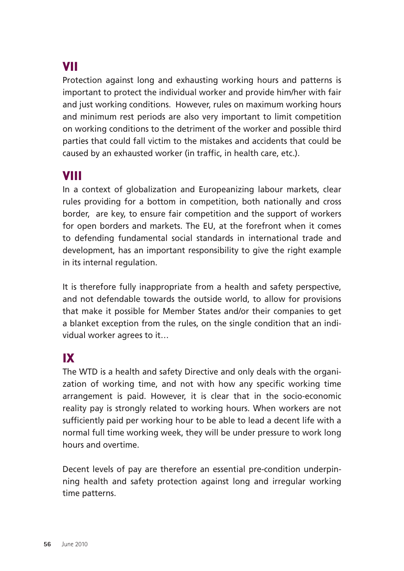### VII

Protection against long and exhausting working hours and patterns is important to protect the individual worker and provide him/her with fair and just working conditions. However, rules on maximum working hours and minimum rest periods are also very important to limit competition on working conditions to the detriment of the worker and possible third parties that could fall victim to the mistakes and accidents that could be caused by an exhausted worker (in traffic, in health care, etc.).

### VIII

In a context of globalization and Europeanizing labour markets, clear rules providing for a bottom in competition, both nationally and cross border, are key, to ensure fair competition and the support of workers for open borders and markets. The EU, at the forefront when it comes to defending fundamental social standards in international trade and development, has an important responsibility to give the right example in its internal regulation.

It is therefore fully inappropriate from a health and safety perspective, and not defendable towards the outside world, to allow for provisions that make it possible for Member States and/or their companies to get a blanket exception from the rules, on the single condition that an individual worker agrees to it…

### IX

The WTD is a health and safety Directive and only deals with the organization of working time, and not with how any specific working time arrangement is paid. However, it is clear that in the socio-economic reality pay is strongly related to working hours. When workers are not sufficiently paid per working hour to be able to lead a decent life with a normal full time working week, they will be under pressure to work long hours and overtime.

Decent levels of pay are therefore an essential pre-condition underpinning health and safety protection against long and irregular working time patterns.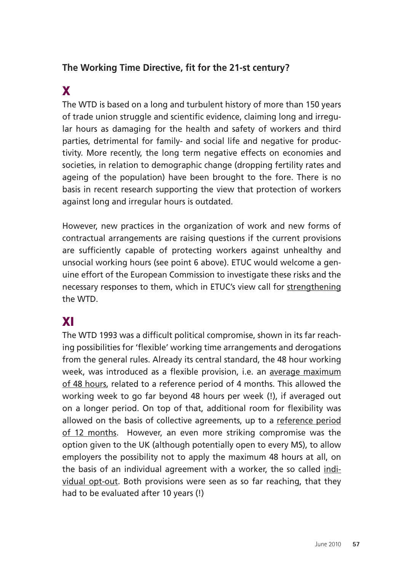#### **The Working Time Directive, fit for the 21-st century?**

### X

The WTD is based on a long and turbulent history of more than 150 years of trade union struggle and scientific evidence, claiming long and irregular hours as damaging for the health and safety of workers and third parties, detrimental for family- and social life and negative for productivity. More recently, the long term negative effects on economies and societies, in relation to demographic change (dropping fertility rates and ageing of the population) have been brought to the fore. There is no basis in recent research supporting the view that protection of workers against long and irregular hours is outdated.

However, new practices in the organization of work and new forms of contractual arrangements are raising questions if the current provisions are sufficiently capable of protecting workers against unhealthy and unsocial working hours (see point 6 above). ETUC would welcome a genuine effort of the European Commission to investigate these risks and the necessary responses to them, which in ETUC's view call for strengthening the WTD.

### XI

The WTD 1993 was a difficult political compromise, shown in its far reaching possibilities for 'flexible' working time arrangements and derogations from the general rules. Already its central standard, the 48 hour working week, was introduced as a flexible provision, i.e. an average maximum of 48 hours, related to a reference period of 4 months. This allowed the working week to go far beyond 48 hours per week (!), if averaged out on a longer period. On top of that, additional room for flexibility was allowed on the basis of collective agreements, up to a reference period of 12 months. However, an even more striking compromise was the option given to the UK (although potentially open to every MS), to allow employers the possibility not to apply the maximum 48 hours at all, on the basis of an individual agreement with a worker, the so called individual opt-out. Both provisions were seen as so far reaching, that they had to be evaluated after 10 years (!)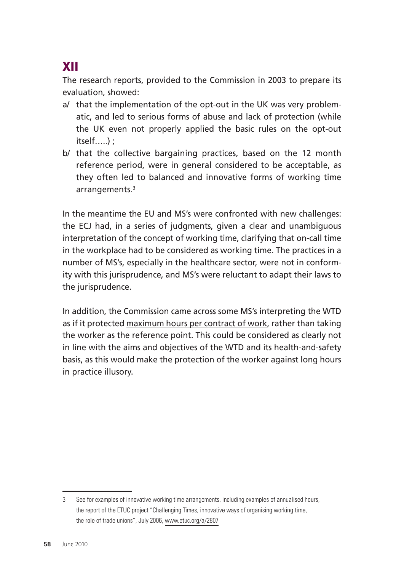## XII

The research reports, provided to the Commission in 2003 to prepare its evaluation, showed:

- a/ that the implementation of the opt-out in the UK was very problematic, and led to serious forms of abuse and lack of protection (while the UK even not properly applied the basic rules on the opt-out itself…..) ;
- b/ that the collective bargaining practices, based on the 12 month reference period, were in general considered to be acceptable, as they often led to balanced and innovative forms of working time arrangements.3

In the meantime the EU and MS's were confronted with new challenges: the ECJ had, in a series of judgments, given a clear and unambiguous interpretation of the concept of working time, clarifying that on-call time in the workplace had to be considered as working time. The practices in a number of MS's, especially in the healthcare sector, were not in conformity with this jurisprudence, and MS's were reluctant to adapt their laws to the jurisprudence.

In addition, the Commission came across some MS's interpreting the WTD as if it protected maximum hours per contract of work, rather than taking the worker as the reference point. This could be considered as clearly not in line with the aims and objectives of the WTD and its health-and-safety basis, as this would make the protection of the worker against long hours in practice illusory.

<sup>3</sup> See for examples of innovative working time arrangements, including examples of annualised hours, the report of the ETUC project "Challenging Times, innovative ways of organising working time, the role of trade unions", July 2006, www.etuc.org/a/2807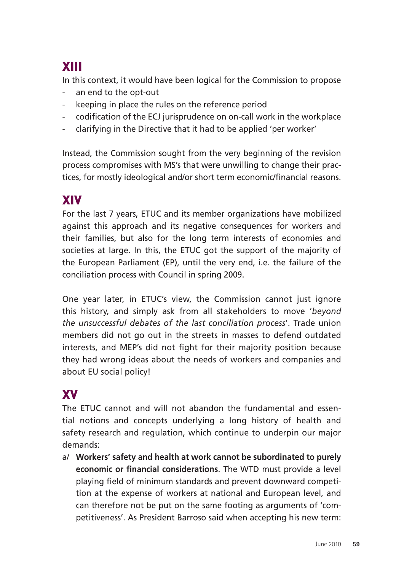# XIII

In this context, it would have been logical for the Commission to propose

- an end to the opt-out
- keeping in place the rules on the reference period
- codification of the ECJ jurisprudence on on-call work in the workplace
- clarifying in the Directive that it had to be applied 'per worker'

Instead, the Commission sought from the very beginning of the revision process compromises with MS's that were unwilling to change their practices, for mostly ideological and/or short term economic/financial reasons.

### XIV

For the last 7 years, ETUC and its member organizations have mobilized against this approach and its negative consequences for workers and their families, but also for the long term interests of economies and societies at large. In this, the ETUC got the support of the majority of the European Parliament (EP), until the very end, i.e. the failure of the conciliation process with Council in spring 2009.

One year later, in ETUC's view, the Commission cannot just ignore this history, and simply ask from all stakeholders to move '*beyond the unsuccessful debates of the last conciliation process*'. Trade union members did not go out in the streets in masses to defend outdated interests, and MEP's did not fight for their majority position because they had wrong ideas about the needs of workers and companies and about EU social policy!

### XV

The ETUC cannot and will not abandon the fundamental and essential notions and concepts underlying a long history of health and safety research and regulation, which continue to underpin our major demands:

a/ **Workers' safety and health at work cannot be subordinated to purely economic or financial considerations**. The WTD must provide a level playing field of minimum standards and prevent downward competition at the expense of workers at national and European level, and can therefore not be put on the same footing as arguments of 'competitiveness'. As President Barroso said when accepting his new term: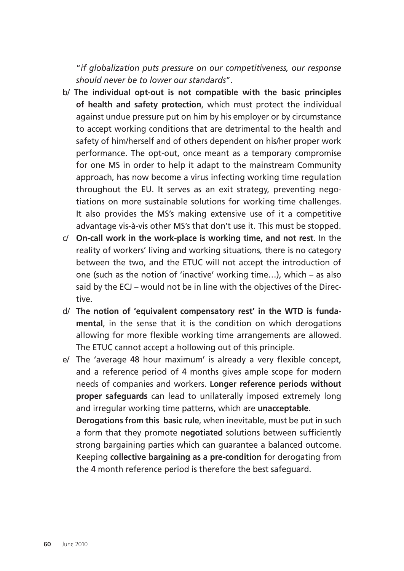"*if globalization puts pressure on our competitiveness, our response should never be to lower our standards*".

- b/ **The individual opt-out is not compatible with the basic principles of health and safety protection**, which must protect the individual against undue pressure put on him by his employer or by circumstance to accept working conditions that are detrimental to the health and safety of him/herself and of others dependent on his/her proper work performance. The opt-out, once meant as a temporary compromise for one MS in order to help it adapt to the mainstream Community approach, has now become a virus infecting working time regulation throughout the EU. It serves as an exit strategy, preventing negotiations on more sustainable solutions for working time challenges. It also provides the MS's making extensive use of it a competitive advantage vis-à-vis other MS's that don't use it. This must be stopped.
- c/ **On-call work in the work-place is working time, and not rest**. In the reality of workers' living and working situations, there is no category between the two, and the ETUC will not accept the introduction of one (such as the notion of 'inactive' working time…), which – as also said by the ECJ – would not be in line with the objectives of the Directive.
- d/ **The notion of 'equivalent compensatory rest' in the WTD is fundamental**, in the sense that it is the condition on which derogations allowing for more flexible working time arrangements are allowed. The ETUC cannot accept a hollowing out of this principle.
- e/ The 'average 48 hour maximum' is already a very flexible concept, and a reference period of 4 months gives ample scope for modern needs of companies and workers. **Longer reference periods without proper safeguards** can lead to unilaterally imposed extremely long and irregular working time patterns, which are **unacceptable**.

**Derogations from this basic rule**, when inevitable, must be put in such a form that they promote **negotiated** solutions between sufficiently strong bargaining parties which can guarantee a balanced outcome. Keeping **collective bargaining as a pre-condition** for derogating from the 4 month reference period is therefore the best safeguard.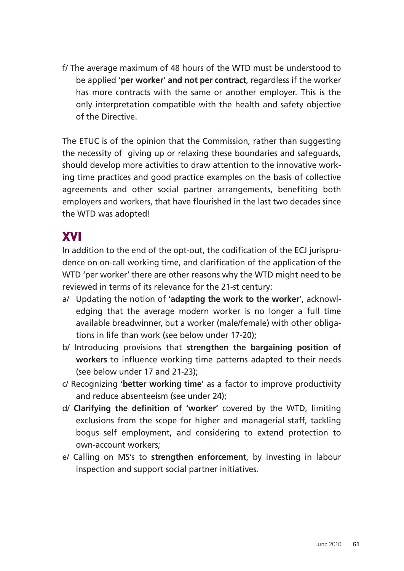f/ The average maximum of 48 hours of the WTD must be understood to be applied '**per worker' and not per contract**, regardless if the worker has more contracts with the same or another employer. This is the only interpretation compatible with the health and safety objective of the Directive.

The ETUC is of the opinion that the Commission, rather than suggesting the necessity of giving up or relaxing these boundaries and safeguards, should develop more activities to draw attention to the innovative working time practices and good practice examples on the basis of collective agreements and other social partner arrangements, benefiting both employers and workers, that have flourished in the last two decades since the WTD was adopted!

### XVI

In addition to the end of the opt-out, the codification of the ECJ jurisprudence on on-call working time, and clarification of the application of the WTD 'per worker' there are other reasons why the WTD might need to be reviewed in terms of its relevance for the 21-st century:

- a/ Updating the notion of '**adapting the work to the worker**', acknowledging that the average modern worker is no longer a full time available breadwinner, but a worker (male/female) with other obligations in life than work (see below under 17-20);
- b/ Introducing provisions that **strengthen the bargaining position of workers** to influence working time patterns adapted to their needs (see below under 17 and 21-23);
- c/ Recognizing '**better working time**' as a factor to improve productivity and reduce absenteeism (see under 24);
- d/ **Clarifying the definition of 'worker'** covered by the WTD, limiting exclusions from the scope for higher and managerial staff, tackling bogus self employment, and considering to extend protection to own-account workers;
- e/ Calling on MS's to **strengthen enforcement**, by investing in labour inspection and support social partner initiatives.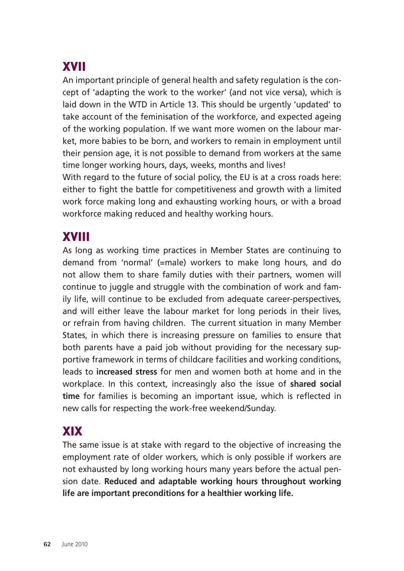## XVII

An important principle of general health and safety regulation is the concept of 'adapting the work to the worker' (and not vice versa), which is laid down in the WTD in Article 13. This should be urgently 'updated' to take account of the feminisation of the workforce, and expected ageing of the working population. If we want more women on the labour market, more babies to be born, and workers to remain in employment until their pension age, it is not possible to demand from workers at the same time longer working hours, days, weeks, months and lives!

With regard to the future of social policy, the EU is at a cross roads here: either to fight the battle for competitiveness and growth with a limited work force making long and exhausting working hours, or with a broad workforce making reduced and healthy working hours.

### XVIII

As long as working time practices in Member States are continuing to demand from 'normal' (=male) workers to make long hours, and do not allow them to share family duties with their partners, women will continue to juggle and struggle with the combination of work and family life, will continue to be excluded from adequate career-perspectives, and will either leave the labour market for long periods in their lives, or refrain from having children. The current situation in many Member States, in which there is increasing pressure on families to ensure that both parents have a paid job without providing for the necessary supportive framework in terms of childcare facilities and working conditions, leads to **increased stress** for men and women both at home and in the workplace. In this context, increasingly also the issue of **shared social time** for families is becoming an important issue, which is reflected in new calls for respecting the work-free weekend/Sunday.

### XIX

The same issue is at stake with regard to the objective of increasing the employment rate of older workers, which is only possible if workers are not exhausted by long working hours many years before the actual pension date. **Reduced and adaptable working hours throughout working life are important preconditions for a healthier working life.**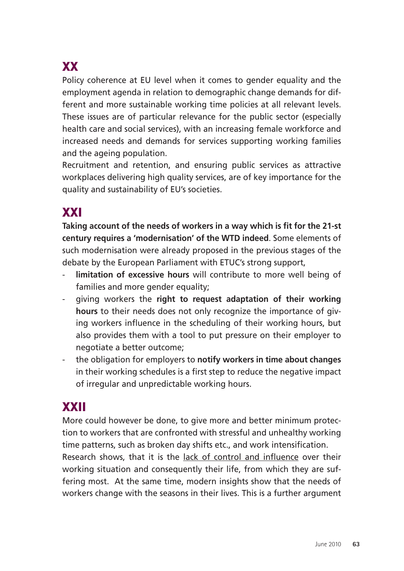# **XX**

Policy coherence at EU level when it comes to gender equality and the employment agenda in relation to demographic change demands for different and more sustainable working time policies at all relevant levels. These issues are of particular relevance for the public sector (especially health care and social services), with an increasing female workforce and increased needs and demands for services supporting working families and the ageing population.

Recruitment and retention, and ensuring public services as attractive workplaces delivering high quality services, are of key importance for the quality and sustainability of EU's societies.

### XXI

**Taking account of the needs of workers in a way which is fit for the 21-st century requires a 'modernisation' of the WTD indeed**. Some elements of such modernisation were already proposed in the previous stages of the debate by the European Parliament with ETUC's strong support,

- limitation of excessive hours will contribute to more well being of families and more gender equality;
- giving workers the **right to request adaptation of their working hours** to their needs does not only recognize the importance of giving workers influence in the scheduling of their working hours, but also provides them with a tool to put pressure on their employer to negotiate a better outcome;
- the obligation for employers to **notify workers in time about changes** in their working schedules is a first step to reduce the negative impact of irregular and unpredictable working hours.

### XXII

More could however be done, to give more and better minimum protection to workers that are confronted with stressful and unhealthy working time patterns, such as broken day shifts etc., and work intensification.

Research shows, that it is the lack of control and influence over their working situation and consequently their life, from which they are suffering most. At the same time, modern insights show that the needs of workers change with the seasons in their lives. This is a further argument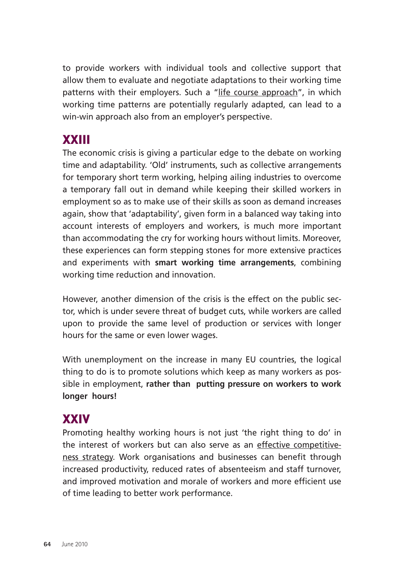to provide workers with individual tools and collective support that allow them to evaluate and negotiate adaptations to their working time patterns with their employers. Such a "life course approach", in which working time patterns are potentially regularly adapted, can lead to a win-win approach also from an employer's perspective.

### XXIII

The economic crisis is giving a particular edge to the debate on working time and adaptability. 'Old' instruments, such as collective arrangements for temporary short term working, helping ailing industries to overcome a temporary fall out in demand while keeping their skilled workers in employment so as to make use of their skills as soon as demand increases again, show that 'adaptability', given form in a balanced way taking into account interests of employers and workers, is much more important than accommodating the cry for working hours without limits. Moreover, these experiences can form stepping stones for more extensive practices and experiments with **smart working time arrangements**, combining working time reduction and innovation.

However, another dimension of the crisis is the effect on the public sector, which is under severe threat of budget cuts, while workers are called upon to provide the same level of production or services with longer hours for the same or even lower wages.

With unemployment on the increase in many EU countries, the logical thing to do is to promote solutions which keep as many workers as possible in employment, **rather than putting pressure on workers to work longer hours!** 

### **XXIV**

Promoting healthy working hours is not just 'the right thing to do' in the interest of workers but can also serve as an effective competitiveness strategy. Work organisations and businesses can benefit through increased productivity, reduced rates of absenteeism and staff turnover, and improved motivation and morale of workers and more efficient use of time leading to better work performance.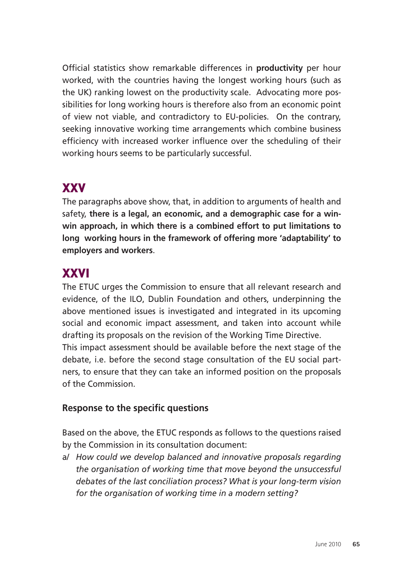Official statistics show remarkable differences in **productivity** per hour worked, with the countries having the longest working hours (such as the UK) ranking lowest on the productivity scale. Advocating more possibilities for long working hours is therefore also from an economic point of view not viable, and contradictory to EU-policies. On the contrary, seeking innovative working time arrangements which combine business efficiency with increased worker influence over the scheduling of their working hours seems to be particularly successful.

### XXV

The paragraphs above show, that, in addition to arguments of health and safety, **there is a legal, an economic, and a demographic case for a winwin approach, in which there is a combined effort to put limitations to long working hours in the framework of offering more 'adaptability' to employers and workers**.

### XXVI

The ETUC urges the Commission to ensure that all relevant research and evidence, of the ILO, Dublin Foundation and others, underpinning the above mentioned issues is investigated and integrated in its upcoming social and economic impact assessment, and taken into account while drafting its proposals on the revision of the Working Time Directive. This impact assessment should be available before the next stage of the debate, i.e. before the second stage consultation of the EU social partners, to ensure that they can take an informed position on the proposals of the Commission.

#### **Response to the specific questions**

Based on the above, the ETUC responds as follows to the questions raised by the Commission in its consultation document:

a/ *How could we develop balanced and innovative proposals regarding the organisation of working time that move beyond the unsuccessful debates of the last conciliation process? What is your long-term vision for the organisation of working time in a modern setting?*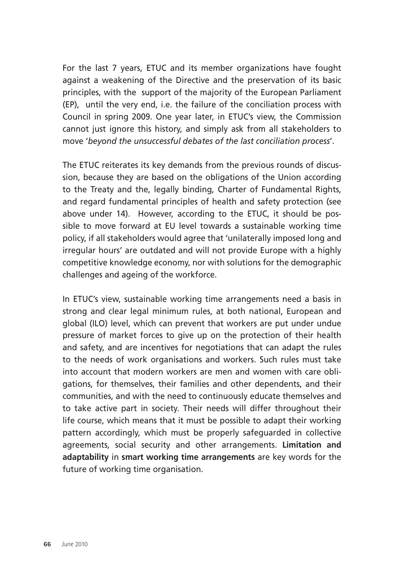For the last 7 years, ETUC and its member organizations have fought against a weakening of the Directive and the preservation of its basic principles, with the support of the majority of the European Parliament (EP), until the very end, i.e. the failure of the conciliation process with Council in spring 2009. One year later, in ETUC's view, the Commission cannot just ignore this history, and simply ask from all stakeholders to move '*beyond the unsuccessful debates of the last conciliation process*'.

The ETUC reiterates its key demands from the previous rounds of discussion, because they are based on the obligations of the Union according to the Treaty and the, legally binding, Charter of Fundamental Rights, and regard fundamental principles of health and safety protection (see above under 14). However, according to the ETUC, it should be possible to move forward at EU level towards a sustainable working time policy, if all stakeholders would agree that 'unilaterally imposed long and irregular hours' are outdated and will not provide Europe with a highly competitive knowledge economy, nor with solutions for the demographic challenges and ageing of the workforce.

In ETUC's view, sustainable working time arrangements need a basis in strong and clear legal minimum rules, at both national, European and global (ILO) level, which can prevent that workers are put under undue pressure of market forces to give up on the protection of their health and safety, and are incentives for negotiations that can adapt the rules to the needs of work organisations and workers. Such rules must take into account that modern workers are men and women with care obligations, for themselves, their families and other dependents, and their communities, and with the need to continuously educate themselves and to take active part in society. Their needs will differ throughout their life course, which means that it must be possible to adapt their working pattern accordingly, which must be properly safeguarded in collective agreements, social security and other arrangements. **Limitation and adaptability** in **smart working time arrangements** are key words for the future of working time organisation.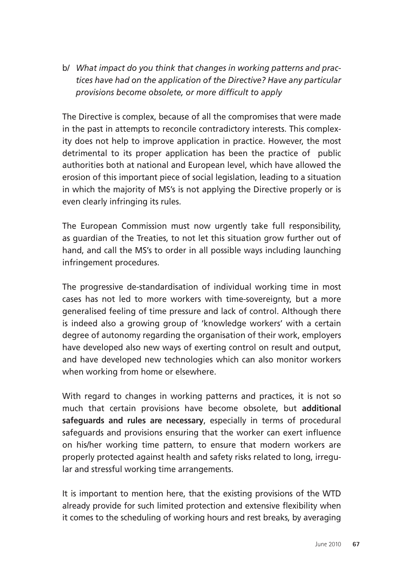b/ *What impact do you think that changes in working patterns and practices have had on the application of the Directive? Have any particular provisions become obsolete, or more difficult to apply* 

The Directive is complex, because of all the compromises that were made in the past in attempts to reconcile contradictory interests. This complexity does not help to improve application in practice. However, the most detrimental to its proper application has been the practice of public authorities both at national and European level, which have allowed the erosion of this important piece of social legislation, leading to a situation in which the majority of MS's is not applying the Directive properly or is even clearly infringing its rules.

The European Commission must now urgently take full responsibility, as guardian of the Treaties, to not let this situation grow further out of hand, and call the MS's to order in all possible ways including launching infringement procedures.

The progressive de-standardisation of individual working time in most cases has not led to more workers with time-sovereignty, but a more generalised feeling of time pressure and lack of control. Although there is indeed also a growing group of 'knowledge workers' with a certain degree of autonomy regarding the organisation of their work, employers have developed also new ways of exerting control on result and output, and have developed new technologies which can also monitor workers when working from home or elsewhere.

With regard to changes in working patterns and practices, it is not so much that certain provisions have become obsolete, but **additional safeguards and rules are necessary**, especially in terms of procedural safeguards and provisions ensuring that the worker can exert influence on his/her working time pattern, to ensure that modern workers are properly protected against health and safety risks related to long, irregular and stressful working time arrangements.

It is important to mention here, that the existing provisions of the WTD already provide for such limited protection and extensive flexibility when it comes to the scheduling of working hours and rest breaks, by averaging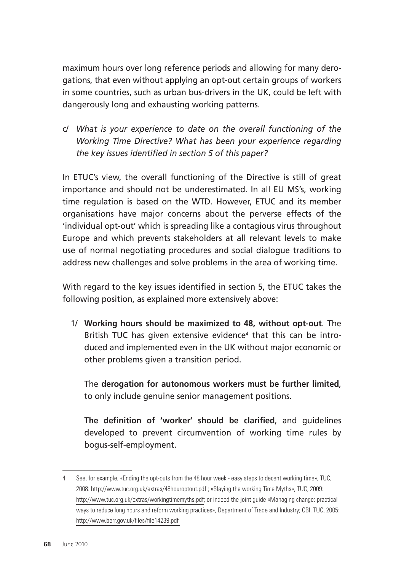maximum hours over long reference periods and allowing for many derogations, that even without applying an opt-out certain groups of workers in some countries, such as urban bus-drivers in the UK, could be left with dangerously long and exhausting working patterns.

c/ *What is your experience to date on the overall functioning of the Working Time Directive? What has been your experience regarding the key issues identified in section 5 of this paper?*

In ETUC's view, the overall functioning of the Directive is still of great importance and should not be underestimated. In all EU MS's, working time regulation is based on the WTD. However, ETUC and its member organisations have major concerns about the perverse effects of the 'individual opt-out' which is spreading like a contagious virus throughout Europe and which prevents stakeholders at all relevant levels to make use of normal negotiating procedures and social dialogue traditions to address new challenges and solve problems in the area of working time.

With regard to the key issues identified in section 5, the ETUC takes the following position, as explained more extensively above:

1/ **Working hours should be maximized to 48, without opt-out**. The British TUC has given extensive evidence<sup>4</sup> that this can be introduced and implemented even in the UK without major economic or other problems given a transition period.

The **derogation for autonomous workers must be further limited**, to only include genuine senior management positions.

**The definition of 'worker' should be clarified**, and guidelines developed to prevent circumvention of working time rules by bogus-self-employment.

<sup>4</sup> See, for example, «Ending the opt-outs from the 48 hour week - easy steps to decent working time», TUC, 2008: http://www.tuc.org.uk/extras/48houroptout.pdf ; «Slaying the working Time Myths», TUC, 2009: http://www.tuc.org.uk/extras/workingtimemyths.pdf; or indeed the joint guide «Managing change: practical ways to reduce long hours and reform working practices», Department of Trade and Industry; CBI, TUC, 2005: http://www.berr.gov.uk/files/file14239.pdf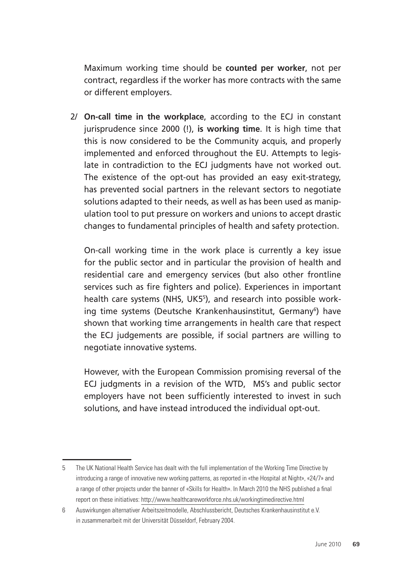Maximum working time should be **counted per worker**, not per contract, regardless if the worker has more contracts with the same or different employers.

2/ **On-call time in the workplace**, according to the ECJ in constant jurisprudence since 2000 (!), **is working time**. It is high time that this is now considered to be the Community acquis, and properly implemented and enforced throughout the EU. Attempts to legislate in contradiction to the ECJ judgments have not worked out. The existence of the opt-out has provided an easy exit-strategy, has prevented social partners in the relevant sectors to negotiate solutions adapted to their needs, as well as has been used as manipulation tool to put pressure on workers and unions to accept drastic changes to fundamental principles of health and safety protection.

On-call working time in the work place is currently a key issue for the public sector and in particular the provision of health and residential care and emergency services (but also other frontline services such as fire fighters and police). Experiences in important health care systems (NHS, UK55 ), and research into possible working time systems (Deutsche Krankenhausinstitut, Germany<sup>6</sup>) have shown that working time arrangements in health care that respect the ECJ judgements are possible, if social partners are willing to negotiate innovative systems.

However, with the European Commission promising reversal of the ECJ judgments in a revision of the WTD, MS's and public sector employers have not been sufficiently interested to invest in such solutions, and have instead introduced the individual opt-out.

<sup>5</sup> The UK National Health Service has dealt with the full implementation of the Working Time Directive by introducing a range of innovative new working patterns, as reported in «the Hospital at Night», «24/7» and a range of other projects under the banner of «Skills for Health». In March 2010 the NHS published a final report on these initiatives: http://www.healthcareworkforce.nhs.uk/workingtimedirective.html

<sup>6</sup> Auswirkungen alternativer Arbeitszeitmodelle, Abschlussbericht, Deutsches Krankenhausinstitut e.V. in zusammenarbeit mit der Universität Düsseldorf, February 2004.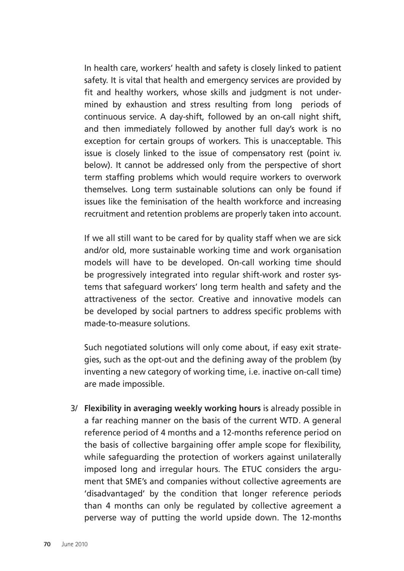In health care, workers' health and safety is closely linked to patient safety. It is vital that health and emergency services are provided by fit and healthy workers, whose skills and judgment is not undermined by exhaustion and stress resulting from long periods of continuous service. A day-shift, followed by an on-call night shift, and then immediately followed by another full day's work is no exception for certain groups of workers. This is unacceptable. This issue is closely linked to the issue of compensatory rest (point iv. below). It cannot be addressed only from the perspective of short term staffing problems which would require workers to overwork themselves. Long term sustainable solutions can only be found if issues like the feminisation of the health workforce and increasing recruitment and retention problems are properly taken into account.

If we all still want to be cared for by quality staff when we are sick and/or old, more sustainable working time and work organisation models will have to be developed. On-call working time should be progressively integrated into regular shift-work and roster systems that safeguard workers' long term health and safety and the attractiveness of the sector. Creative and innovative models can be developed by social partners to address specific problems with made-to-measure solutions.

Such negotiated solutions will only come about, if easy exit strategies, such as the opt-out and the defining away of the problem (by inventing a new category of working time, i.e. inactive on-call time) are made impossible.

3/ **Flexibility in averaging weekly working hours** is already possible in a far reaching manner on the basis of the current WTD. A general reference period of 4 months and a 12-months reference period on the basis of collective bargaining offer ample scope for flexibility, while safeguarding the protection of workers against unilaterally imposed long and irregular hours. The ETUC considers the argument that SME's and companies without collective agreements are 'disadvantaged' by the condition that longer reference periods than 4 months can only be regulated by collective agreement a perverse way of putting the world upside down. The 12-months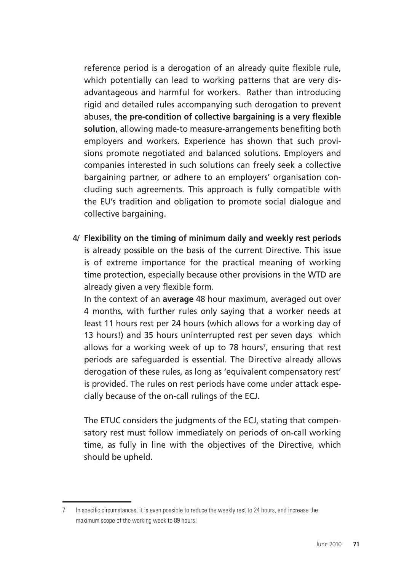reference period is a derogation of an already quite flexible rule, which potentially can lead to working patterns that are very disadvantageous and harmful for workers. Rather than introducing rigid and detailed rules accompanying such derogation to prevent abuses, **the pre-condition of collective bargaining is a very flexible solution**, allowing made-to measure-arrangements benefiting both employers and workers. Experience has shown that such provisions promote negotiated and balanced solutions. Employers and companies interested in such solutions can freely seek a collective bargaining partner, or adhere to an employers' organisation concluding such agreements. This approach is fully compatible with the EU's tradition and obligation to promote social dialogue and collective bargaining.

 4/ **Flexibility on the timing of minimum daily and weekly rest periods**  is already possible on the basis of the current Directive. This issue is of extreme importance for the practical meaning of working time protection, especially because other provisions in the WTD are already given a very flexible form.

In the context of an **average** 48 hour maximum, averaged out over 4 months, with further rules only saying that a worker needs at least 11 hours rest per 24 hours (which allows for a working day of 13 hours!) and 35 hours uninterrupted rest per seven days which allows for a working week of up to 78 hours<sup>7</sup>, ensuring that rest periods are safeguarded is essential. The Directive already allows derogation of these rules, as long as 'equivalent compensatory rest' is provided. The rules on rest periods have come under attack especially because of the on-call rulings of the ECJ.

The ETUC considers the judgments of the ECJ, stating that compensatory rest must follow immediately on periods of on-call working time, as fully in line with the objectives of the Directive, which should be upheld.

<sup>7</sup> In specific circumstances, it is even possible to reduce the weekly rest to 24 hours, and increase the maximum scope of the working week to 89 hours!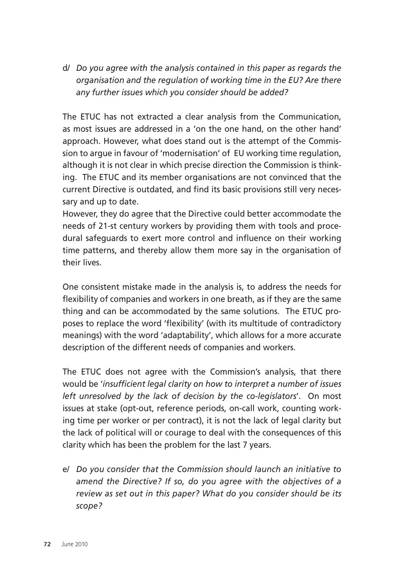d/ *Do you agree with the analysis contained in this paper as regards the organisation and the regulation of working time in the EU? Are there any further issues which you consider should be added?* 

The ETUC has not extracted a clear analysis from the Communication, as most issues are addressed in a 'on the one hand, on the other hand' approach. However, what does stand out is the attempt of the Commission to argue in favour of 'modernisation' of EU working time regulation, although it is not clear in which precise direction the Commission is thinking. The ETUC and its member organisations are not convinced that the current Directive is outdated, and find its basic provisions still very necessary and up to date.

However, they do agree that the Directive could better accommodate the needs of 21-st century workers by providing them with tools and procedural safeguards to exert more control and influence on their working time patterns, and thereby allow them more say in the organisation of their lives.

One consistent mistake made in the analysis is, to address the needs for flexibility of companies and workers in one breath, as if they are the same thing and can be accommodated by the same solutions. The ETUC proposes to replace the word 'flexibility' (with its multitude of contradictory meanings) with the word 'adaptability', which allows for a more accurate description of the different needs of companies and workers.

The ETUC does not agree with the Commission's analysis, that there would be '*insufficient legal clarity on how to interpret a number of issues left unresolved by the lack of decision by the co-legislators*'. On most issues at stake (opt-out, reference periods, on-call work, counting working time per worker or per contract), it is not the lack of legal clarity but the lack of political will or courage to deal with the consequences of this clarity which has been the problem for the last 7 years.

e/ *Do you consider that the Commission should launch an initiative to amend the Directive? If so, do you agree with the objectives of a review as set out in this paper? What do you consider should be its scope?*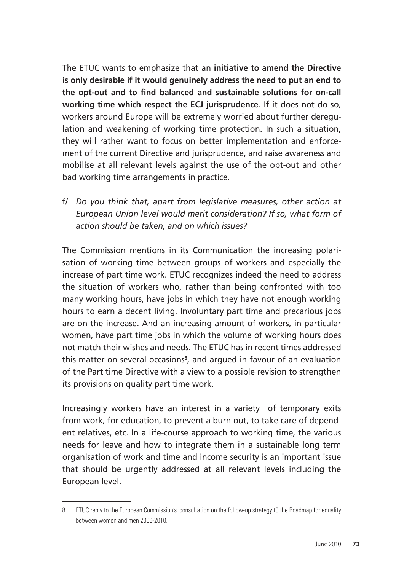The ETUC wants to emphasize that an **initiative to amend the Directive is only desirable if it would genuinely address the need to put an end to the opt-out and to find balanced and sustainable solutions for on-call working time which respect the ECJ jurisprudence**. If it does not do so, workers around Europe will be extremely worried about further deregulation and weakening of working time protection. In such a situation, they will rather want to focus on better implementation and enforcement of the current Directive and jurisprudence, and raise awareness and mobilise at all relevant levels against the use of the opt-out and other bad working time arrangements in practice.

f/ *Do you think that, apart from legislative measures, other action at European Union level would merit consideration? If so, what form of action should be taken, and on which issues?* 

The Commission mentions in its Communication the increasing polarisation of working time between groups of workers and especially the increase of part time work. ETUC recognizes indeed the need to address the situation of workers who, rather than being confronted with too many working hours, have jobs in which they have not enough working hours to earn a decent living. Involuntary part time and precarious jobs are on the increase. And an increasing amount of workers, in particular women, have part time jobs in which the volume of working hours does not match their wishes and needs. The ETUC has in recent times addressed this matter on several occasions<sup>8</sup>, and argued in favour of an evaluation of the Part time Directive with a view to a possible revision to strengthen its provisions on quality part time work.

Increasingly workers have an interest in a variety of temporary exits from work, for education, to prevent a burn out, to take care of dependent relatives, etc. In a life-course approach to working time, the various needs for leave and how to integrate them in a sustainable long term organisation of work and time and income security is an important issue that should be urgently addressed at all relevant levels including the European level.

<sup>8</sup> ETUC reply to the European Commission's consultation on the follow-up strategy t0 the Roadmap for equality between women and men 2006-2010.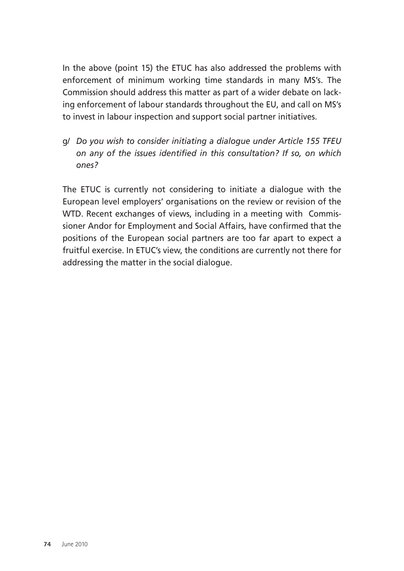In the above (point 15) the ETUC has also addressed the problems with enforcement of minimum working time standards in many MS's. The Commission should address this matter as part of a wider debate on lacking enforcement of labour standards throughout the EU, and call on MS's to invest in labour inspection and support social partner initiatives.

g/ *Do you wish to consider initiating a dialogue under Article 155 TFEU on any of the issues identified in this consultation? If so, on which ones?* 

The ETUC is currently not considering to initiate a dialogue with the European level employers' organisations on the review or revision of the WTD. Recent exchanges of views, including in a meeting with Commissioner Andor for Employment and Social Affairs, have confirmed that the positions of the European social partners are too far apart to expect a fruitful exercise. In ETUC's view, the conditions are currently not there for addressing the matter in the social dialogue.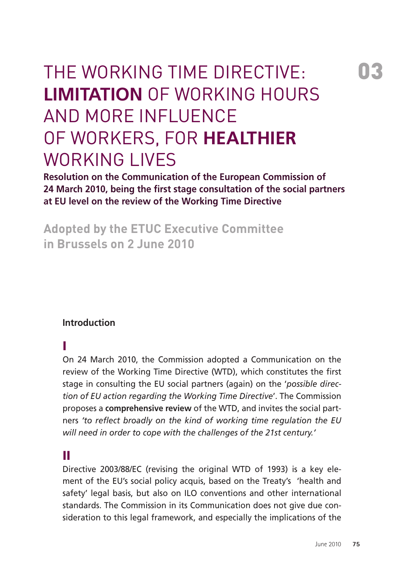# The Working Time Directive: **Limitation** of working hours and more influence of workers, for **healthier** working lives

**Resolution on the Communication of the European Commission of 24 March 2010, being the first stage consultation of the social partners at EU level on the review of the Working Time Directive** 

**Adopted by the ETUC Executive Committee in Brussels on 2 June 2010** 

### **Introduction**

### I

On 24 March 2010, the Commission adopted a Communication on the review of the Working Time Directive (WTD), which constitutes the first stage in consulting the EU social partners (again) on the '*possible direction of EU action regarding the Working Time Directive*'. The Commission proposes a **comprehensive review** of the WTD, and invites the social partners *'to reflect broadly on the kind of working time regulation the EU will need in order to cope with the challenges of the 21st century.'*

### II

Directive 2003/88/EC (revising the original WTD of 1993) is a key element of the EU's social policy acquis, based on the Treaty's 'health and safety' legal basis, but also on ILO conventions and other international standards. The Commission in its Communication does not give due consideration to this legal framework, and especially the implications of the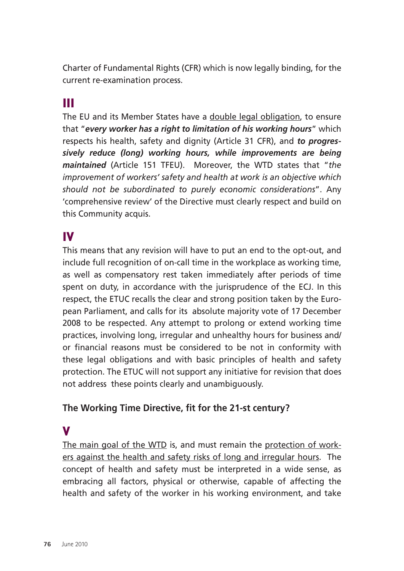Charter of Fundamental Rights (CFR) which is now legally binding, for the current re-examination process.

## III

The EU and its Member States have a double legal obligation, to ensure that "*every worker has a right to limitation of his working hours*" which respects his health, safety and dignity (Article 31 CFR), and *to progressively reduce (long) working hours, while improvements are being maintained* (Article 151 TFEU). Moreover, the WTD states that "*the improvement of workers' safety and health at work is an objective which should not be subordinated to purely economic considerations*". Any 'comprehensive review' of the Directive must clearly respect and build on this Community acquis.

### IV

This means that any revision will have to put an end to the opt-out, and include full recognition of on-call time in the workplace as working time, as well as compensatory rest taken immediately after periods of time spent on duty, in accordance with the jurisprudence of the ECJ. In this respect, the ETUC recalls the clear and strong position taken by the European Parliament, and calls for its absolute majority vote of 17 December 2008 to be respected. Any attempt to prolong or extend working time practices, involving long, irregular and unhealthy hours for business and/ or financial reasons must be considered to be not in conformity with these legal obligations and with basic principles of health and safety protection. The ETUC will not support any initiative for revision that does not address these points clearly and unambiguously.

### **The Working Time Directive, fit for the 21-st century?**

### V

The main goal of the WTD is, and must remain the protection of workers against the health and safety risks of long and irregular hours. The concept of health and safety must be interpreted in a wide sense, as embracing all factors, physical or otherwise, capable of affecting the health and safety of the worker in his working environment, and take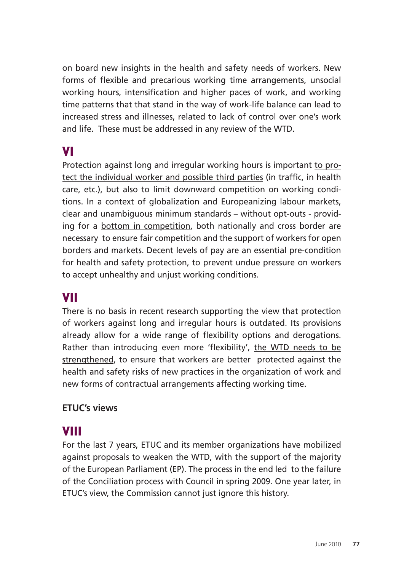on board new insights in the health and safety needs of workers. New forms of flexible and precarious working time arrangements, unsocial working hours, intensification and higher paces of work, and working time patterns that that stand in the way of work-life balance can lead to increased stress and illnesses, related to lack of control over one's work and life. These must be addressed in any review of the WTD.

## VI

Protection against long and irregular working hours is important to protect the individual worker and possible third parties (in traffic, in health care, etc.), but also to limit downward competition on working conditions. In a context of globalization and Europeanizing labour markets, clear and unambiguous minimum standards – without opt-outs - providing for a bottom in competition, both nationally and cross border are necessary to ensure fair competition and the support of workers for open borders and markets. Decent levels of pay are an essential pre-condition for health and safety protection, to prevent undue pressure on workers to accept unhealthy and unjust working conditions.

### VII

There is no basis in recent research supporting the view that protection of workers against long and irregular hours is outdated. Its provisions already allow for a wide range of flexibility options and derogations. Rather than introducing even more 'flexibility', the WTD needs to be strengthened, to ensure that workers are better protected against the health and safety risks of new practices in the organization of work and new forms of contractual arrangements affecting working time.

### **ETUC's views**

## VIII

For the last 7 years, ETUC and its member organizations have mobilized against proposals to weaken the WTD, with the support of the majority of the European Parliament (EP). The process in the end led to the failure of the Conciliation process with Council in spring 2009. One year later, in ETUC's view, the Commission cannot just ignore this history.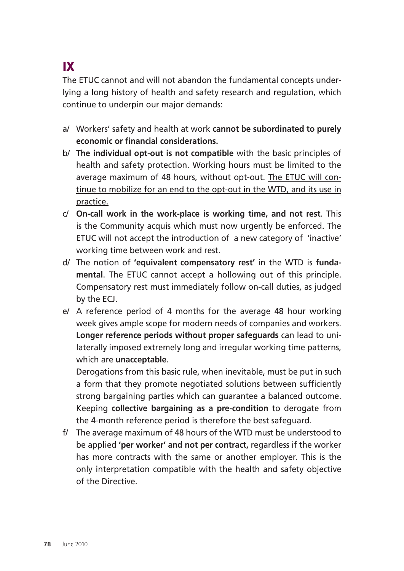# IX

The ETUC cannot and will not abandon the fundamental concepts underlying a long history of health and safety research and regulation, which continue to underpin our major demands:

- a/ Workers' safety and health at work **cannot be subordinated to purely economic or financial considerations.**
- b/ **The individual opt-out is not compatible** with the basic principles of health and safety protection. Working hours must be limited to the average maximum of 48 hours, without opt-out. The ETUC will continue to mobilize for an end to the opt-out in the WTD, and its use in practice.
- c/ **On-call work in the work-place is working time, and not rest**. This is the Community acquis which must now urgently be enforced. The ETUC will not accept the introduction of a new category of 'inactive' working time between work and rest.
- d/ The notion of **'equivalent compensatory rest'** in the WTD is **fundamental**. The ETUC cannot accept a hollowing out of this principle. Compensatory rest must immediately follow on-call duties, as judged by the ECJ.
- e/ A reference period of 4 months for the average 48 hour working week gives ample scope for modern needs of companies and workers. **Longer reference periods without proper safeguards** can lead to unilaterally imposed extremely long and irregular working time patterns, which are **unacceptable**.

Derogations from this basic rule, when inevitable, must be put in such a form that they promote negotiated solutions between sufficiently strong bargaining parties which can guarantee a balanced outcome. Keeping **collective bargaining as a pre-condition** to derogate from the 4-month reference period is therefore the best safeguard.

f/ The average maximum of 48 hours of the WTD must be understood to be applied **'per worker' and not per contract,** regardless if the worker has more contracts with the same or another employer. This is the only interpretation compatible with the health and safety objective of the Directive.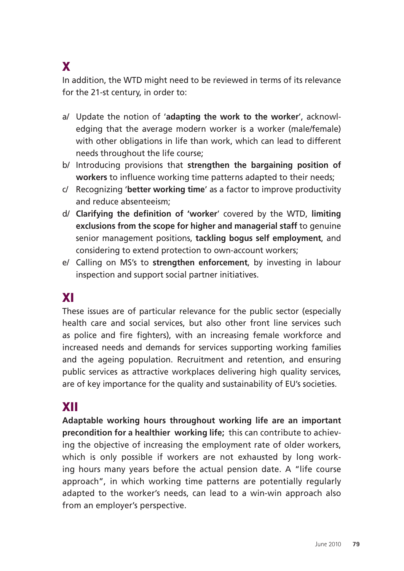# X

In addition, the WTD might need to be reviewed in terms of its relevance for the 21-st century, in order to:

- a/ Update the notion of '**adapting the work to the worker**', acknowledging that the average modern worker is a worker (male/female) with other obligations in life than work, which can lead to different needs throughout the life course;
- b/ Introducing provisions that **strengthen the bargaining position of workers** to influence working time patterns adapted to their needs;
- c/ Recognizing '**better working time**' as a factor to improve productivity and reduce absenteeism;
- d/ **Clarifying the definition of 'worker**' covered by the WTD, **limiting exclusions from the scope for higher and managerial staff** to genuine senior management positions, **tackling bogus self employment**, and considering to extend protection to own-account workers;
- e/ Calling on MS's to **strengthen enforcement**, by investing in labour inspection and support social partner initiatives.

## XI

These issues are of particular relevance for the public sector (especially health care and social services, but also other front line services such as police and fire fighters), with an increasing female workforce and increased needs and demands for services supporting working families and the ageing population. Recruitment and retention, and ensuring public services as attractive workplaces delivering high quality services, are of key importance for the quality and sustainability of EU's societies.

### XII

**Adaptable working hours throughout working life are an important precondition for a healthier working life;** this can contribute to achieving the objective of increasing the employment rate of older workers, which is only possible if workers are not exhausted by long working hours many years before the actual pension date. A "life course approach", in which working time patterns are potentially regularly adapted to the worker's needs, can lead to a win-win approach also from an employer's perspective.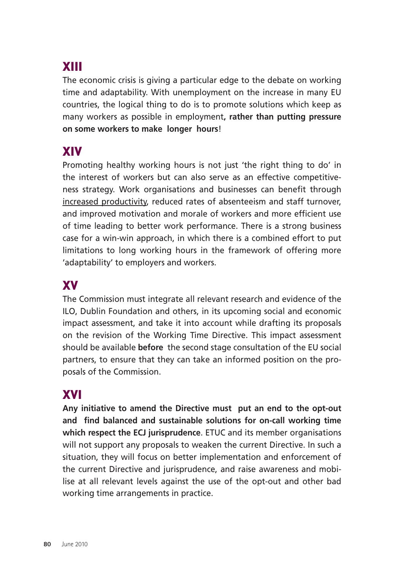# XIII

The economic crisis is giving a particular edge to the debate on working time and adaptability. With unemployment on the increase in many EU countries, the logical thing to do is to promote solutions which keep as many workers as possible in employment**, rather than putting pressure on some workers to make longer hours**!

## XIV

Promoting healthy working hours is not just 'the right thing to do' in the interest of workers but can also serve as an effective competitiveness strategy. Work organisations and businesses can benefit through increased productivity, reduced rates of absenteeism and staff turnover, and improved motivation and morale of workers and more efficient use of time leading to better work performance. There is a strong business case for a win-win approach, in which there is a combined effort to put limitations to long working hours in the framework of offering more 'adaptability' to employers and workers.

### XV

The Commission must integrate all relevant research and evidence of the ILO, Dublin Foundation and others, in its upcoming social and economic impact assessment, and take it into account while drafting its proposals on the revision of the Working Time Directive. This impact assessment should be available **before** the second stage consultation of the EU social partners, to ensure that they can take an informed position on the proposals of the Commission.

## XVI

**Any initiative to amend the Directive must put an end to the opt-out and find balanced and sustainable solutions for on-call working time which respect the ECJ jurisprudence**. ETUC and its member organisations will not support any proposals to weaken the current Directive. In such a situation, they will focus on better implementation and enforcement of the current Directive and jurisprudence, and raise awareness and mobilise at all relevant levels against the use of the opt-out and other bad working time arrangements in practice.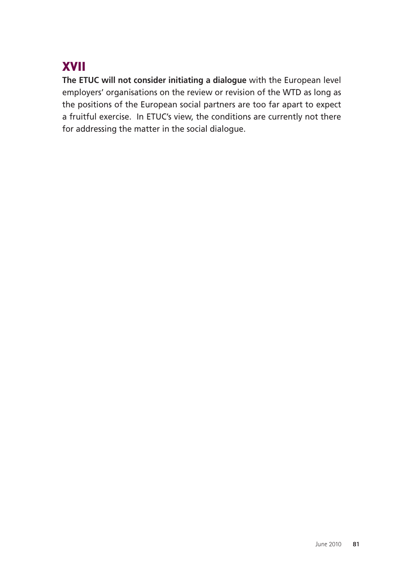# XVII

**The ETUC will not consider initiating a dialogue** with the European level employers' organisations on the review or revision of the WTD as long as the positions of the European social partners are too far apart to expect a fruitful exercise. In ETUC's view, the conditions are currently not there for addressing the matter in the social dialogue.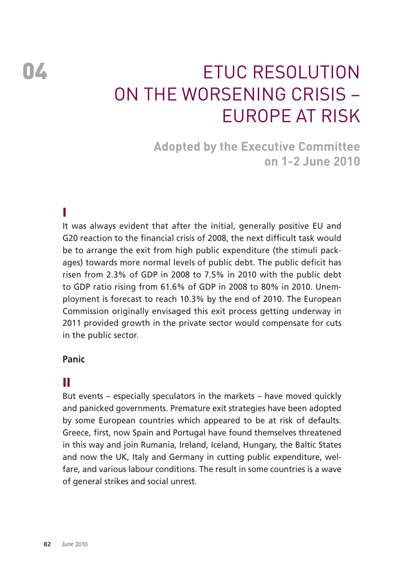# 04 **ETUC RESOLUTION** on The Worsening Crisis – Europe at Risk

**Adopted by the Executive Committee on 1-2 June 2010** 

### I

It was always evident that after the initial, generally positive EU and G20 reaction to the financial crisis of 2008, the next difficult task would be to arrange the exit from high public expenditure (the stimuli packages) towards more normal levels of public debt. The public deficit has risen from 2.3% of GDP in 2008 to 7.5% in 2010 with the public debt to GDP ratio rising from 61.6% of GDP in 2008 to 80% in 2010. Unemployment is forecast to reach 10.3% by the end of 2010. The European Commission originally envisaged this exit process getting underway in 2011 provided growth in the private sector would compensate for cuts in the public sector.

### **Panic**

### II

But events – especially speculators in the markets – have moved quickly and panicked governments. Premature exit strategies have been adopted by some European countries which appeared to be at risk of defaults. Greece, first, now Spain and Portugal have found themselves threatened in this way and join Rumania, Ireland, Iceland, Hungary, the Baltic States and now the UK, Italy and Germany in cutting public expenditure, welfare, and various labour conditions. The result in some countries is a wave of general strikes and social unrest.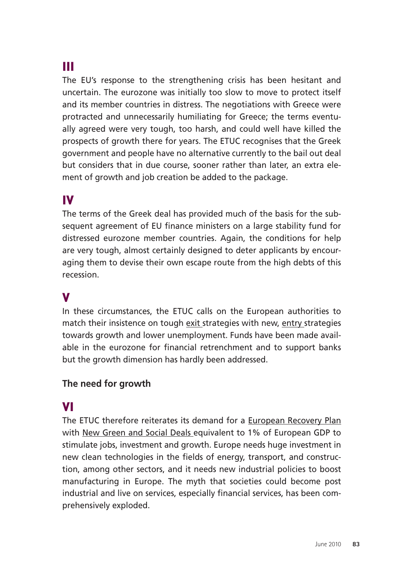## III

The EU's response to the strengthening crisis has been hesitant and uncertain. The eurozone was initially too slow to move to protect itself and its member countries in distress. The negotiations with Greece were protracted and unnecessarily humiliating for Greece; the terms eventually agreed were very tough, too harsh, and could well have killed the prospects of growth there for years. The ETUC recognises that the Greek government and people have no alternative currently to the bail out deal but considers that in due course, sooner rather than later, an extra element of growth and job creation be added to the package.

## IV

The terms of the Greek deal has provided much of the basis for the subsequent agreement of EU finance ministers on a large stability fund for distressed eurozone member countries. Again, the conditions for help are very tough, almost certainly designed to deter applicants by encouraging them to devise their own escape route from the high debts of this recession.

### V

In these circumstances, the ETUC calls on the European authorities to match their insistence on tough exit strategies with new, entry strategies towards growth and lower unemployment. Funds have been made available in the eurozone for financial retrenchment and to support banks but the growth dimension has hardly been addressed.

### **The need for growth**

### VI

The ETUC therefore reiterates its demand for a European Recovery Plan with New Green and Social Deals equivalent to 1% of European GDP to stimulate jobs, investment and growth. Europe needs huge investment in new clean technologies in the fields of energy, transport, and construction, among other sectors, and it needs new industrial policies to boost manufacturing in Europe. The myth that societies could become post industrial and live on services, especially financial services, has been comprehensively exploded.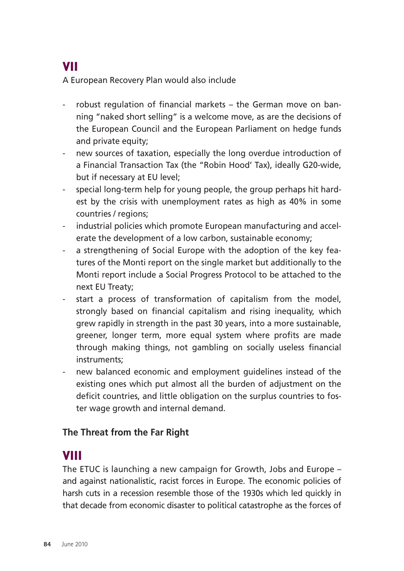# VII

A European Recovery Plan would also include

- robust regulation of financial markets the German move on banning "naked short selling" is a welcome move, as are the decisions of the European Council and the European Parliament on hedge funds and private equity;
- new sources of taxation, especially the long overdue introduction of a Financial Transaction Tax (the "Robin Hood' Tax), ideally G20-wide, but if necessary at EU level;
- special long-term help for young people, the group perhaps hit hardest by the crisis with unemployment rates as high as 40% in some countries / regions;
- industrial policies which promote European manufacturing and accelerate the development of a low carbon, sustainable economy;
- a strengthening of Social Europe with the adoption of the key features of the Monti report on the single market but additionally to the Monti report include a Social Progress Protocol to be attached to the next EU Treaty;
- start a process of transformation of capitalism from the model, stronalv based on financial capitalism and rising inequality, which grew rapidly in strength in the past 30 years, into a more sustainable, greener, longer term, more equal system where profits are made through making things, not gambling on socially useless financial instruments;
- new balanced economic and employment quidelines instead of the existing ones which put almost all the burden of adjustment on the deficit countries, and little obligation on the surplus countries to foster wage growth and internal demand.

### **The Threat from the Far Right**

## VIII

The ETUC is launching a new campaign for Growth, Jobs and Europe – and against nationalistic, racist forces in Europe. The economic policies of harsh cuts in a recession resemble those of the 1930s which led quickly in that decade from economic disaster to political catastrophe as the forces of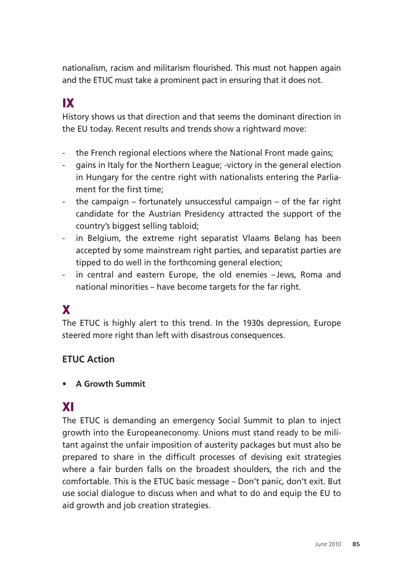nationalism, racism and militarism flourished. This must not happen again and the ETUC must take a prominent pact in ensuring that it does not.

# IX

History shows us that direction and that seems the dominant direction in the EU today. Recent results and trends show a rightward move:

- the French regional elections where the National Front made gains;
- gains in Italy for the Northern League; -victory in the general election in Hungary for the centre right with nationalists entering the Parliament for the first time;
- the campaign fortunately unsuccessful campaign of the far right candidate for the Austrian Presidency attracted the support of the country's biggest selling tabloid;
- in Belgium, the extreme right separatist Vlaams Belang has been accepted by some mainstream right parties, and separatist parties are tipped to do well in the forthcoming general election;
- in central and eastern Europe, the old enemies -Jews, Roma and national minorities – have become targets for the far right.

## X

The ETUC is highly alert to this trend. In the 1930s depression, Europe steered more right than left with disastrous consequences.

### **ETUC Action**

• **A Growth Summit** 

### XI

The ETUC is demanding an emergency Social Summit to plan to inject growth into the Europeaneconomy. Unions must stand ready to be militant against the unfair imposition of austerity packages but must also be prepared to share in the difficult processes of devising exit strategies where a fair burden falls on the broadest shoulders, the rich and the comfortable. This is the ETUC basic message – Don't panic, don't exit. But use social dialogue to discuss when and what to do and equip the EU to aid growth and job creation strategies.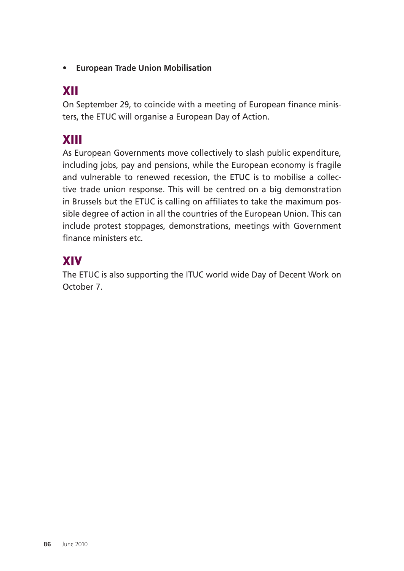• **European Trade Union Mobilisation** 

# XII

On September 29, to coincide with a meeting of European finance ministers, the ETUC will organise a European Day of Action.

# XIII

As European Governments move collectively to slash public expenditure, including jobs, pay and pensions, while the European economy is fragile and vulnerable to renewed recession, the ETUC is to mobilise a collective trade union response. This will be centred on a big demonstration in Brussels but the ETUC is calling on affiliates to take the maximum possible degree of action in all the countries of the European Union. This can include protest stoppages, demonstrations, meetings with Government finance ministers etc.

# XIV

The ETUC is also supporting the ITUC world wide Day of Decent Work on October 7.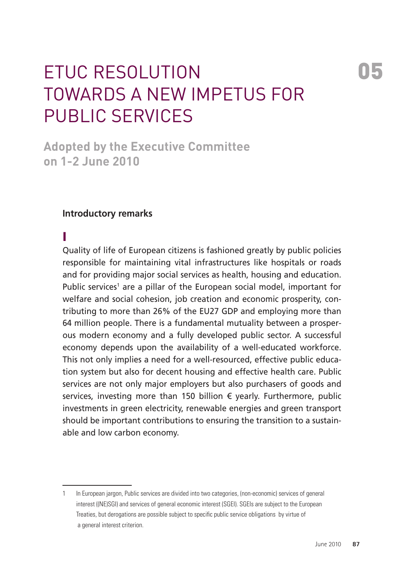# ETUC Resolution 05 Towards a new impetus for public services

**Adopted by the Executive Committee on 1-2 June 2010** 

### **Introductory remarks**

### I

Quality of life of European citizens is fashioned greatly by public policies responsible for maintaining vital infrastructures like hospitals or roads and for providing major social services as health, housing and education. Public services<sup>1</sup> are a pillar of the European social model, important for welfare and social cohesion, job creation and economic prosperity, contributing to more than 26% of the EU27 GDP and employing more than 64 million people. There is a fundamental mutuality between a prosperous modern economy and a fully developed public sector. A successful economy depends upon the availability of a well-educated workforce. This not only implies a need for a well-resourced, effective public education system but also for decent housing and effective health care. Public services are not only major employers but also purchasers of goods and services, investing more than 150 billion € yearly. Furthermore, public investments in green electricity, renewable energies and green transport should be important contributions to ensuring the transition to a sustainable and low carbon economy.

<sup>1</sup> In European jargon, Public services are divided into two categories, (non-economic) services of general interest ((NE)SGI) and services of general economic interest (SGEI). SGEIs are subject to the European Treaties, but derogations are possible subject to specific public service obligations by virtue of a general interest criterion.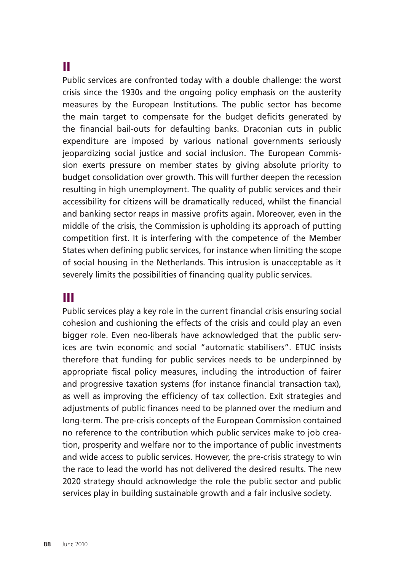### II

Public services are confronted today with a double challenge: the worst crisis since the 1930s and the ongoing policy emphasis on the austerity measures by the European Institutions. The public sector has become the main target to compensate for the budget deficits generated by the financial bail-outs for defaulting banks. Draconian cuts in public expenditure are imposed by various national governments seriously jeopardizing social justice and social inclusion. The European Commission exerts pressure on member states by giving absolute priority to budget consolidation over growth. This will further deepen the recession resulting in high unemployment. The quality of public services and their accessibility for citizens will be dramatically reduced, whilst the financial and banking sector reaps in massive profits again. Moreover, even in the middle of the crisis, the Commission is upholding its approach of putting competition first. It is interfering with the competence of the Member States when defining public services, for instance when limiting the scope of social housing in the Netherlands. This intrusion is unacceptable as it severely limits the possibilities of financing quality public services.

### III

Public services play a key role in the current financial crisis ensuring social cohesion and cushioning the effects of the crisis and could play an even bigger role. Even neo-liberals have acknowledged that the public services are twin economic and social "automatic stabilisers". ETUC insists therefore that funding for public services needs to be underpinned by appropriate fiscal policy measures, including the introduction of fairer and progressive taxation systems (for instance financial transaction tax), as well as improving the efficiency of tax collection. Exit strategies and adjustments of public finances need to be planned over the medium and long-term. The pre-crisis concepts of the European Commission contained no reference to the contribution which public services make to job creation, prosperity and welfare nor to the importance of public investments and wide access to public services. However, the pre-crisis strategy to win the race to lead the world has not delivered the desired results. The new 2020 strategy should acknowledge the role the public sector and public services play in building sustainable growth and a fair inclusive society.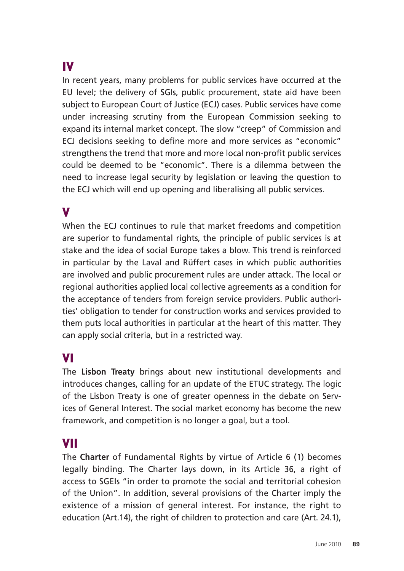# IV

In recent years, many problems for public services have occurred at the EU level; the delivery of SGIs, public procurement, state aid have been subject to European Court of Justice (ECJ) cases. Public services have come under increasing scrutiny from the European Commission seeking to expand its internal market concept. The slow "creep" of Commission and ECJ decisions seeking to define more and more services as "economic" strengthens the trend that more and more local non-profit public services could be deemed to be "economic". There is a dilemma between the need to increase legal security by legislation or leaving the question to the ECJ which will end up opening and liberalising all public services.

### V

When the ECJ continues to rule that market freedoms and competition are superior to fundamental rights, the principle of public services is at stake and the idea of social Europe takes a blow. This trend is reinforced in particular by the Laval and Rüffert cases in which public authorities are involved and public procurement rules are under attack. The local or regional authorities applied local collective agreements as a condition for the acceptance of tenders from foreign service providers. Public authorities' obligation to tender for construction works and services provided to them puts local authorities in particular at the heart of this matter. They can apply social criteria, but in a restricted way.

### VI

The **Lisbon Treaty** brings about new institutional developments and introduces changes, calling for an update of the ETUC strategy. The logic of the Lisbon Treaty is one of greater openness in the debate on Services of General Interest. The social market economy has become the new framework, and competition is no longer a goal, but a tool.

### VII

The **Charter** of Fundamental Rights by virtue of Article 6 (1) becomes legally binding. The Charter lays down, in its Article 36, a right of access to SGEIs "in order to promote the social and territorial cohesion of the Union". In addition, several provisions of the Charter imply the existence of a mission of general interest. For instance, the right to education (Art.14), the right of children to protection and care (Art. 24.1),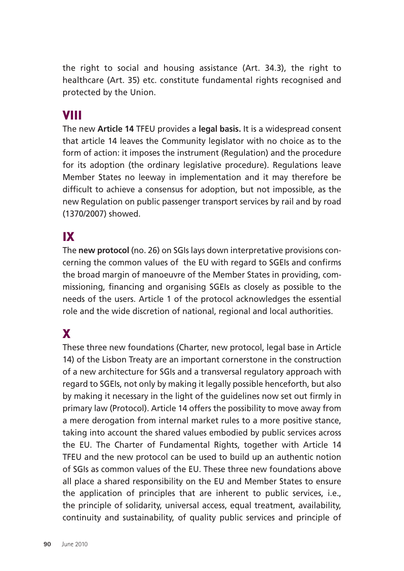the right to social and housing assistance (Art. 34.3), the right to healthcare (Art. 35) etc. constitute fundamental rights recognised and protected by the Union.

## VIII

The new **Article 14** TFEU provides a **legal basis.** It is a widespread consent that article 14 leaves the Community legislator with no choice as to the form of action: it imposes the instrument (Regulation) and the procedure for its adoption (the ordinary legislative procedure). Regulations leave Member States no leeway in implementation and it may therefore be difficult to achieve a consensus for adoption, but not impossible, as the new Regulation on public passenger transport services by rail and by road (1370/2007) showed.

# IX

The **new protocol** (no. 26) on SGIs lays down interpretative provisions concerning the common values of the EU with regard to SGEIs and confirms the broad margin of manoeuvre of the Member States in providing, commissioning, financing and organising SGEIs as closely as possible to the needs of the users. Article 1 of the protocol acknowledges the essential role and the wide discretion of national, regional and local authorities.

## X

These three new foundations (Charter, new protocol, legal base in Article 14) of the Lisbon Treaty are an important cornerstone in the construction of a new architecture for SGIs and a transversal regulatory approach with regard to SGEIs, not only by making it legally possible henceforth, but also by making it necessary in the light of the guidelines now set out firmly in primary law (Protocol). Article 14 offers the possibility to move away from a mere derogation from internal market rules to a more positive stance, taking into account the shared values embodied by public services across the EU. The Charter of Fundamental Rights, together with Article 14 TFEU and the new protocol can be used to build up an authentic notion of SGIs as common values of the EU. These three new foundations above all place a shared responsibility on the EU and Member States to ensure the application of principles that are inherent to public services, i.e., the principle of solidarity, universal access, equal treatment, availability, continuity and sustainability, of quality public services and principle of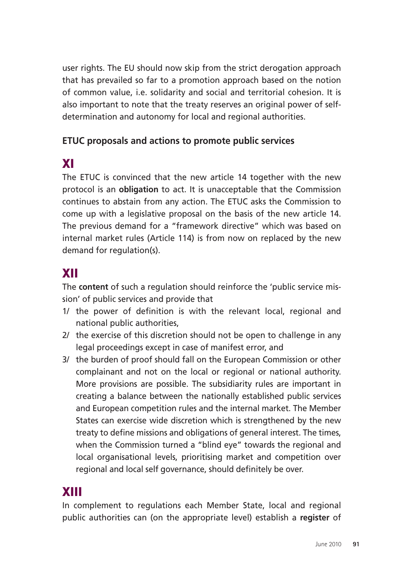user rights. The EU should now skip from the strict derogation approach that has prevailed so far to a promotion approach based on the notion of common value, i.e. solidarity and social and territorial cohesion. It is also important to note that the treaty reserves an original power of selfdetermination and autonomy for local and regional authorities.

### **ETUC proposals and actions to promote public services**

# XI

The ETUC is convinced that the new article 14 together with the new protocol is an **obligation** to act. It is unacceptable that the Commission continues to abstain from any action. The ETUC asks the Commission to come up with a legislative proposal on the basis of the new article 14. The previous demand for a "framework directive" which was based on internal market rules (Article 114) is from now on replaced by the new demand for regulation(s).

## XII

The **content** of such a regulation should reinforce the 'public service mission' of public services and provide that

- 1/ the power of definition is with the relevant local, regional and national public authorities,
- 2/ the exercise of this discretion should not be open to challenge in any legal proceedings except in case of manifest error, and
- 3/ the burden of proof should fall on the European Commission or other complainant and not on the local or regional or national authority. More provisions are possible. The subsidiarity rules are important in creating a balance between the nationally established public services and European competition rules and the internal market. The Member States can exercise wide discretion which is strengthened by the new treaty to define missions and obligations of general interest. The times, when the Commission turned a "blind eye" towards the regional and local organisational levels, prioritising market and competition over regional and local self governance, should definitely be over.

# XIII

In complement to regulations each Member State, local and regional public authorities can (on the appropriate level) establish a **register** of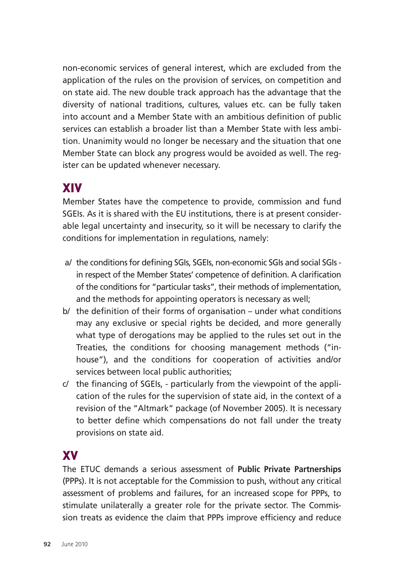non-economic services of general interest, which are excluded from the application of the rules on the provision of services, on competition and on state aid. The new double track approach has the advantage that the diversity of national traditions, cultures, values etc. can be fully taken into account and a Member State with an ambitious definition of public services can establish a broader list than a Member State with less ambition. Unanimity would no longer be necessary and the situation that one Member State can block any progress would be avoided as well. The register can be updated whenever necessary.

### XIV

Member States have the competence to provide, commission and fund SGEIs. As it is shared with the EU institutions, there is at present considerable legal uncertainty and insecurity, so it will be necessary to clarify the conditions for implementation in regulations, namely:

- a/ the conditions for defining SGIs, SGEIs, non-economic SGIs and social SGIs in respect of the Member States' competence of definition. A clarification of the conditions for "particular tasks", their methods of implementation, and the methods for appointing operators is necessary as well;
- b/ the definition of their forms of organisation under what conditions may any exclusive or special rights be decided, and more generally what type of derogations may be applied to the rules set out in the Treaties, the conditions for choosing management methods ("inhouse"), and the conditions for cooperation of activities and/or services between local public authorities;
- c/ the financing of SGEIs, particularly from the viewpoint of the application of the rules for the supervision of state aid, in the context of a revision of the "Altmark" package (of November 2005). It is necessary to better define which compensations do not fall under the treaty provisions on state aid.

## XV

The ETUC demands a serious assessment of **Public Private Partnerships** (PPPs). It is not acceptable for the Commission to push, without any critical assessment of problems and failures, for an increased scope for PPPs, to stimulate unilaterally a greater role for the private sector. The Commission treats as evidence the claim that PPPs improve efficiency and reduce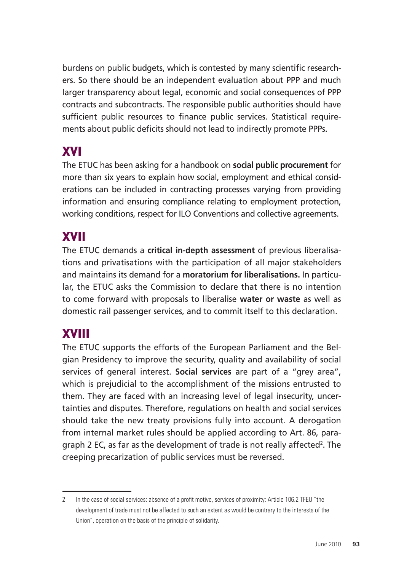burdens on public budgets, which is contested by many scientific researchers. So there should be an independent evaluation about PPP and much larger transparency about legal, economic and social consequences of PPP contracts and subcontracts. The responsible public authorities should have sufficient public resources to finance public services. Statistical requirements about public deficits should not lead to indirectly promote PPPs.

# XVI

The ETUC has been asking for a handbook on **social public procurement** for more than six years to explain how social, employment and ethical considerations can be included in contracting processes varying from providing information and ensuring compliance relating to employment protection, working conditions, respect for ILO Conventions and collective agreements.

### XVII

The ETUC demands a **critical in-depth assessment** of previous liberalisations and privatisations with the participation of all major stakeholders and maintains its demand for a **moratorium for liberalisations.** In particular, the ETUC asks the Commission to declare that there is no intention to come forward with proposals to liberalise **water or waste** as well as domestic rail passenger services, and to commit itself to this declaration.

## XVIII

The ETUC supports the efforts of the European Parliament and the Belgian Presidency to improve the security, quality and availability of social services of general interest. **Social services** are part of a "grey area", which is prejudicial to the accomplishment of the missions entrusted to them. They are faced with an increasing level of legal insecurity, uncertainties and disputes. Therefore, regulations on health and social services should take the new treaty provisions fully into account. A derogation from internal market rules should be applied according to Art. 86, paragraph 2 EC, as far as the development of trade is not really affected<sup>2</sup>. The creeping precarization of public services must be reversed.

<sup>2</sup> In the case of social services: absence of a profit motive, services of proximity: Article 106.2 TFEU "the development of trade must not be affected to such an extent as would be contrary to the interests of the Union", operation on the basis of the principle of solidarity.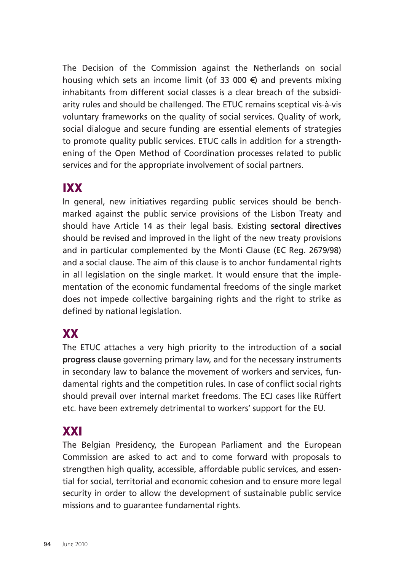The Decision of the Commission against the Netherlands on social housing which sets an income limit (of 33 000  $\epsilon$ ) and prevents mixing inhabitants from different social classes is a clear breach of the subsidiarity rules and should be challenged. The ETUC remains sceptical vis-à-vis voluntary frameworks on the quality of social services. Quality of work, social dialogue and secure funding are essential elements of strategies to promote quality public services. ETUC calls in addition for a strengthening of the Open Method of Coordination processes related to public services and for the appropriate involvement of social partners.

## IXX

In general, new initiatives regarding public services should be benchmarked against the public service provisions of the Lisbon Treaty and should have Article 14 as their legal basis. Existing **sectoral directives** should be revised and improved in the light of the new treaty provisions and in particular complemented by the Monti Clause (EC Reg. 2679/98) and a social clause. The aim of this clause is to anchor fundamental rights in all legislation on the single market. It would ensure that the implementation of the economic fundamental freedoms of the single market does not impede collective bargaining rights and the right to strike as defined by national legislation.

# XX

The ETUC attaches a very high priority to the introduction of a **social progress clause** governing primary law, and for the necessary instruments in secondary law to balance the movement of workers and services, fundamental rights and the competition rules. In case of conflict social rights should prevail over internal market freedoms. The ECJ cases like Rüffert etc. have been extremely detrimental to workers' support for the EU.

## XXI

The Belgian Presidency, the European Parliament and the European Commission are asked to act and to come forward with proposals to strengthen high quality, accessible, affordable public services, and essential for social, territorial and economic cohesion and to ensure more legal security in order to allow the development of sustainable public service missions and to guarantee fundamental rights.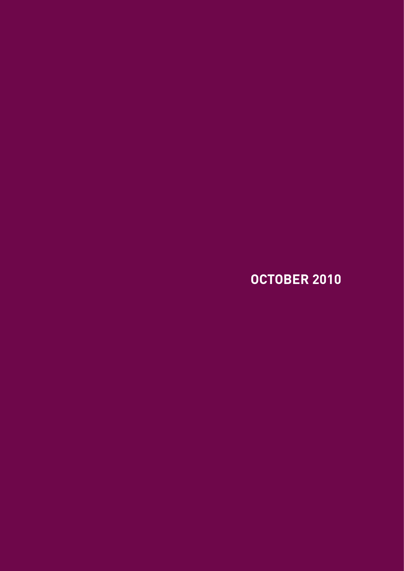**OCTOBer 2010**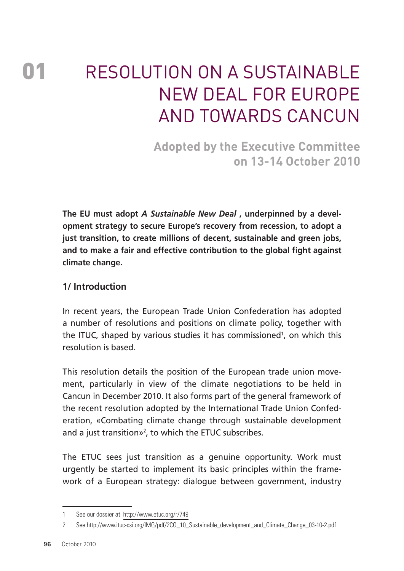# 01 RESOLUTION ON A SUSTAINABLE New Deal for Europe and towards Cancun

**Adopted by the Executive Committee on 13-14 October 2010** 

**The EU must adopt** *A Sustainable New Deal* **, underpinned by a development strategy to secure Europe's recovery from recession, to adopt a just transition, to create millions of decent, sustainable and green jobs, and to make a fair and effective contribution to the global fight against climate change.** 

### **1/ Introduction**

In recent years, the European Trade Union Confederation has adopted a number of resolutions and positions on climate policy, together with the ITUC, shaped by various studies it has commissioned<sup>1</sup>, on which this resolution is based.

This resolution details the position of the European trade union movement, particularly in view of the climate negotiations to be held in Cancun in December 2010. It also forms part of the general framework of the recent resolution adopted by the International Trade Union Confederation, «Combating climate change through sustainable development and a just transition»<sup>2</sup>, to which the ETUC subscribes.

The ETUC sees just transition as a genuine opportunity. Work must urgently be started to implement its basic principles within the framework of a European strategy: dialogue between government, industry

<sup>1</sup> See our dossier at http://www.etuc.org/r/749

<sup>2</sup> See http://www.ituc-csi.org/IMG/pdf/2CO\_10\_Sustainable\_development\_and\_Climate\_Change\_03-10-2.pdf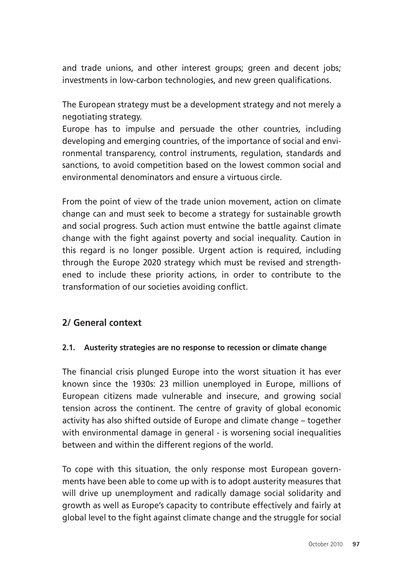and trade unions, and other interest groups; green and decent jobs; investments in low-carbon technologies, and new green qualifications.

The European strategy must be a development strategy and not merely a negotiating strategy.

Europe has to impulse and persuade the other countries, including developing and emerging countries, of the importance of social and environmental transparency, control instruments, regulation, standards and sanctions, to avoid competition based on the lowest common social and environmental denominators and ensure a virtuous circle.

From the point of view of the trade union movement, action on climate change can and must seek to become a strategy for sustainable growth and social progress. Such action must entwine the battle against climate change with the fight against poverty and social inequality. Caution in this regard is no longer possible. Urgent action is required, including through the Europe 2020 strategy which must be revised and strengthened to include these priority actions, in order to contribute to the transformation of our societies avoiding conflict.

### **2/ General context**

#### **2.1. Austerity strategies are no response to recession or climate change**

The financial crisis plunged Europe into the worst situation it has ever known since the 1930s: 23 million unemployed in Europe, millions of European citizens made vulnerable and insecure, and growing social tension across the continent. The centre of gravity of global economic activity has also shifted outside of Europe and climate change – together with environmental damage in general - is worsening social inequalities between and within the different regions of the world.

To cope with this situation, the only response most European governments have been able to come up with is to adopt austerity measures that will drive up unemployment and radically damage social solidarity and growth as well as Europe's capacity to contribute effectively and fairly at global level to the fight against climate change and the struggle for social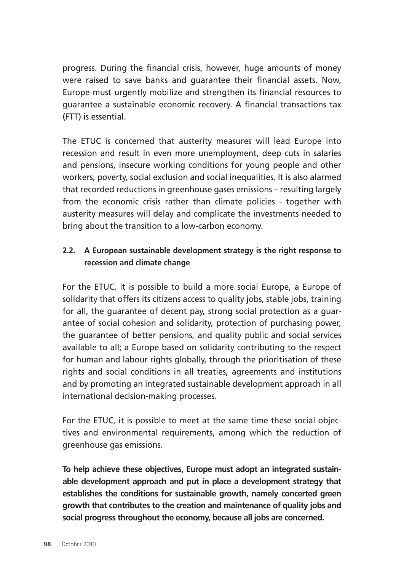progress. During the financial crisis, however, huge amounts of money were raised to save banks and guarantee their financial assets. Now, Europe must urgently mobilize and strengthen its financial resources to guarantee a sustainable economic recovery. A financial transactions tax (FTT) is essential.

The ETUC is concerned that austerity measures will lead Europe into recession and result in even more unemployment, deep cuts in salaries and pensions, insecure working conditions for young people and other workers, poverty, social exclusion and social inequalities. It is also alarmed that recorded reductions in greenhouse gases emissions – resulting largely from the economic crisis rather than climate policies - together with austerity measures will delay and complicate the investments needed to bring about the transition to a low-carbon economy.

### **2.2. A European sustainable development strategy is the right response to recession and climate change**

For the ETUC, it is possible to build a more social Europe, a Europe of solidarity that offers its citizens access to quality jobs, stable jobs, training for all, the guarantee of decent pay, strong social protection as a guarantee of social cohesion and solidarity, protection of purchasing power, the guarantee of better pensions, and quality public and social services available to all; a Europe based on solidarity contributing to the respect for human and labour rights globally, through the prioritisation of these rights and social conditions in all treaties, agreements and institutions and by promoting an integrated sustainable development approach in all international decision-making processes.

For the ETUC, it is possible to meet at the same time these social objectives and environmental requirements, among which the reduction of greenhouse gas emissions.

**To help achieve these objectives, Europe must adopt an integrated sustainable development approach and put in place a development strategy that establishes the conditions for sustainable growth, namely concerted green growth that contributes to the creation and maintenance of quality jobs and social progress throughout the economy, because all jobs are concerned.**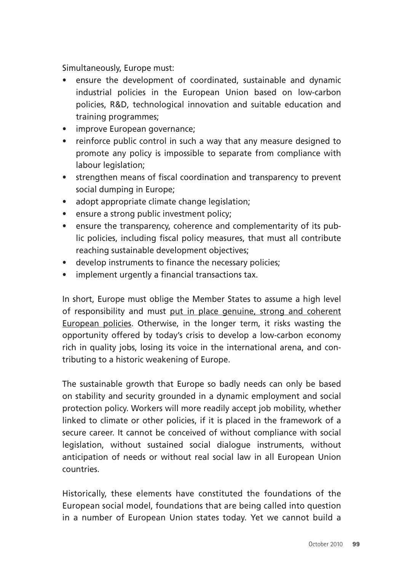Simultaneously, Europe must:

- ensure the development of coordinated, sustainable and dynamic industrial policies in the European Union based on low-carbon policies, R&D, technological innovation and suitable education and training programmes;
- improve European governance;
- reinforce public control in such a way that any measure designed to promote any policy is impossible to separate from compliance with labour legislation:
- strengthen means of fiscal coordination and transparency to prevent social dumping in Europe;
- adopt appropriate climate change legislation;
- ensure a strong public investment policy;
- ensure the transparency, coherence and complementarity of its public policies, including fiscal policy measures, that must all contribute reaching sustainable development objectives;
- develop instruments to finance the necessary policies;
- implement urgently a financial transactions tax.

In short, Europe must oblige the Member States to assume a high level of responsibility and must put in place genuine, strong and coherent European policies. Otherwise, in the longer term, it risks wasting the opportunity offered by today's crisis to develop a low-carbon economy rich in quality jobs, losing its voice in the international arena, and contributing to a historic weakening of Europe.

The sustainable growth that Europe so badly needs can only be based on stability and security grounded in a dynamic employment and social protection policy. Workers will more readily accept job mobility, whether linked to climate or other policies, if it is placed in the framework of a secure career. It cannot be conceived of without compliance with social legislation, without sustained social dialogue instruments, without anticipation of needs or without real social law in all European Union countries.

Historically, these elements have constituted the foundations of the European social model, foundations that are being called into question in a number of European Union states today. Yet we cannot build a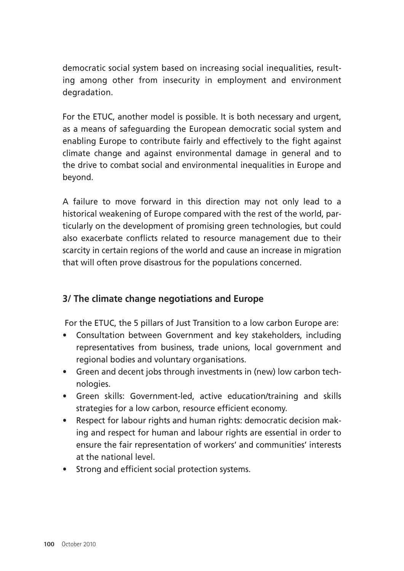democratic social system based on increasing social inequalities, resulting among other from insecurity in employment and environment degradation.

For the ETUC, another model is possible. It is both necessary and urgent, as a means of safeguarding the European democratic social system and enabling Europe to contribute fairly and effectively to the fight against climate change and against environmental damage in general and to the drive to combat social and environmental inequalities in Europe and beyond.

A failure to move forward in this direction may not only lead to a historical weakening of Europe compared with the rest of the world, particularly on the development of promising green technologies, but could also exacerbate conflicts related to resource management due to their scarcity in certain regions of the world and cause an increase in migration that will often prove disastrous for the populations concerned.

### **3/ The climate change negotiations and Europe**

For the ETUC, the 5 pillars of Just Transition to a low carbon Europe are:

- Consultation between Government and key stakeholders, including representatives from business, trade unions, local government and regional bodies and voluntary organisations.
- Green and decent jobs through investments in (new) low carbon technologies.
- Green skills: Government-led, active education/training and skills strategies for a low carbon, resource efficient economy.
- Respect for labour rights and human rights: democratic decision making and respect for human and labour rights are essential in order to ensure the fair representation of workers' and communities' interests at the national level.
- Strong and efficient social protection systems.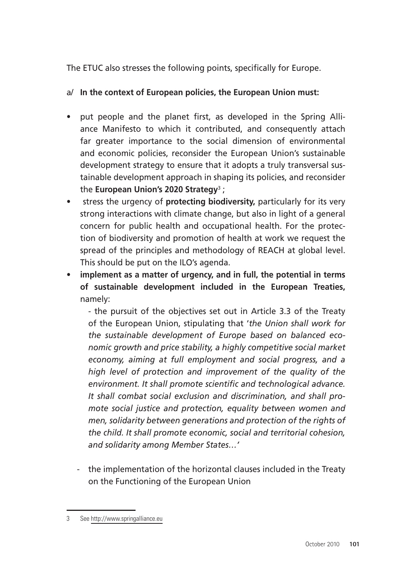The ETUC also stresses the following points, specifically for Europe.

### a/ **In the context of European policies, the European Union must:**

- put people and the planet first, as developed in the Spring Alliance Manifesto to which it contributed, and consequently attach far greater importance to the social dimension of environmental and economic policies, reconsider the European Union's sustainable development strategy to ensure that it adopts a truly transversal sustainable development approach in shaping its policies, and reconsider the **European Union's 2020 Strategy**<sup>3</sup> ;
- stress the urgency of **protecting biodiversity,** particularly for its very strong interactions with climate change, but also in light of a general concern for public health and occupational health. For the protection of biodiversity and promotion of health at work we request the spread of the principles and methodology of REACH at global level. This should be put on the ILO's agenda.
- **implement as a matter of urgency, and in full, the potential in terms of sustainable development included in the European Treaties,**  namely:

- the pursuit of the objectives set out in Article 3.3 of the Treaty of the European Union, stipulating that '*the Union shall work for the sustainable development of Europe based on balanced economic growth and price stability, a highly competitive social market economy, aiming at full employment and social progress, and a high level of protection and improvement of the quality of the environment. It shall promote scientific and technological advance. It shall combat social exclusion and discrimination, and shall promote social justice and protection, equality between women and men, solidarity between generations and protection of the rights of the child. It shall promote economic, social and territorial cohesion, and solidarity among Member States…'*

 - the implementation of the horizontal clauses included in the Treaty on the Functioning of the European Union

<sup>3</sup> See http://www.springalliance.eu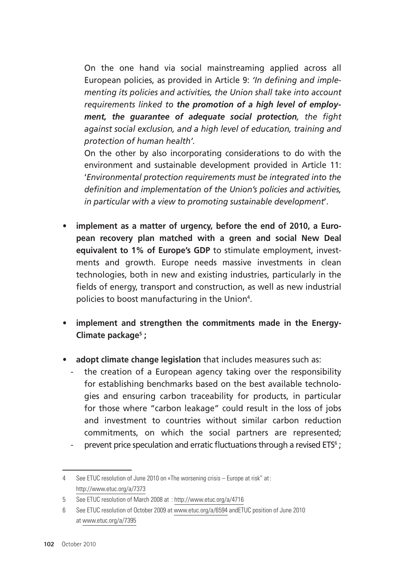On the one hand via social mainstreaming applied across all European policies, as provided in Article 9: *'In defining and implementing its policies and activities, the Union shall take into account requirements linked to the promotion of a high level of employment, the guarantee of adequate social protection, the fight against social exclusion, and a high level of education, training and protection of human health'.*

On the other by also incorporating considerations to do with the environment and sustainable development provided in Article 11: '*Environmental protection requirements must be integrated into the definition and implementation of the Union's policies and activities, in particular with a view to promoting sustainable development*'.

- implement as a matter of urgency, before the end of 2010, a Euro**pean recovery plan matched with a green and social New Deal equivalent to 1% of Europe's GDP** to stimulate employment, investments and growth. Europe needs massive investments in clean technologies, both in new and existing industries, particularly in the fields of energy, transport and construction, as well as new industrial policies to boost manufacturing in the Union<sup>4</sup>.
- implement and strengthen the commitments made in the Energy-**Climate package5 ;**
- **adopt climate change legislation** that includes measures such as:
	- the creation of a European agency taking over the responsibility for establishing benchmarks based on the best available technologies and ensuring carbon traceability for products, in particular for those where "carbon leakage" could result in the loss of jobs and investment to countries without similar carbon reduction commitments, on which the social partners are represented;
	- prevent price speculation and erratic fluctuations through a revised  $ETS<sup>6</sup>$ ;

<sup>4</sup> See ETUC resolution of June 2010 on «The worsening crisis – Europe at risk" at: http://www.etuc.org/a/7373

<sup>5</sup> See ETUC resolution of March 2008 at : http://www.etuc.org/a/4716

<sup>6</sup> See ETUC resolution of October 2009 at www.etuc.org/a/6594 andETUC position of June 2010 at www.etuc.org/a/7395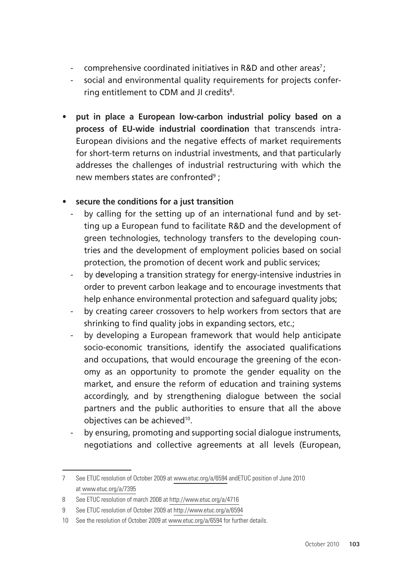- comprehensive coordinated initiatives in R&D and other areas<sup>7</sup>;
- social and environmental quality requirements for projects conferring entitlement to CDM and JI credits<sup>8</sup>.
- **put in place a European low-carbon industrial policy based on a process of EU-wide industrial coordination** that transcends intra-European divisions and the negative effects of market requirements for short-term returns on industrial investments, and that particularly addresses the challenges of industrial restructuring with which the new members states are confronted<sup>9</sup> ;

### • **secure the conditions for a just transition**

- by calling for the setting up of an international fund and by setting up a European fund to facilitate R&D and the development of green technologies, technology transfers to the developing countries and the development of employment policies based on social protection, the promotion of decent work and public services;
- by d**e**veloping a transition strategy for energy-intensive industries in order to prevent carbon leakage and to encourage investments that help enhance environmental protection and safeguard quality jobs;
- by creating career crossovers to help workers from sectors that are shrinking to find quality jobs in expanding sectors, etc.;
- by developing a European framework that would help anticipate socio-economic transitions, identify the associated qualifications and occupations, that would encourage the greening of the economy as an opportunity to promote the gender equality on the market, and ensure the reform of education and training systems accordingly, and by strengthening dialogue between the social partners and the public authorities to ensure that all the above objectives can be achieved<sup>10</sup>.
- by ensuring, promoting and supporting social dialogue instruments, negotiations and collective agreements at all levels (European,

<sup>7</sup> See ETUC resolution of October 2009 at www.etuc.org/a/6594 andETUC position of June 2010 at www.etuc.org/a/7395

<sup>8</sup> See ETUC resolution of march 2008 at http://www.etuc.org/a/4716

<sup>9</sup> See ETUC resolution of October 2009 at http://www.etuc.org/a/6594

<sup>10</sup> See the resolution of October 2009 at www.etuc.org/a/6594 for further details.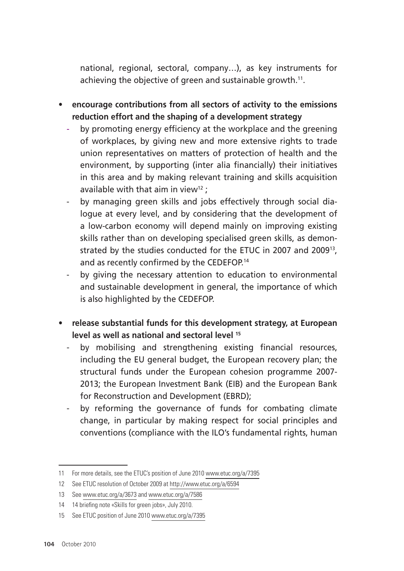national, regional, sectoral, company…), as key instruments for achieving the objective of green and sustainable growth.11.

- **encourage contributions from all sectors of activity to the emissions reduction effort and the shaping of a development strategy**
	- by promoting energy efficiency at the workplace and the greening of workplaces, by giving new and more extensive rights to trade union representatives on matters of protection of health and the environment, by supporting (inter alia financially) their initiatives in this area and by making relevant training and skills acquisition available with that aim in view<sup>12</sup>:
	- by managing green skills and jobs effectively through social dialogue at every level, and by considering that the development of a low-carbon economy will depend mainly on improving existing skills rather than on developing specialised green skills, as demonstrated by the studies conducted for the ETUC in 2007 and 200913, and as recently confirmed by the CEDEFOP.<sup>14</sup>
	- by giving the necessary attention to education to environmental and sustainable development in general, the importance of which is also highlighted by the CEDEFOP.
- **release substantial funds for this development strategy, at European level as well as national and sectoral level 15**
	- by mobilising and strengthening existing financial resources, including the EU general budget, the European recovery plan; the structural funds under the European cohesion programme 2007- 2013; the European Investment Bank (EIB) and the European Bank for Reconstruction and Development (EBRD);
	- by reforming the governance of funds for combating climate change, in particular by making respect for social principles and conventions (compliance with the ILO's fundamental rights, human

<sup>11</sup> For more details, see the ETUC's position of June 2010 www.etuc.org/a/7395

<sup>12</sup> See ETUC resolution of October 2009 at http://www.etuc.org/a/6594

<sup>13</sup> See www.etuc.org/a/3673 and www.etuc.org/a/7586

<sup>14</sup> 14 briefing note «Skills for green jobs», July 2010.

<sup>15</sup> See ETUC position of June 2010 www.etuc.org/a/7395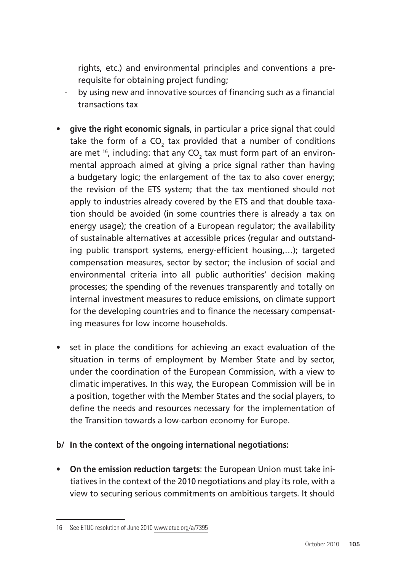rights, etc.) and environmental principles and conventions a prerequisite for obtaining project funding;

- by using new and innovative sources of financing such as a financial transactions tax
- **give the right economic signals**, in particular a price signal that could take the form of a CO<sub>2</sub> tax provided that a number of conditions are met  $^{16}$ , including: that any CO<sub>2</sub> tax must form part of an environmental approach aimed at giving a price signal rather than having a budgetary logic; the enlargement of the tax to also cover energy; the revision of the ETS system; that the tax mentioned should not apply to industries already covered by the ETS and that double taxation should be avoided (in some countries there is already a tax on energy usage); the creation of a European regulator; the availability of sustainable alternatives at accessible prices (regular and outstanding public transport systems, energy-efficient housing,…); targeted compensation measures, sector by sector; the inclusion of social and environmental criteria into all public authorities' decision making processes; the spending of the revenues transparently and totally on internal investment measures to reduce emissions, on climate support for the developing countries and to finance the necessary compensating measures for low income households.
- set in place the conditions for achieving an exact evaluation of the situation in terms of employment by Member State and by sector, under the coordination of the European Commission, with a view to climatic imperatives. In this way, the European Commission will be in a position, together with the Member States and the social players, to define the needs and resources necessary for the implementation of the Transition towards a low-carbon economy for Europe.

#### **b/ In the context of the ongoing international negotiations:**

• **On the emission reduction targets**: the European Union must take initiatives in the context of the 2010 negotiations and play its role, with a view to securing serious commitments on ambitious targets. It should

<sup>16</sup> See ETUC resolution of June 2010 www.etuc.org/a/7395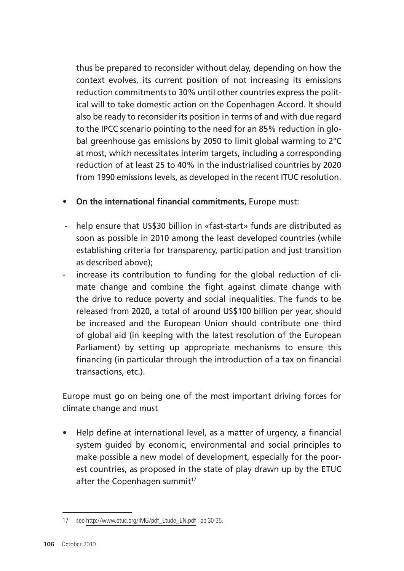thus be prepared to reconsider without delay, depending on how the context evolves, its current position of not increasing its emissions reduction commitments to 30% until other countries express the political will to take domestic action on the Copenhagen Accord. It should also be ready to reconsider its position in terms of and with due regard to the IPCC scenario pointing to the need for an 85% reduction in global greenhouse gas emissions by 2050 to limit global warming to 2°C at most, which necessitates interim targets, including a corresponding reduction of at least 25 to 40% in the industrialised countries by 2020 from 1990 emissions levels, as developed in the recent ITUC resolution.

- **On the international financial commitments,** Europe must:
- help ensure that US\$30 billion in «fast-start» funds are distributed as soon as possible in 2010 among the least developed countries (while establishing criteria for transparency, participation and just transition as described above);
- increase its contribution to funding for the global reduction of climate change and combine the fight against climate change with the drive to reduce poverty and social inequalities. The funds to be released from 2020, a total of around US\$100 billion per year, should be increased and the European Union should contribute one third of global aid (in keeping with the latest resolution of the European Parliament) by setting up appropriate mechanisms to ensure this financing (in particular through the introduction of a tax on financial transactions, etc.).

Europe must go on being one of the most important driving forces for climate change and must

• Help define at international level, as a matter of urgency, a financial system guided by economic, environmental and social principles to make possible a new model of development, especially for the poorest countries, as proposed in the state of play drawn up by the ETUC after the Copenhagen summit<sup>17</sup>

<sup>17</sup> see http://www.etuc.org/IMG/pdf\_Etude\_EN.pdf , pp 30-35.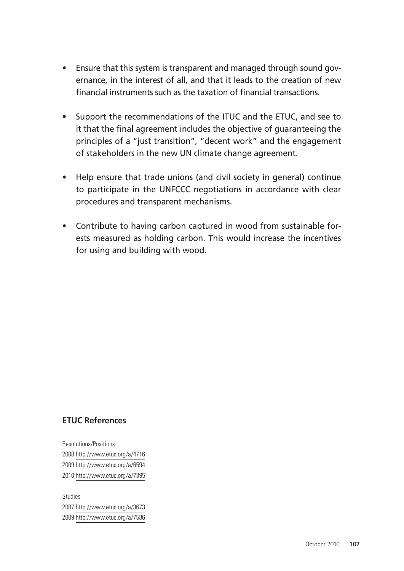- Ensure that this system is transparent and managed through sound governance, in the interest of all, and that it leads to the creation of new financial instruments such as the taxation of financial transactions.
- Support the recommendations of the ITUC and the ETUC, and see to it that the final agreement includes the objective of guaranteeing the principles of a "just transition", "decent work" and the engagement of stakeholders in the new UN climate change agreement.
- Help ensure that trade unions (and civil society in general) continue to participate in the UNFCCC negotiations in accordance with clear procedures and transparent mechanisms.
- Contribute to having carbon captured in wood from sustainable forests measured as holding carbon. This would increase the incentives for using and building with wood.

#### **ETUC References**

Resolutions/Positions 2008 http://www.etuc.org/a/4716 2009 http://www.etuc.org/a/6594 2010 http://www.etuc.org/a/7395

Studies 2007 http://www.etuc.org/a/3673 2009 http://www.etuc.org/a/7586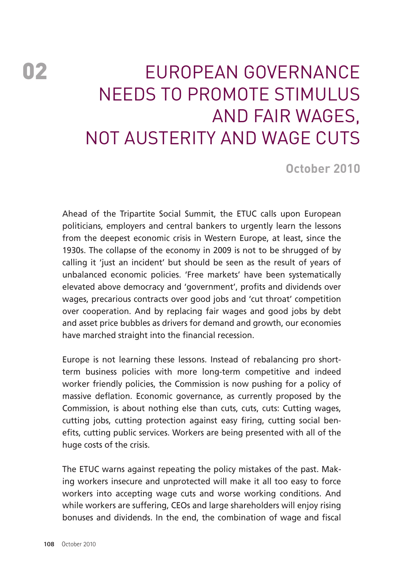# 02 **EUROPEAN GOVERNANCE** NEEDS TO PROMOTE STIMULUS AND FAIR WAGES, NOT AUSTERITY AND WAGE CUTS

**October 2010**

Ahead of the Tripartite Social Summit, the ETUC calls upon European politicians, employers and central bankers to urgently learn the lessons from the deepest economic crisis in Western Europe, at least, since the 1930s. The collapse of the economy in 2009 is not to be shrugged of by calling it 'just an incident' but should be seen as the result of years of unbalanced economic policies. 'Free markets' have been systematically elevated above democracy and 'government', profits and dividends over wages, precarious contracts over good jobs and 'cut throat' competition over cooperation. And by replacing fair wages and good jobs by debt and asset price bubbles as drivers for demand and growth, our economies have marched straight into the financial recession.

Europe is not learning these lessons. Instead of rebalancing pro shortterm business policies with more long-term competitive and indeed worker friendly policies, the Commission is now pushing for a policy of massive deflation. Economic governance, as currently proposed by the Commission, is about nothing else than cuts, cuts, cuts: Cutting wages, cutting jobs, cutting protection against easy firing, cutting social benefits, cutting public services. Workers are being presented with all of the huge costs of the crisis.

The ETUC warns against repeating the policy mistakes of the past. Making workers insecure and unprotected will make it all too easy to force workers into accepting wage cuts and worse working conditions. And while workers are suffering, CEOs and large shareholders will enjoy rising bonuses and dividends. In the end, the combination of wage and fiscal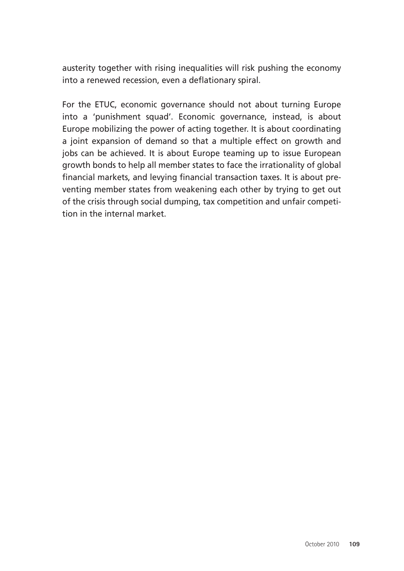austerity together with rising inequalities will risk pushing the economy into a renewed recession, even a deflationary spiral.

For the ETUC, economic governance should not about turning Europe into a 'punishment squad'. Economic governance, instead, is about Europe mobilizing the power of acting together. It is about coordinating a joint expansion of demand so that a multiple effect on growth and jobs can be achieved. It is about Europe teaming up to issue European growth bonds to help all member states to face the irrationality of global financial markets, and levying financial transaction taxes. It is about preventing member states from weakening each other by trying to get out of the crisis through social dumping, tax competition and unfair competition in the internal market.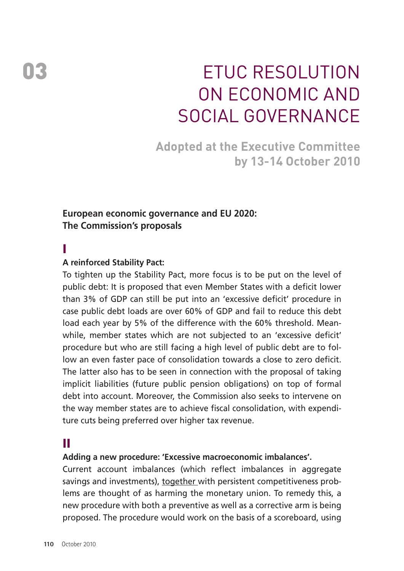# ETUC Resolution on Economic and Social Governance

**Adopted at the Executive Committee by 13-14 October 2010** 

#### **European economic governance and EU 2020: The Commission's proposals**

#### I

#### **A reinforced Stability Pact:**

To tighten up the Stability Pact, more focus is to be put on the level of public debt: It is proposed that even Member States with a deficit lower than 3% of GDP can still be put into an 'excessive deficit' procedure in case public debt loads are over 60% of GDP and fail to reduce this debt load each year by 5% of the difference with the 60% threshold. Meanwhile, member states which are not subjected to an 'excessive deficit' procedure but who are still facing a high level of public debt are to follow an even faster pace of consolidation towards a close to zero deficit. The latter also has to be seen in connection with the proposal of taking implicit liabilities (future public pension obligations) on top of formal debt into account. Moreover, the Commission also seeks to intervene on the way member states are to achieve fiscal consolidation, with expenditure cuts being preferred over higher tax revenue.

### II

#### **Adding a new procedure: 'Excessive macroeconomic imbalances'.**

Current account imbalances (which reflect imbalances in aggregate savings and investments), together with persistent competitiveness problems are thought of as harming the monetary union. To remedy this, a new procedure with both a preventive as well as a corrective arm is being proposed. The procedure would work on the basis of a scoreboard, using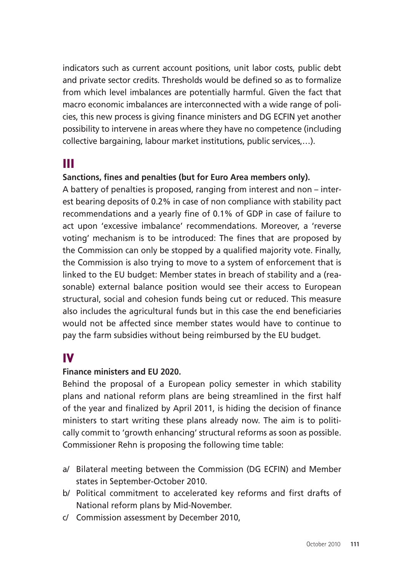indicators such as current account positions, unit labor costs, public debt and private sector credits. Thresholds would be defined so as to formalize from which level imbalances are potentially harmful. Given the fact that macro economic imbalances are interconnected with a wide range of policies, this new process is giving finance ministers and DG ECFIN yet another possibility to intervene in areas where they have no competence (including collective bargaining, labour market institutions, public services,…).

## III

#### **Sanctions, fines and penalties (but for Euro Area members only).**

A battery of penalties is proposed, ranging from interest and non – interest bearing deposits of 0.2% in case of non compliance with stability pact recommendations and a yearly fine of 0.1% of GDP in case of failure to act upon 'excessive imbalance' recommendations. Moreover, a 'reverse voting' mechanism is to be introduced: The fines that are proposed by the Commission can only be stopped by a qualified majority vote. Finally, the Commission is also trying to move to a system of enforcement that is linked to the EU budget: Member states in breach of stability and a (reasonable) external balance position would see their access to European structural, social and cohesion funds being cut or reduced. This measure also includes the agricultural funds but in this case the end beneficiaries would not be affected since member states would have to continue to pay the farm subsidies without being reimbursed by the EU budget.

## IV

#### **Finance ministers and EU 2020.**

Behind the proposal of a European policy semester in which stability plans and national reform plans are being streamlined in the first half of the year and finalized by April 2011, is hiding the decision of finance ministers to start writing these plans already now. The aim is to politically commit to 'growth enhancing' structural reforms as soon as possible. Commissioner Rehn is proposing the following time table:

- a/ Bilateral meeting between the Commission (DG ECFIN) and Member states in September-October 2010.
- b/ Political commitment to accelerated key reforms and first drafts of National reform plans by Mid-November.
- c/ Commission assessment by December 2010,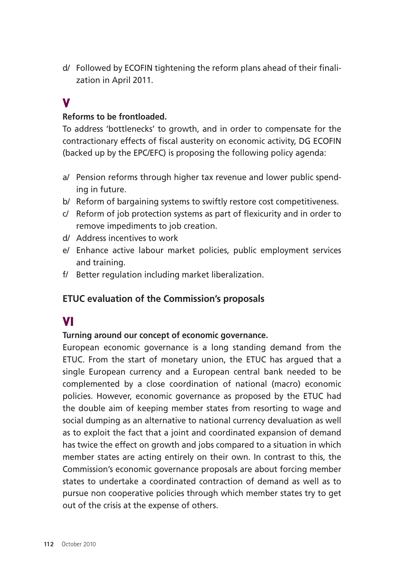d/ Followed by ECOFIN tightening the reform plans ahead of their finalization in April 2011.

## V

#### **Reforms to be frontloaded.**

To address 'bottlenecks' to growth, and in order to compensate for the contractionary effects of fiscal austerity on economic activity, DG ECOFIN (backed up by the EPC/EFC) is proposing the following policy agenda:

- a/ Pension reforms through higher tax revenue and lower public spending in future.
- b/ Reform of bargaining systems to swiftly restore cost competitiveness.
- c/ Reform of job protection systems as part of flexicurity and in order to remove impediments to job creation.
- d/ Address incentives to work
- e/ Enhance active labour market policies, public employment services and training.
- f/ Better regulation including market liberalization.

#### **ETUC evaluation of the Commission's proposals**

### VI

#### **Turning around our concept of economic governance.**

European economic governance is a long standing demand from the ETUC. From the start of monetary union, the ETUC has argued that a single European currency and a European central bank needed to be complemented by a close coordination of national (macro) economic policies. However, economic governance as proposed by the ETUC had the double aim of keeping member states from resorting to wage and social dumping as an alternative to national currency devaluation as well as to exploit the fact that a joint and coordinated expansion of demand has twice the effect on growth and jobs compared to a situation in which member states are acting entirely on their own. In contrast to this, the Commission's economic governance proposals are about forcing member states to undertake a coordinated contraction of demand as well as to pursue non cooperative policies through which member states try to get out of the crisis at the expense of others.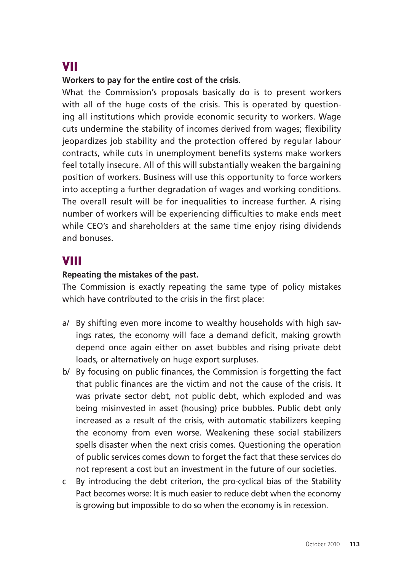## VII

#### **Workers to pay for the entire cost of the crisis.**

What the Commission's proposals basically do is to present workers with all of the huge costs of the crisis. This is operated by questioning all institutions which provide economic security to workers. Wage cuts undermine the stability of incomes derived from wages; flexibility jeopardizes job stability and the protection offered by regular labour contracts, while cuts in unemployment benefits systems make workers feel totally insecure. All of this will substantially weaken the bargaining position of workers. Business will use this opportunity to force workers into accepting a further degradation of wages and working conditions. The overall result will be for inequalities to increase further. A rising number of workers will be experiencing difficulties to make ends meet while CEO's and shareholders at the same time enjoy rising dividends and bonuses.

### VIII

#### **Repeating the mistakes of the past.**

The Commission is exactly repeating the same type of policy mistakes which have contributed to the crisis in the first place:

- a/ By shifting even more income to wealthy households with high savings rates, the economy will face a demand deficit, making growth depend once again either on asset bubbles and rising private debt loads, or alternatively on huge export surpluses.
- b/ By focusing on public finances, the Commission is forgetting the fact that public finances are the victim and not the cause of the crisis. It was private sector debt, not public debt, which exploded and was being misinvested in asset (housing) price bubbles. Public debt only increased as a result of the crisis, with automatic stabilizers keeping the economy from even worse. Weakening these social stabilizers spells disaster when the next crisis comes. Questioning the operation of public services comes down to forget the fact that these services do not represent a cost but an investment in the future of our societies.
- c By introducing the debt criterion, the pro-cyclical bias of the Stability Pact becomes worse: It is much easier to reduce debt when the economy is growing but impossible to do so when the economy is in recession.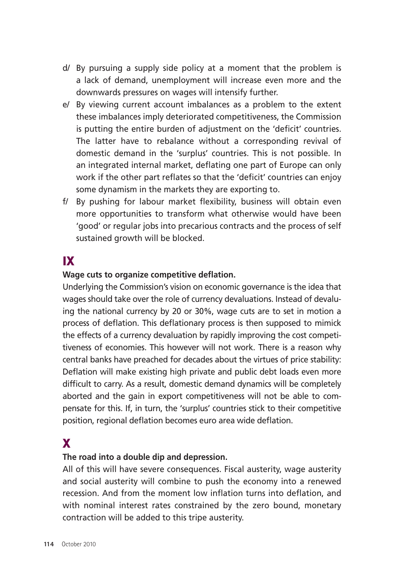- d/ By pursuing a supply side policy at a moment that the problem is a lack of demand, unemployment will increase even more and the downwards pressures on wages will intensify further.
- e/ By viewing current account imbalances as a problem to the extent these imbalances imply deteriorated competitiveness, the Commission is putting the entire burden of adjustment on the 'deficit' countries. The latter have to rebalance without a corresponding revival of domestic demand in the 'surplus' countries. This is not possible. In an integrated internal market, deflating one part of Europe can only work if the other part reflates so that the 'deficit' countries can enjoy some dynamism in the markets they are exporting to.
- f/ By pushing for labour market flexibility, business will obtain even more opportunities to transform what otherwise would have been 'good' or regular jobs into precarious contracts and the process of self sustained growth will be blocked.

## IX

#### **Wage cuts to organize competitive deflation.**

Underlying the Commission's vision on economic governance is the idea that wages should take over the role of currency devaluations. Instead of devaluing the national currency by 20 or 30%, wage cuts are to set in motion a process of deflation. This deflationary process is then supposed to mimick the effects of a currency devaluation by rapidly improving the cost competitiveness of economies. This however will not work. There is a reason why central banks have preached for decades about the virtues of price stability: Deflation will make existing high private and public debt loads even more difficult to carry. As a result, domestic demand dynamics will be completely aborted and the gain in export competitiveness will not be able to compensate for this. If, in turn, the 'surplus' countries stick to their competitive position, regional deflation becomes euro area wide deflation.

## X

#### **The road into a double dip and depression.**

All of this will have severe consequences. Fiscal austerity, wage austerity and social austerity will combine to push the economy into a renewed recession. And from the moment low inflation turns into deflation, and with nominal interest rates constrained by the zero bound, monetary contraction will be added to this tripe austerity.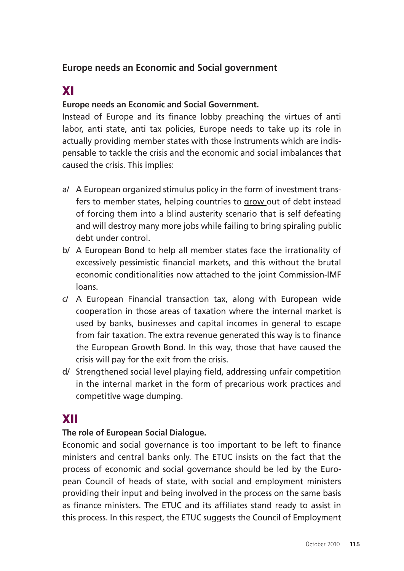### **Europe needs an Economic and Social government**

## XI

#### **Europe needs an Economic and Social Government.**

Instead of Europe and its finance lobby preaching the virtues of anti labor, anti state, anti tax policies, Europe needs to take up its role in actually providing member states with those instruments which are indispensable to tackle the crisis and the economic and social imbalances that caused the crisis. This implies:

- a/ A European organized stimulus policy in the form of investment transfers to member states, helping countries to grow out of debt instead of forcing them into a blind austerity scenario that is self defeating and will destroy many more jobs while failing to bring spiraling public debt under control.
- b/ A European Bond to help all member states face the irrationality of excessively pessimistic financial markets, and this without the brutal economic conditionalities now attached to the joint Commission-IMF loans.
- c/ A European Financial transaction tax, along with European wide cooperation in those areas of taxation where the internal market is used by banks, businesses and capital incomes in general to escape from fair taxation. The extra revenue generated this way is to finance the European Growth Bond. In this way, those that have caused the crisis will pay for the exit from the crisis.
- d/ Strengthened social level playing field, addressing unfair competition in the internal market in the form of precarious work practices and competitive wage dumping.

## XII

#### **The role of European Social Dialogue.**

Economic and social governance is too important to be left to finance ministers and central banks only. The ETUC insists on the fact that the process of economic and social governance should be led by the European Council of heads of state, with social and employment ministers providing their input and being involved in the process on the same basis as finance ministers. The ETUC and its affiliates stand ready to assist in this process. In this respect, the ETUC suggests the Council of Employment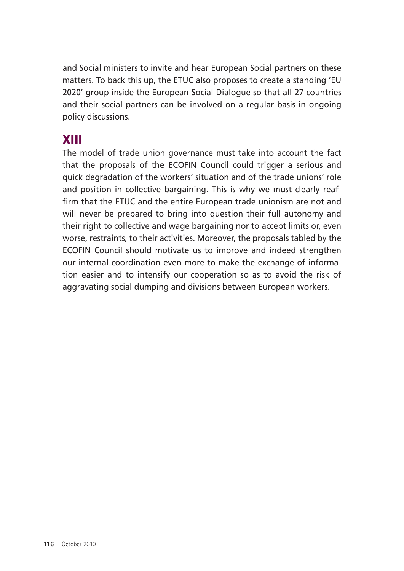and Social ministers to invite and hear European Social partners on these matters. To back this up, the ETUC also proposes to create a standing 'EU 2020' group inside the European Social Dialogue so that all 27 countries and their social partners can be involved on a regular basis in ongoing policy discussions.

## XIII

The model of trade union governance must take into account the fact that the proposals of the ECOFIN Council could trigger a serious and quick degradation of the workers' situation and of the trade unions' role and position in collective bargaining. This is why we must clearly reaffirm that the ETUC and the entire European trade unionism are not and will never be prepared to bring into question their full autonomy and their right to collective and wage bargaining nor to accept limits or, even worse, restraints, to their activities. Moreover, the proposals tabled by the ECOFIN Council should motivate us to improve and indeed strengthen our internal coordination even more to make the exchange of information easier and to intensify our cooperation so as to avoid the risk of aggravating social dumping and divisions between European workers.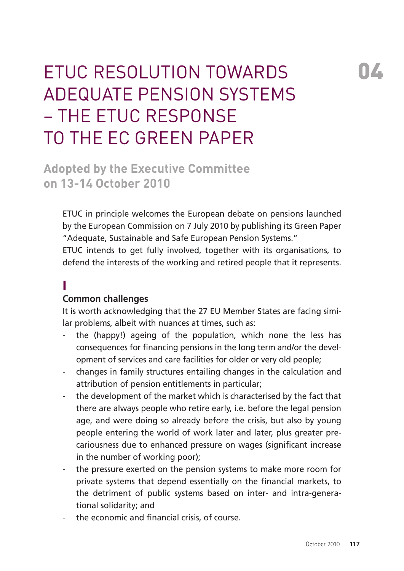# **ETUC RESOLUTION TOWARDS** adequate pension systems – the ETUC response to the EC Green Paper

**Adopted by the Executive Committee on 13-14 October 2010** 

ETUC in principle welcomes the European debate on pensions launched by the European Commission on 7 July 2010 by publishing its Green Paper "Adequate, Sustainable and Safe European Pension Systems."

ETUC intends to get fully involved, together with its organisations, to defend the interests of the working and retired people that it represents.

## I

#### **Common challenges**

It is worth acknowledging that the 27 EU Member States are facing similar problems, albeit with nuances at times, such as:

- the (happy!) ageing of the population, which none the less has consequences for financing pensions in the long term and/or the development of services and care facilities for older or very old people;
- changes in family structures entailing changes in the calculation and attribution of pension entitlements in particular;
- the development of the market which is characterised by the fact that there are always people who retire early, i.e. before the legal pension age, and were doing so already before the crisis, but also by young people entering the world of work later and later, plus greater precariousness due to enhanced pressure on wages (significant increase in the number of working poor);
- the pressure exerted on the pension systems to make more room for private systems that depend essentially on the financial markets, to the detriment of public systems based on inter- and intra-generational solidarity; and
- the economic and financial crisis, of course.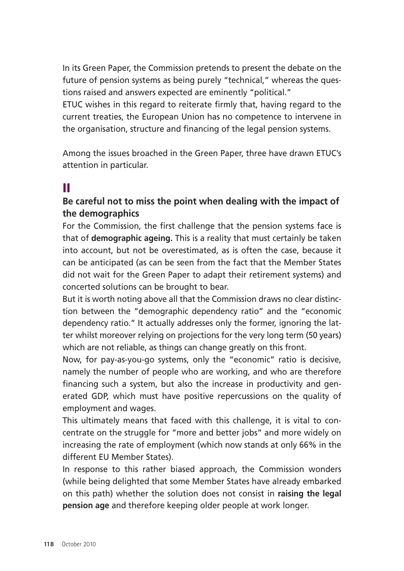In its Green Paper, the Commission pretends to present the debate on the future of pension systems as being purely "technical," whereas the questions raised and answers expected are eminently "political."

ETUC wishes in this regard to reiterate firmly that, having regard to the current treaties, the European Union has no competence to intervene in the organisation, structure and financing of the legal pension systems.

Among the issues broached in the Green Paper, three have drawn ETUC's attention in particular.

## II

#### **Be careful not to miss the point when dealing with the impact of the demographics**

For the Commission, the first challenge that the pension systems face is that of **demographic ageing.** This is a reality that must certainly be taken into account, but not be overestimated, as is often the case, because it can be anticipated (as can be seen from the fact that the Member States did not wait for the Green Paper to adapt their retirement systems) and concerted solutions can be brought to bear.

But it is worth noting above all that the Commission draws no clear distinction between the "demographic dependency ratio" and the "economic dependency ratio." It actually addresses only the former, ignoring the latter whilst moreover relying on projections for the very long term (50 years) which are not reliable, as things can change greatly on this front.

Now, for pay-as-you-go systems, only the "economic" ratio is decisive, namely the number of people who are working, and who are therefore financing such a system, but also the increase in productivity and generated GDP, which must have positive repercussions on the quality of employment and wages.

This ultimately means that faced with this challenge, it is vital to concentrate on the struggle for "more and better jobs" and more widely on increasing the rate of employment (which now stands at only 66% in the different EU Member States).

In response to this rather biased approach, the Commission wonders (while being delighted that some Member States have already embarked on this path) whether the solution does not consist in **raising the legal pension age** and therefore keeping older people at work longer.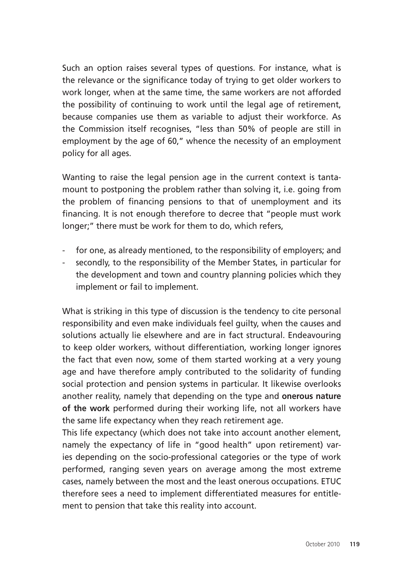Such an option raises several types of questions. For instance, what is the relevance or the significance today of trying to get older workers to work longer, when at the same time, the same workers are not afforded the possibility of continuing to work until the legal age of retirement, because companies use them as variable to adjust their workforce. As the Commission itself recognises, "less than 50% of people are still in employment by the age of 60," whence the necessity of an employment policy for all ages.

Wanting to raise the legal pension age in the current context is tantamount to postponing the problem rather than solving it, i.e. going from the problem of financing pensions to that of unemployment and its financing. It is not enough therefore to decree that "people must work longer;" there must be work for them to do, which refers,

- for one, as already mentioned, to the responsibility of employers; and
- secondly, to the responsibility of the Member States, in particular for the development and town and country planning policies which they implement or fail to implement.

What is striking in this type of discussion is the tendency to cite personal responsibility and even make individuals feel guilty, when the causes and solutions actually lie elsewhere and are in fact structural. Endeavouring to keep older workers, without differentiation, working longer ignores the fact that even now, some of them started working at a very young age and have therefore amply contributed to the solidarity of funding social protection and pension systems in particular. It likewise overlooks another reality, namely that depending on the type and **onerous nature of the work** performed during their working life, not all workers have the same life expectancy when they reach retirement age.

This life expectancy (which does not take into account another element, namely the expectancy of life in "good health" upon retirement) varies depending on the socio-professional categories or the type of work performed, ranging seven years on average among the most extreme cases, namely between the most and the least onerous occupations. ETUC therefore sees a need to implement differentiated measures for entitlement to pension that take this reality into account.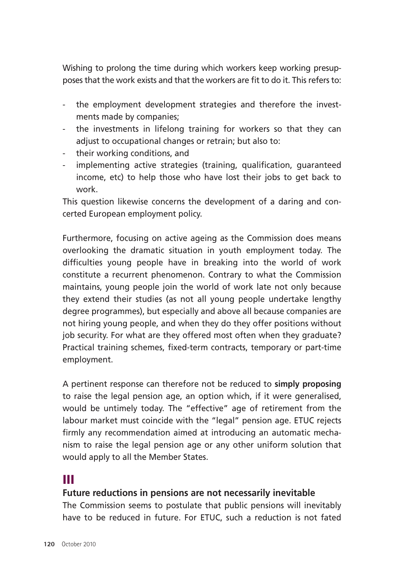Wishing to prolong the time during which workers keep working presupposes that the work exists and that the workers are fit to do it. This refers to:

- the employment development strategies and therefore the investments made by companies;
- the investments in lifelong training for workers so that they can adjust to occupational changes or retrain; but also to:
- their working conditions, and
- implementing active strategies (training, qualification, quaranteed income, etc) to help those who have lost their jobs to get back to work.

This question likewise concerns the development of a daring and concerted European employment policy.

Furthermore, focusing on active ageing as the Commission does means overlooking the dramatic situation in youth employment today. The difficulties young people have in breaking into the world of work constitute a recurrent phenomenon. Contrary to what the Commission maintains, young people join the world of work late not only because they extend their studies (as not all young people undertake lengthy degree programmes), but especially and above all because companies are not hiring young people, and when they do they offer positions without job security. For what are they offered most often when they graduate? Practical training schemes, fixed-term contracts, temporary or part-time employment.

A pertinent response can therefore not be reduced to **simply proposing**  to raise the legal pension age, an option which, if it were generalised, would be untimely today. The "effective" age of retirement from the labour market must coincide with the "legal" pension age. ETUC rejects firmly any recommendation aimed at introducing an automatic mechanism to raise the legal pension age or any other uniform solution that would apply to all the Member States.

## III

#### **Future reductions in pensions are not necessarily inevitable**

The Commission seems to postulate that public pensions will inevitably have to be reduced in future. For ETUC, such a reduction is not fated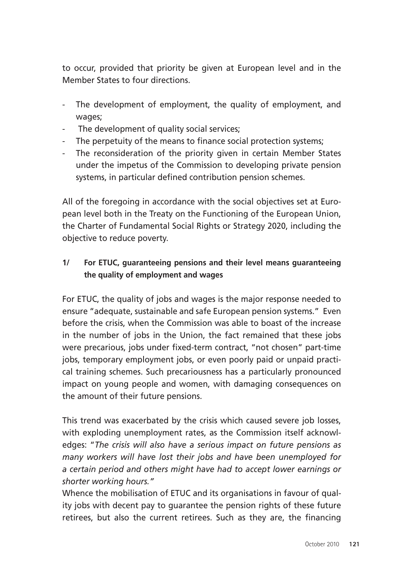to occur, provided that priority be given at European level and in the Member States to four directions.

- The development of employment, the quality of employment, and wages;
- The development of quality social services;
- The perpetuity of the means to finance social protection systems:
- The reconsideration of the priority given in certain Member States under the impetus of the Commission to developing private pension systems, in particular defined contribution pension schemes.

All of the foregoing in accordance with the social objectives set at European level both in the Treaty on the Functioning of the European Union, the Charter of Fundamental Social Rights or Strategy 2020, including the objective to reduce poverty.

#### **1/ For ETUC, guaranteeing pensions and their level means guaranteeing the quality of employment and wages**

For ETUC, the quality of jobs and wages is the major response needed to ensure "adequate, sustainable and safe European pension systems." Even before the crisis, when the Commission was able to boast of the increase in the number of jobs in the Union, the fact remained that these jobs were precarious, jobs under fixed-term contract, "not chosen" part-time jobs, temporary employment jobs, or even poorly paid or unpaid practical training schemes. Such precariousness has a particularly pronounced impact on young people and women, with damaging consequences on the amount of their future pensions.

This trend was exacerbated by the crisis which caused severe job losses, with exploding unemployment rates, as the Commission itself acknowledges: "*The crisis will also have a serious impact on future pensions as many workers will have lost their jobs and have been unemployed for a certain period and others might have had to accept lower earnings or shorter working hours."* 

Whence the mobilisation of ETUC and its organisations in favour of quality jobs with decent pay to guarantee the pension rights of these future retirees, but also the current retirees. Such as they are, the financing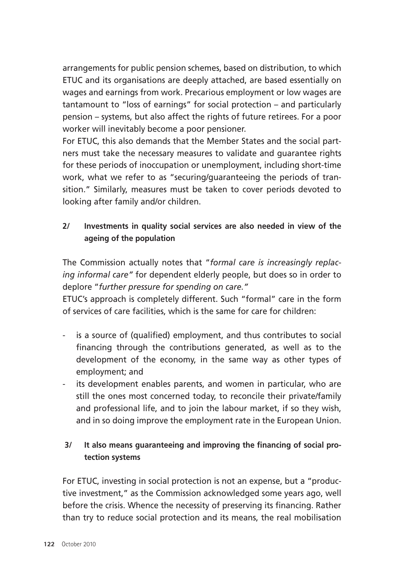arrangements for public pension schemes, based on distribution, to which ETUC and its organisations are deeply attached, are based essentially on wages and earnings from work. Precarious employment or low wages are tantamount to "loss of earnings" for social protection – and particularly pension – systems, but also affect the rights of future retirees. For a poor worker will inevitably become a poor pensioner.

For ETUC, this also demands that the Member States and the social partners must take the necessary measures to validate and guarantee rights for these periods of inoccupation or unemployment, including short-time work, what we refer to as "securing/guaranteeing the periods of transition." Similarly, measures must be taken to cover periods devoted to looking after family and/or children.

#### **2/ Investments in quality social services are also needed in view of the ageing of the population**

The Commission actually notes that "*formal care is increasingly replacing informal care"* for dependent elderly people, but does so in order to deplore "*further pressure for spending on care."* 

ETUC's approach is completely different. Such "formal" care in the form of services of care facilities, which is the same for care for children:

- is a source of (qualified) employment, and thus contributes to social financing through the contributions generated, as well as to the development of the economy, in the same way as other types of employment; and
- its development enables parents, and women in particular, who are still the ones most concerned today, to reconcile their private/family and professional life, and to join the labour market, if so they wish, and in so doing improve the employment rate in the European Union.

#### **3/ It also means guaranteeing and improving the financing of social protection systems**

For ETUC, investing in social protection is not an expense, but a "productive investment," as the Commission acknowledged some years ago, well before the crisis. Whence the necessity of preserving its financing. Rather than try to reduce social protection and its means, the real mobilisation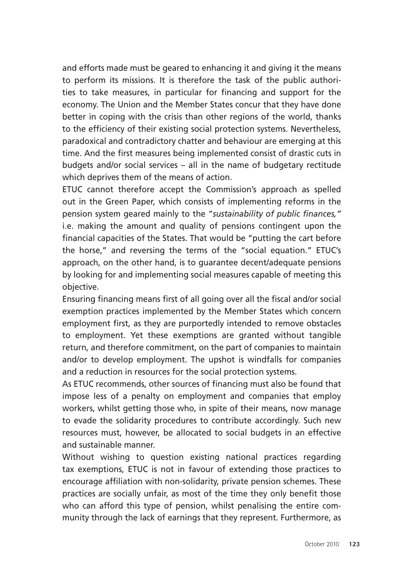and efforts made must be geared to enhancing it and giving it the means to perform its missions. It is therefore the task of the public authorities to take measures, in particular for financing and support for the economy. The Union and the Member States concur that they have done better in coping with the crisis than other regions of the world, thanks to the efficiency of their existing social protection systems. Nevertheless, paradoxical and contradictory chatter and behaviour are emerging at this time. And the first measures being implemented consist of drastic cuts in budgets and/or social services – all in the name of budgetary rectitude which deprives them of the means of action.

ETUC cannot therefore accept the Commission's approach as spelled out in the Green Paper, which consists of implementing reforms in the pension system geared mainly to the "*sustainability of public finances,"*  i.e. making the amount and quality of pensions contingent upon the financial capacities of the States. That would be "putting the cart before the horse," and reversing the terms of the "social equation." ETUC's approach, on the other hand, is to guarantee decent/adequate pensions by looking for and implementing social measures capable of meeting this objective.

Ensuring financing means first of all going over all the fiscal and/or social exemption practices implemented by the Member States which concern employment first, as they are purportedly intended to remove obstacles to employment. Yet these exemptions are granted without tangible return, and therefore commitment, on the part of companies to maintain and/or to develop employment. The upshot is windfalls for companies and a reduction in resources for the social protection systems.

As ETUC recommends, other sources of financing must also be found that impose less of a penalty on employment and companies that employ workers, whilst getting those who, in spite of their means, now manage to evade the solidarity procedures to contribute accordingly. Such new resources must, however, be allocated to social budgets in an effective and sustainable manner.

Without wishing to question existing national practices regarding tax exemptions, ETUC is not in favour of extending those practices to encourage affiliation with non-solidarity, private pension schemes. These practices are socially unfair, as most of the time they only benefit those who can afford this type of pension, whilst penalising the entire community through the lack of earnings that they represent. Furthermore, as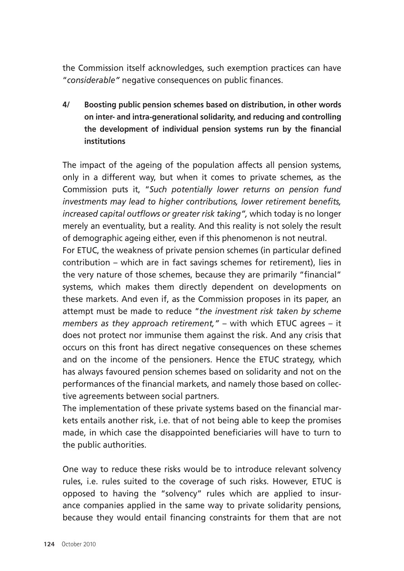the Commission itself acknowledges, such exemption practices can have "*considerable"* negative consequences on public finances.

**4/ Boosting public pension schemes based on distribution, in other words on inter- and intra-generational solidarity, and reducing and controlling the development of individual pension systems run by the financial institutions** 

The impact of the ageing of the population affects all pension systems, only in a different way, but when it comes to private schemes, as the Commission puts it, "*Such potentially lower returns on pension fund investments may lead to higher contributions, lower retirement benefits, increased capital outflows or greater risk taking",* which today is no longer merely an eventuality, but a reality. And this reality is not solely the result of demographic ageing either, even if this phenomenon is not neutral.

For ETUC, the weakness of private pension schemes (in particular defined contribution – which are in fact savings schemes for retirement), lies in the very nature of those schemes, because they are primarily "financial" systems, which makes them directly dependent on developments on these markets. And even if, as the Commission proposes in its paper, an attempt must be made to reduce "*the investment risk taken by scheme members as they approach retirement,"* – with which ETUC agrees – it does not protect nor immunise them against the risk. And any crisis that occurs on this front has direct negative consequences on these schemes and on the income of the pensioners. Hence the ETUC strategy, which has always favoured pension schemes based on solidarity and not on the performances of the financial markets, and namely those based on collective agreements between social partners.

The implementation of these private systems based on the financial markets entails another risk, i.e. that of not being able to keep the promises made, in which case the disappointed beneficiaries will have to turn to the public authorities.

One way to reduce these risks would be to introduce relevant solvency rules, i.e. rules suited to the coverage of such risks. However, ETUC is opposed to having the "solvency" rules which are applied to insurance companies applied in the same way to private solidarity pensions, because they would entail financing constraints for them that are not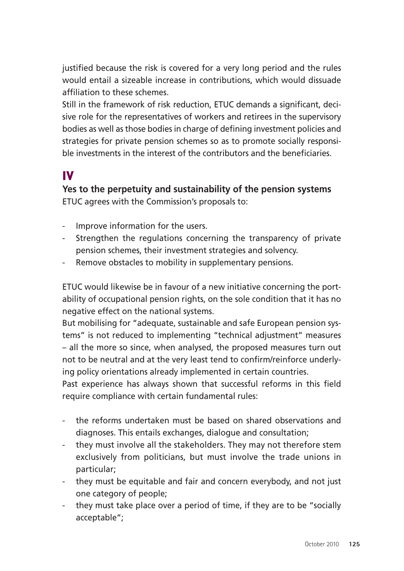justified because the risk is covered for a very long period and the rules would entail a sizeable increase in contributions, which would dissuade affiliation to these schemes.

Still in the framework of risk reduction, ETUC demands a significant, decisive role for the representatives of workers and retirees in the supervisory bodies as well as those bodies in charge of defining investment policies and strategies for private pension schemes so as to promote socially responsible investments in the interest of the contributors and the beneficiaries.

## IV

**Yes to the perpetuity and sustainability of the pension systems**  ETUC agrees with the Commission's proposals to:

- Improve information for the users.
- Strengthen the regulations concerning the transparency of private pension schemes, their investment strategies and solvency.
- Remove obstacles to mobility in supplementary pensions.

ETUC would likewise be in favour of a new initiative concerning the portability of occupational pension rights, on the sole condition that it has no negative effect on the national systems.

But mobilising for "adequate, sustainable and safe European pension systems" is not reduced to implementing "technical adjustment" measures – all the more so since, when analysed, the proposed measures turn out not to be neutral and at the very least tend to confirm/reinforce underlying policy orientations already implemented in certain countries.

Past experience has always shown that successful reforms in this field require compliance with certain fundamental rules:

- the reforms undertaken must be based on shared observations and diagnoses. This entails exchanges, dialogue and consultation;
- they must involve all the stakeholders. They may not therefore stem exclusively from politicians, but must involve the trade unions in particular;
- they must be equitable and fair and concern everybody, and not just one category of people;
- they must take place over a period of time, if they are to be "socially acceptable";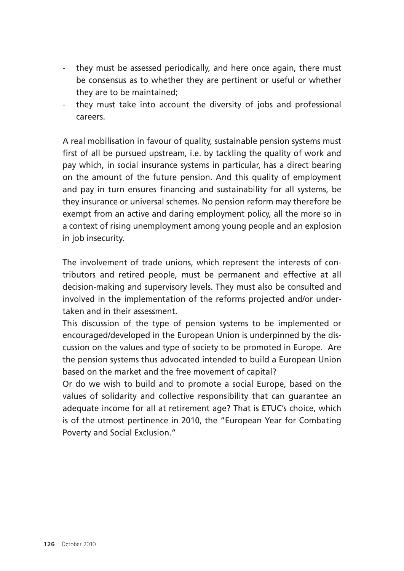- they must be assessed periodically, and here once again, there must be consensus as to whether they are pertinent or useful or whether they are to be maintained;
- they must take into account the diversity of jobs and professional careers.

A real mobilisation in favour of quality, sustainable pension systems must first of all be pursued upstream, i.e. by tackling the quality of work and pay which, in social insurance systems in particular, has a direct bearing on the amount of the future pension. And this quality of employment and pay in turn ensures financing and sustainability for all systems, be they insurance or universal schemes. No pension reform may therefore be exempt from an active and daring employment policy, all the more so in a context of rising unemployment among young people and an explosion in job insecurity.

The involvement of trade unions, which represent the interests of contributors and retired people, must be permanent and effective at all decision-making and supervisory levels. They must also be consulted and involved in the implementation of the reforms projected and/or undertaken and in their assessment.

This discussion of the type of pension systems to be implemented or encouraged/developed in the European Union is underpinned by the discussion on the values and type of society to be promoted in Europe. Are the pension systems thus advocated intended to build a European Union based on the market and the free movement of capital?

Or do we wish to build and to promote a social Europe, based on the values of solidarity and collective responsibility that can guarantee an adequate income for all at retirement age? That is ETUC's choice, which is of the utmost pertinence in 2010, the "European Year for Combating Poverty and Social Exclusion."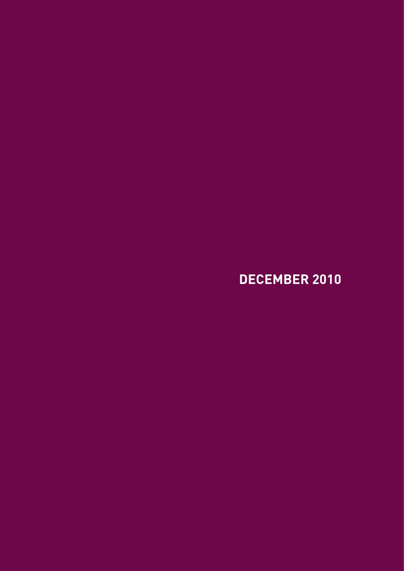## **DECEMBER 2010**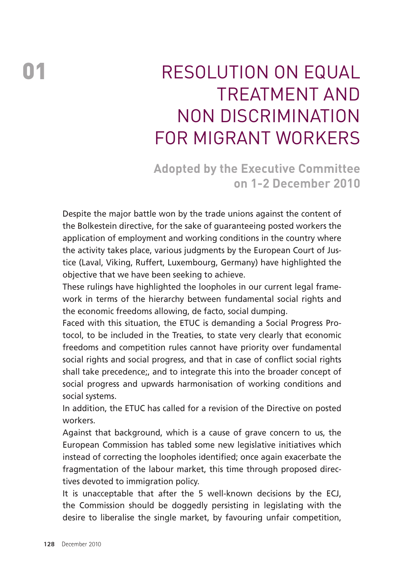# RESOLUTION ON FOUAL treatment and non discrimination for migrant workers

**Adopted by the Executive Committee on 1-2 December 2010** 

Despite the major battle won by the trade unions against the content of the Bolkestein directive, for the sake of guaranteeing posted workers the application of employment and working conditions in the country where the activity takes place, various judgments by the European Court of Justice (Laval, Viking, Ruffert, Luxembourg, Germany) have highlighted the objective that we have been seeking to achieve.

These rulings have highlighted the loopholes in our current legal framework in terms of the hierarchy between fundamental social rights and the economic freedoms allowing, de facto, social dumping.

Faced with this situation, the ETUC is demanding a Social Progress Protocol, to be included in the Treaties, to state very clearly that economic freedoms and competition rules cannot have priority over fundamental social rights and social progress, and that in case of conflict social rights shall take precedence;, and to integrate this into the broader concept of social progress and upwards harmonisation of working conditions and social systems.

In addition, the ETUC has called for a revision of the Directive on posted workers.

Against that background, which is a cause of grave concern to us, the European Commission has tabled some new legislative initiatives which instead of correcting the loopholes identified; once again exacerbate the fragmentation of the labour market, this time through proposed directives devoted to immigration policy.

It is unacceptable that after the 5 well-known decisions by the ECJ, the Commission should be doggedly persisting in legislating with the desire to liberalise the single market, by favouring unfair competition,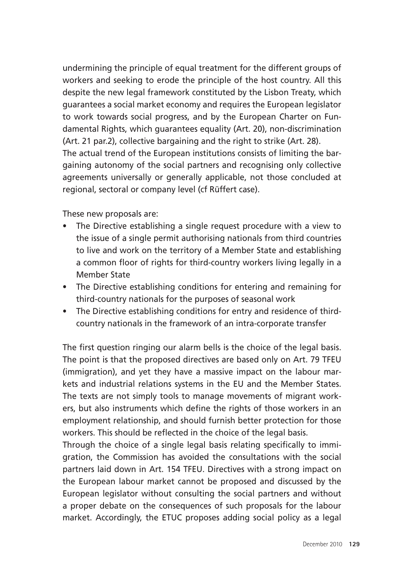undermining the principle of equal treatment for the different groups of workers and seeking to erode the principle of the host country. All this despite the new legal framework constituted by the Lisbon Treaty, which guarantees a social market economy and requires the European legislator to work towards social progress, and by the European Charter on Fundamental Rights, which guarantees equality (Art. 20), non-discrimination (Art. 21 par.2), collective bargaining and the right to strike (Art. 28). The actual trend of the European institutions consists of limiting the bargaining autonomy of the social partners and recognising only collective agreements universally or generally applicable, not those concluded at

These new proposals are:

• The Directive establishing a single request procedure with a view to the issue of a single permit authorising nationals from third countries to live and work on the territory of a Member State and establishing a common floor of rights for third-country workers living legally in a Member State

regional, sectoral or company level (cf Rüffert case).

- The Directive establishing conditions for entering and remaining for third-country nationals for the purposes of seasonal work
- The Directive establishing conditions for entry and residence of thirdcountry nationals in the framework of an intra-corporate transfer

The first question ringing our alarm bells is the choice of the legal basis. The point is that the proposed directives are based only on Art. 79 TFEU (immigration), and yet they have a massive impact on the labour markets and industrial relations systems in the EU and the Member States. The texts are not simply tools to manage movements of migrant workers, but also instruments which define the rights of those workers in an employment relationship, and should furnish better protection for those workers. This should be reflected in the choice of the legal basis.

Through the choice of a single legal basis relating specifically to immigration, the Commission has avoided the consultations with the social partners laid down in Art. 154 TFEU. Directives with a strong impact on the European labour market cannot be proposed and discussed by the European legislator without consulting the social partners and without a proper debate on the consequences of such proposals for the labour market. Accordingly, the ETUC proposes adding social policy as a legal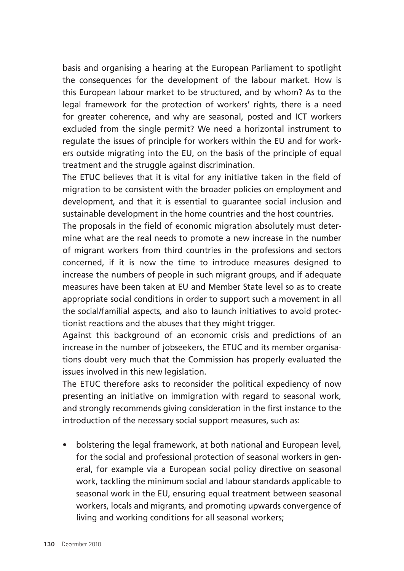basis and organising a hearing at the European Parliament to spotlight the consequences for the development of the labour market. How is this European labour market to be structured, and by whom? As to the legal framework for the protection of workers' rights, there is a need for greater coherence, and why are seasonal, posted and ICT workers excluded from the single permit? We need a horizontal instrument to regulate the issues of principle for workers within the EU and for workers outside migrating into the EU, on the basis of the principle of equal treatment and the struggle against discrimination.

The ETUC believes that it is vital for any initiative taken in the field of migration to be consistent with the broader policies on employment and development, and that it is essential to guarantee social inclusion and sustainable development in the home countries and the host countries.

The proposals in the field of economic migration absolutely must determine what are the real needs to promote a new increase in the number of migrant workers from third countries in the professions and sectors concerned, if it is now the time to introduce measures designed to increase the numbers of people in such migrant groups, and if adequate measures have been taken at EU and Member State level so as to create appropriate social conditions in order to support such a movement in all the social/familial aspects, and also to launch initiatives to avoid protectionist reactions and the abuses that they might trigger.

Against this background of an economic crisis and predictions of an increase in the number of jobseekers, the ETUC and its member organisations doubt very much that the Commission has properly evaluated the issues involved in this new legislation.

The ETUC therefore asks to reconsider the political expediency of now presenting an initiative on immigration with regard to seasonal work, and strongly recommends giving consideration in the first instance to the introduction of the necessary social support measures, such as:

• bolstering the legal framework, at both national and European level, for the social and professional protection of seasonal workers in general, for example via a European social policy directive on seasonal work, tackling the minimum social and labour standards applicable to seasonal work in the EU, ensuring equal treatment between seasonal workers, locals and migrants, and promoting upwards convergence of living and working conditions for all seasonal workers;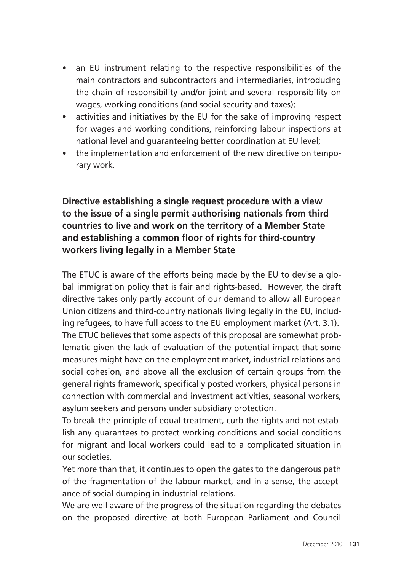- an EU instrument relating to the respective responsibilities of the main contractors and subcontractors and intermediaries, introducing the chain of responsibility and/or joint and several responsibility on wages, working conditions (and social security and taxes);
- activities and initiatives by the EU for the sake of improving respect for wages and working conditions, reinforcing labour inspections at national level and guaranteeing better coordination at EU level;
- the implementation and enforcement of the new directive on temporary work.

**Directive establishing a single request procedure with a view to the issue of a single permit authorising nationals from third countries to live and work on the territory of a Member State and establishing a common floor of rights for third-country workers living legally in a Member State** 

The ETUC is aware of the efforts being made by the EU to devise a global immigration policy that is fair and rights-based. However, the draft directive takes only partly account of our demand to allow all European Union citizens and third-country nationals living legally in the EU, including refugees, to have full access to the EU employment market (Art. 3.1). The ETUC believes that some aspects of this proposal are somewhat problematic given the lack of evaluation of the potential impact that some measures might have on the employment market, industrial relations and social cohesion, and above all the exclusion of certain groups from the general rights framework, specifically posted workers, physical persons in connection with commercial and investment activities, seasonal workers, asylum seekers and persons under subsidiary protection.

To break the principle of equal treatment, curb the rights and not establish any guarantees to protect working conditions and social conditions for migrant and local workers could lead to a complicated situation in our societies.

Yet more than that, it continues to open the gates to the dangerous path of the fragmentation of the labour market, and in a sense, the acceptance of social dumping in industrial relations.

We are well aware of the progress of the situation regarding the debates on the proposed directive at both European Parliament and Council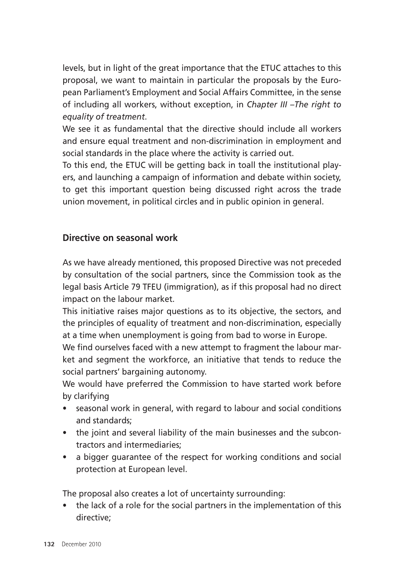levels, but in light of the great importance that the ETUC attaches to this proposal, we want to maintain in particular the proposals by the European Parliament's Employment and Social Affairs Committee, in the sense of including all workers, without exception, in *Chapter III –The right to equality of treatment*.

We see it as fundamental that the directive should include all workers and ensure equal treatment and non-discrimination in employment and social standards in the place where the activity is carried out.

To this end, the ETUC will be getting back in toall the institutional players, and launching a campaign of information and debate within society, to get this important question being discussed right across the trade union movement, in political circles and in public opinion in general.

#### **Directive on seasonal work**

As we have already mentioned, this proposed Directive was not preceded by consultation of the social partners, since the Commission took as the legal basis Article 79 TFEU (immigration), as if this proposal had no direct impact on the labour market.

This initiative raises major questions as to its objective, the sectors, and the principles of equality of treatment and non-discrimination, especially at a time when unemployment is going from bad to worse in Europe.

We find ourselves faced with a new attempt to fragment the labour market and segment the workforce, an initiative that tends to reduce the social partners' bargaining autonomy.

We would have preferred the Commission to have started work before by clarifying

- seasonal work in general, with regard to labour and social conditions and standards;
- the joint and several liability of the main businesses and the subcontractors and intermediaries;
- a bigger guarantee of the respect for working conditions and social protection at European level.

The proposal also creates a lot of uncertainty surrounding:

• the lack of a role for the social partners in the implementation of this directive;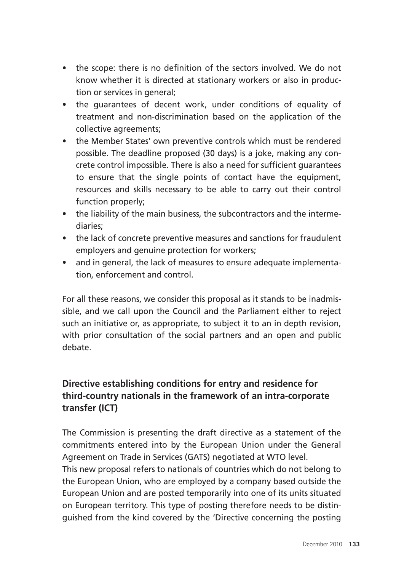- the scope: there is no definition of the sectors involved. We do not know whether it is directed at stationary workers or also in production or services in general;
- the quarantees of decent work, under conditions of equality of treatment and non-discrimination based on the application of the collective agreements;
- the Member States' own preventive controls which must be rendered possible. The deadline proposed (30 days) is a joke, making any concrete control impossible. There is also a need for sufficient guarantees to ensure that the single points of contact have the equipment, resources and skills necessary to be able to carry out their control function properly;
- the liability of the main business, the subcontractors and the intermediaries;
- the lack of concrete preventive measures and sanctions for fraudulent employers and genuine protection for workers;
- and in general, the lack of measures to ensure adequate implementation, enforcement and control.

For all these reasons, we consider this proposal as it stands to be inadmissible, and we call upon the Council and the Parliament either to reject such an initiative or, as appropriate, to subject it to an in depth revision, with prior consultation of the social partners and an open and public debate.

### **Directive establishing conditions for entry and residence for third-country nationals in the framework of an intra-corporate transfer (ICT)**

The Commission is presenting the draft directive as a statement of the commitments entered into by the European Union under the General Agreement on Trade in Services (GATS) negotiated at WTO level. This new proposal refers to nationals of countries which do not belong to the European Union, who are employed by a company based outside the European Union and are posted temporarily into one of its units situated on European territory. This type of posting therefore needs to be distinguished from the kind covered by the 'Directive concerning the posting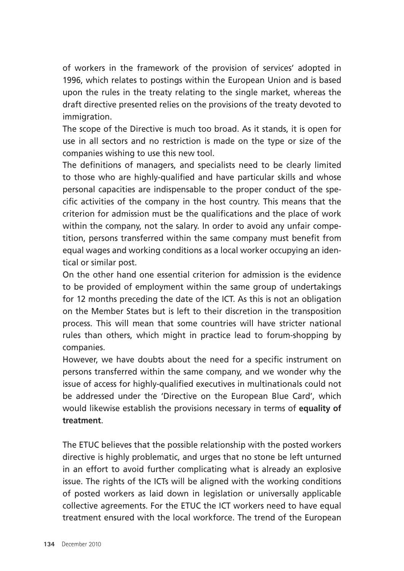of workers in the framework of the provision of services' adopted in 1996, which relates to postings within the European Union and is based upon the rules in the treaty relating to the single market, whereas the draft directive presented relies on the provisions of the treaty devoted to immigration.

The scope of the Directive is much too broad. As it stands, it is open for use in all sectors and no restriction is made on the type or size of the companies wishing to use this new tool.

The definitions of managers, and specialists need to be clearly limited to those who are highly-qualified and have particular skills and whose personal capacities are indispensable to the proper conduct of the specific activities of the company in the host country. This means that the criterion for admission must be the qualifications and the place of work within the company, not the salary. In order to avoid any unfair competition, persons transferred within the same company must benefit from equal wages and working conditions as a local worker occupying an identical or similar post.

On the other hand one essential criterion for admission is the evidence to be provided of employment within the same group of undertakings for 12 months preceding the date of the ICT. As this is not an obligation on the Member States but is left to their discretion in the transposition process. This will mean that some countries will have stricter national rules than others, which might in practice lead to forum-shopping by companies.

However, we have doubts about the need for a specific instrument on persons transferred within the same company, and we wonder why the issue of access for highly-qualified executives in multinationals could not be addressed under the 'Directive on the European Blue Card', which would likewise establish the provisions necessary in terms of **equality of treatment**.

The ETUC believes that the possible relationship with the posted workers directive is highly problematic, and urges that no stone be left unturned in an effort to avoid further complicating what is already an explosive issue. The rights of the ICTs will be aligned with the working conditions of posted workers as laid down in legislation or universally applicable collective agreements. For the ETUC the ICT workers need to have equal treatment ensured with the local workforce. The trend of the European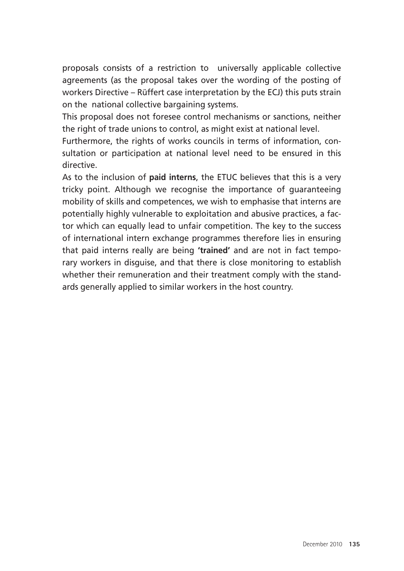proposals consists of a restriction to universally applicable collective agreements (as the proposal takes over the wording of the posting of workers Directive – Rüffert case interpretation by the ECJ) this puts strain on the national collective bargaining systems.

This proposal does not foresee control mechanisms or sanctions, neither the right of trade unions to control, as might exist at national level.

Furthermore, the rights of works councils in terms of information, consultation or participation at national level need to be ensured in this directive.

As to the inclusion of **paid interns**, the ETUC believes that this is a very tricky point. Although we recognise the importance of guaranteeing mobility of skills and competences, we wish to emphasise that interns are potentially highly vulnerable to exploitation and abusive practices, a factor which can equally lead to unfair competition. The key to the success of international intern exchange programmes therefore lies in ensuring that paid interns really are being **'trained'** and are not in fact temporary workers in disguise, and that there is close monitoring to establish whether their remuneration and their treatment comply with the standards generally applied to similar workers in the host country.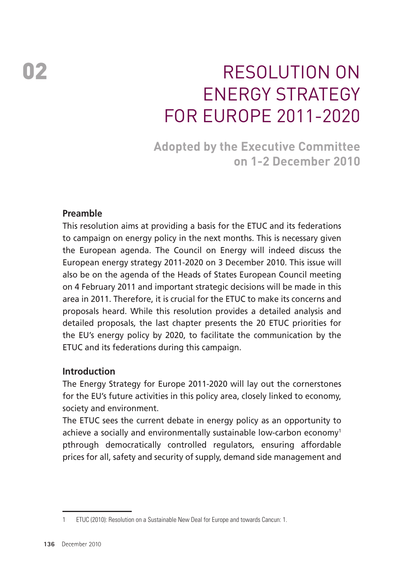# 02 RESOLUTION ON **FNERGY STRATEGY** for Europe 2011-2020

**Adopted by the Executive Committee on 1-2 December 2010** 

#### **Preamble**

This resolution aims at providing a basis for the ETUC and its federations to campaign on energy policy in the next months. This is necessary given the European agenda. The Council on Energy will indeed discuss the European energy strategy 2011-2020 on 3 December 2010. This issue will also be on the agenda of the Heads of States European Council meeting on 4 February 2011 and important strategic decisions will be made in this area in 2011. Therefore, it is crucial for the ETUC to make its concerns and proposals heard. While this resolution provides a detailed analysis and detailed proposals, the last chapter presents the 20 ETUC priorities for the EU's energy policy by 2020, to facilitate the communication by the ETUC and its federations during this campaign.

#### **Introduction**

The Energy Strategy for Europe 2011-2020 will lay out the cornerstones for the EU's future activities in this policy area, closely linked to economy, society and environment.

The ETUC sees the current debate in energy policy as an opportunity to achieve a socially and environmentally sustainable low-carbon economy<sup>1</sup> pthrough democratically controlled regulators, ensuring affordable prices for all, safety and security of supply, demand side management and

<sup>1</sup> ETUC (2010): Resolution on a Sustainable New Deal for Europe and towards Cancun: 1.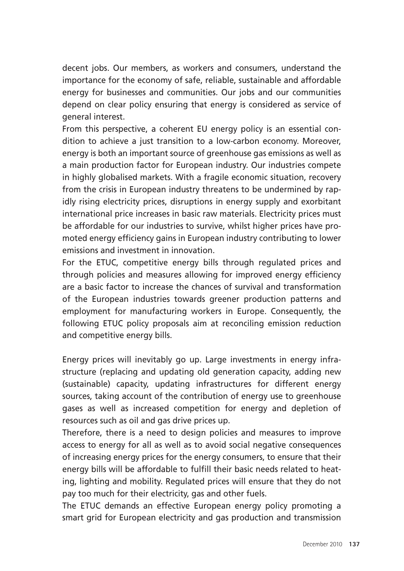decent jobs. Our members, as workers and consumers, understand the importance for the economy of safe, reliable, sustainable and affordable energy for businesses and communities. Our jobs and our communities depend on clear policy ensuring that energy is considered as service of general interest.

From this perspective, a coherent EU energy policy is an essential condition to achieve a just transition to a low-carbon economy. Moreover, energy is both an important source of greenhouse gas emissions as well as a main production factor for European industry. Our industries compete in highly globalised markets. With a fragile economic situation, recovery from the crisis in European industry threatens to be undermined by rapidly rising electricity prices, disruptions in energy supply and exorbitant international price increases in basic raw materials. Electricity prices must be affordable for our industries to survive, whilst higher prices have promoted energy efficiency gains in European industry contributing to lower emissions and investment in innovation.

For the ETUC, competitive energy bills through regulated prices and through policies and measures allowing for improved energy efficiency are a basic factor to increase the chances of survival and transformation of the European industries towards greener production patterns and employment for manufacturing workers in Europe. Consequently, the following ETUC policy proposals aim at reconciling emission reduction and competitive energy bills.

Energy prices will inevitably go up. Large investments in energy infrastructure (replacing and updating old generation capacity, adding new (sustainable) capacity, updating infrastructures for different energy sources, taking account of the contribution of energy use to greenhouse gases as well as increased competition for energy and depletion of resources such as oil and gas drive prices up.

Therefore, there is a need to design policies and measures to improve access to energy for all as well as to avoid social negative consequences of increasing energy prices for the energy consumers, to ensure that their energy bills will be affordable to fulfill their basic needs related to heating, lighting and mobility. Regulated prices will ensure that they do not pay too much for their electricity, gas and other fuels.

The ETUC demands an effective European energy policy promoting a smart grid for European electricity and gas production and transmission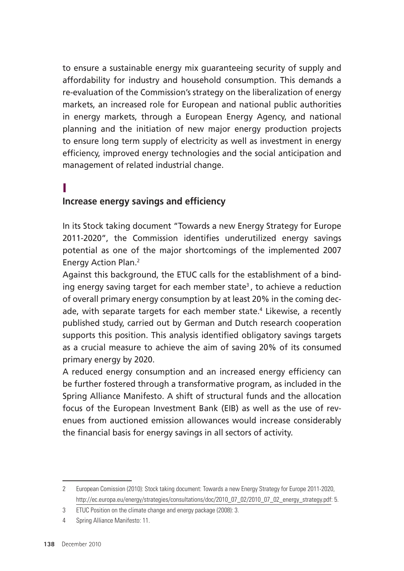to ensure a sustainable energy mix guaranteeing security of supply and affordability for industry and household consumption. This demands a re-evaluation of the Commission's strategy on the liberalization of energy markets, an increased role for European and national public authorities in energy markets, through a European Energy Agency, and national planning and the initiation of new major energy production projects to ensure long term supply of electricity as well as investment in energy efficiency, improved energy technologies and the social anticipation and management of related industrial change.

## I

#### **Increase energy savings and efficiency**

In its Stock taking document "Towards a new Energy Strategy for Europe 2011-2020", the Commission identifies underutilized energy savings potential as one of the major shortcomings of the implemented 2007 Energy Action Plan.<sup>2</sup>

Against this background, the ETUC calls for the establishment of a binding energy saving target for each member state<sup>3</sup>, to achieve a reduction of overall primary energy consumption by at least 20% in the coming decade, with separate targets for each member state.<sup>4</sup> Likewise, a recently published study, carried out by German and Dutch research cooperation supports this position. This analysis identified obligatory savings targets as a crucial measure to achieve the aim of saving 20% of its consumed primary energy by 2020.

A reduced energy consumption and an increased energy efficiency can be further fostered through a transformative program, as included in the Spring Alliance Manifesto. A shift of structural funds and the allocation focus of the European Investment Bank (EIB) as well as the use of revenues from auctioned emission allowances would increase considerably the financial basis for energy savings in all sectors of activity.

<sup>2</sup> European Comission (2010): Stock taking document: Towards a new Energy Strategy for Europe 2011-2020, http://ec.europa.eu/energy/strategies/consultations/doc/2010\_07\_02/2010\_07\_02\_energy\_strategy.pdf: 5.

<sup>3</sup> ETUC Position on the climate change and energy package (2008): 3.

<sup>4</sup> Spring Alliance Manifesto: 11.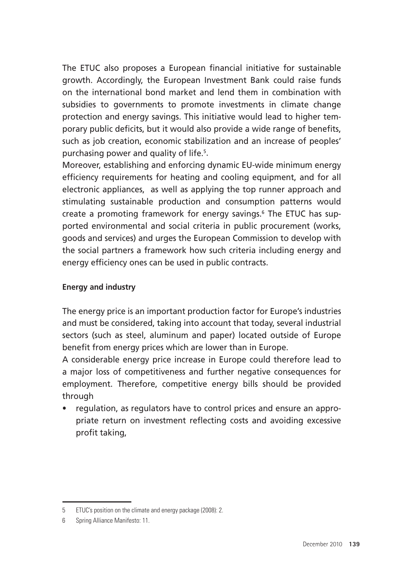The ETUC also proposes a European financial initiative for sustainable growth. Accordingly, the European Investment Bank could raise funds on the international bond market and lend them in combination with subsidies to governments to promote investments in climate change protection and energy savings. This initiative would lead to higher temporary public deficits, but it would also provide a wide range of benefits, such as job creation, economic stabilization and an increase of peoples' purchasing power and quality of life.5 .

Moreover, establishing and enforcing dynamic EU-wide minimum energy efficiency requirements for heating and cooling equipment, and for all electronic appliances, as well as applying the top runner approach and stimulating sustainable production and consumption patterns would create a promoting framework for energy savings.<sup>6</sup> The ETUC has supported environmental and social criteria in public procurement (works, goods and services) and urges the European Commission to develop with the social partners a framework how such criteria including energy and energy efficiency ones can be used in public contracts.

#### **Energy and industry**

The energy price is an important production factor for Europe's industries and must be considered, taking into account that today, several industrial sectors (such as steel, aluminum and paper) located outside of Europe benefit from energy prices which are lower than in Europe.

A considerable energy price increase in Europe could therefore lead to a major loss of competitiveness and further negative consequences for employment. Therefore, competitive energy bills should be provided through

• regulation, as regulators have to control prices and ensure an appropriate return on investment reflecting costs and avoiding excessive profit taking,

<sup>5</sup> ETUC's position on the climate and energy package (2008): 2.

<sup>6</sup> Spring Alliance Manifesto: 11.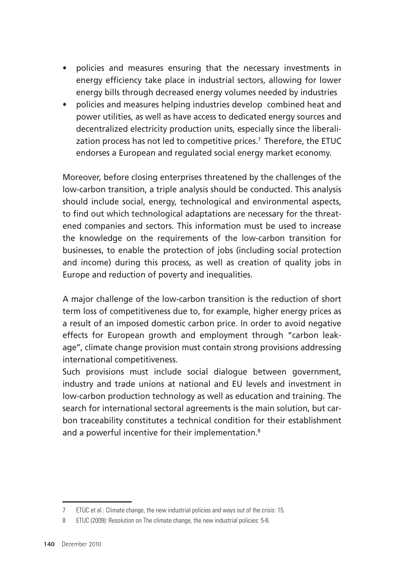- policies and measures ensuring that the necessary investments in energy efficiency take place in industrial sectors, allowing for lower energy bills through decreased energy volumes needed by industries
- policies and measures helping industries develop combined heat and power utilities, as well as have access to dedicated energy sources and decentralized electricity production units, especially since the liberalization process has not led to competitive prices.<sup>7</sup> Therefore, the ETUC endorses a European and regulated social energy market economy.

Moreover, before closing enterprises threatened by the challenges of the low-carbon transition, a triple analysis should be conducted. This analysis should include social, energy, technological and environmental aspects, to find out which technological adaptations are necessary for the threatened companies and sectors. This information must be used to increase the knowledge on the requirements of the low-carbon transition for businesses, to enable the protection of jobs (including social protection and income) during this process, as well as creation of quality jobs in Europe and reduction of poverty and inequalities.

A major challenge of the low-carbon transition is the reduction of short term loss of competitiveness due to, for example, higher energy prices as a result of an imposed domestic carbon price. In order to avoid negative effects for European growth and employment through "carbon leakage'', climate change provision must contain strong provisions addressing international competitiveness.

Such provisions must include social dialogue between government, industry and trade unions at national and EU levels and investment in low-carbon production technology as well as education and training. The search for international sectoral agreements is the main solution, but carbon traceability constitutes a technical condition for their establishment and a powerful incentive for their implementation.<sup>8</sup>

<sup>7</sup> ETUC et al.: Climate change, the new industrial policies and ways out of the crisis: 15.

<sup>8</sup> ETUC (2009): Resolution on The climate change, the new industrial policies: 5-6.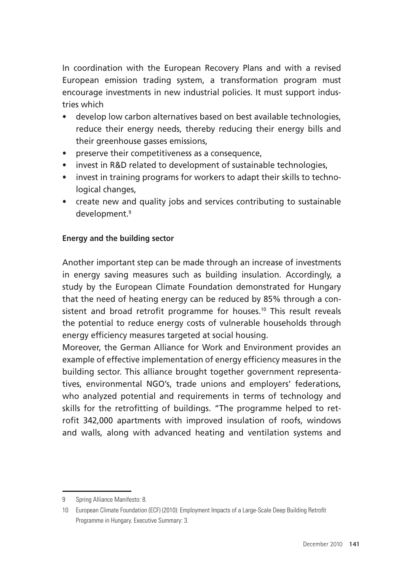In coordination with the European Recovery Plans and with a revised European emission trading system, a transformation program must encourage investments in new industrial policies. It must support industries which

- develop low carbon alternatives based on best available technologies, reduce their energy needs, thereby reducing their energy bills and their greenhouse gasses emissions,
- preserve their competitiveness as a consequence,
- invest in R&D related to development of sustainable technologies.
- invest in training programs for workers to adapt their skills to technological changes,
- create new and quality jobs and services contributing to sustainable development.9

#### **Energy and the building sector**

Another important step can be made through an increase of investments in energy saving measures such as building insulation. Accordingly, a study by the European Climate Foundation demonstrated for Hungary that the need of heating energy can be reduced by 85% through a consistent and broad retrofit programme for houses.<sup>10</sup> This result reveals the potential to reduce energy costs of vulnerable households through energy efficiency measures targeted at social housing.

Moreover, the German Alliance for Work and Environment provides an example of effective implementation of energy efficiency measures in the building sector. This alliance brought together government representatives, environmental NGO's, trade unions and employers' federations, who analyzed potential and requirements in terms of technology and skills for the retrofitting of buildings. "The programme helped to retrofit 342,000 apartments with improved insulation of roofs, windows and walls, along with advanced heating and ventilation systems and

<sup>9</sup> Spring Alliance Manifesto: 8.

<sup>10</sup> European Climate Foundation (ECF) (2010): Employment Impacts of a Large-Scale Deep Building Retrofit Programme in Hungary. Executive Summary: 3.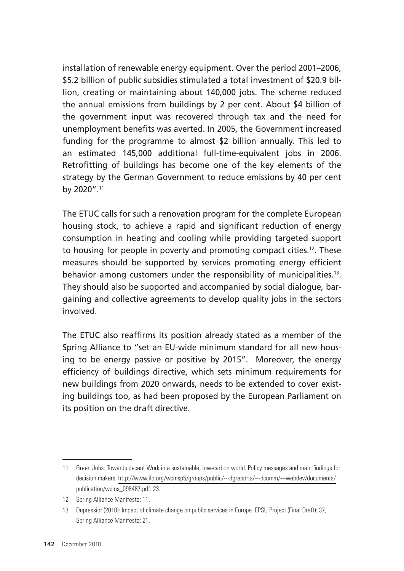installation of renewable energy equipment. Over the period 2001–2006, \$5.2 billion of public subsidies stimulated a total investment of \$20.9 billion, creating or maintaining about 140,000 jobs. The scheme reduced the annual emissions from buildings by 2 per cent. About \$4 billion of the government input was recovered through tax and the need for unemployment benefits was averted. In 2005, the Government increased funding for the programme to almost \$2 billion annually. This led to an estimated 145,000 additional full-time-equivalent jobs in 2006. Retrofitting of buildings has become one of the key elements of the strategy by the German Government to reduce emissions by 40 per cent by 2020".11

The ETUC calls for such a renovation program for the complete European housing stock, to achieve a rapid and significant reduction of energy consumption in heating and cooling while providing targeted support to housing for people in poverty and promoting compact cities.12. These measures should be supported by services promoting energy efficient behavior among customers under the responsibility of municipalities.<sup>13</sup>. They should also be supported and accompanied by social dialogue, bargaining and collective agreements to develop quality jobs in the sectors involved.

The ETUC also reaffirms its position already stated as a member of the Spring Alliance to "set an EU-wide minimum standard for all new housing to be energy passive or positive by 2015". Moreover, the energy efficiency of buildings directive, which sets minimum requirements for new buildings from 2020 onwards, needs to be extended to cover existing buildings too, as had been proposed by the European Parliament on its position on the draft directive.

<sup>11</sup> Green Jobs: Towards decent Work in a sustainable, low-carbon world. Policy messages and main findings for decision makers, http://www.ilo.org/wcmsp5/groups/public/---dgreports/---dcomm/---webdev/documents/ publication/wcms\_098487.pdf: 23.

<sup>12</sup> Spring Alliance Manifesto: 11.

<sup>13</sup> Dupressior (2010): Impact of climate change on public services in Europe. EPSU Project (Final Draft): 37, Spring Alliance Manifesto: 21.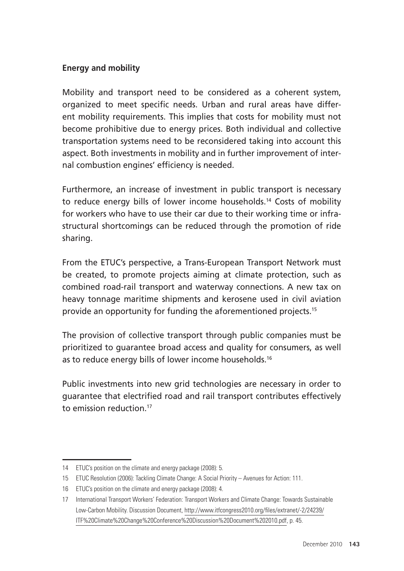#### **Energy and mobility**

Mobility and transport need to be considered as a coherent system, organized to meet specific needs. Urban and rural areas have different mobility requirements. This implies that costs for mobility must not become prohibitive due to energy prices. Both individual and collective transportation systems need to be reconsidered taking into account this aspect. Both investments in mobility and in further improvement of internal combustion engines' efficiency is needed.

Furthermore, an increase of investment in public transport is necessary to reduce energy bills of lower income households.14 Costs of mobility for workers who have to use their car due to their working time or infrastructural shortcomings can be reduced through the promotion of ride sharing.

From the ETUC's perspective, a Trans-European Transport Network must be created, to promote projects aiming at climate protection, such as combined road-rail transport and waterway connections. A new tax on heavy tonnage maritime shipments and kerosene used in civil aviation provide an opportunity for funding the aforementioned projects.15

The provision of collective transport through public companies must be prioritized to guarantee broad access and quality for consumers, as well as to reduce energy bills of lower income households.<sup>16</sup>

Public investments into new grid technologies are necessary in order to guarantee that electrified road and rail transport contributes effectively to emission reduction<sup>17</sup>

<sup>14</sup> ETUC's position on the climate and energy package (2008): 5.

<sup>15</sup> ETUC Resolution (2006): Tackling Climate Change: A Social Priority – Avenues for Action: 111.

<sup>16</sup> ETUC's position on the climate and energy package (2008): 4.

<sup>17</sup> International Transport Workers' Federation: Transport Workers and Climate Change: Towards Sustainable Low-Carbon Mobility. Discussion Document, http://www.itfcongress2010.org/files/extranet/-2/24239/ ITF%20Climate%20Change%20Conference%20Discussion%20Document%202010.pdf, p. 45.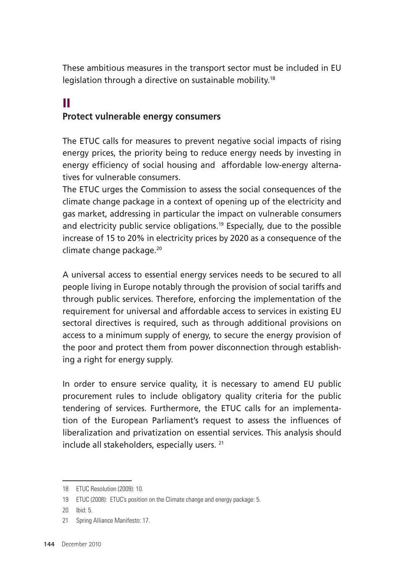These ambitious measures in the transport sector must be included in EU legislation through a directive on sustainable mobility.18

## II **Protect vulnerable energy consumers**

The ETUC calls for measures to prevent negative social impacts of rising energy prices, the priority being to reduce energy needs by investing in energy efficiency of social housing and affordable low-energy alternatives for vulnerable consumers.

The ETUC urges the Commission to assess the social consequences of the climate change package in a context of opening up of the electricity and gas market, addressing in particular the impact on vulnerable consumers and electricity public service obligations.<sup>19</sup> Especially, due to the possible increase of 15 to 20% in electricity prices by 2020 as a consequence of the climate change package.20

A universal access to essential energy services needs to be secured to all people living in Europe notably through the provision of social tariffs and through public services. Therefore, enforcing the implementation of the requirement for universal and affordable access to services in existing EU sectoral directives is required, such as through additional provisions on access to a minimum supply of energy, to secure the energy provision of the poor and protect them from power disconnection through establishing a right for energy supply.

In order to ensure service quality, it is necessary to amend EU public procurement rules to include obligatory quality criteria for the public tendering of services. Furthermore, the ETUC calls for an implementation of the European Parliament's request to assess the influences of liberalization and privatization on essential services. This analysis should include all stakeholders, especially users. 21

<sup>18</sup> ETUC Resolution (2009): 10.

<sup>19</sup> ETUC (2008): ETUC's position on the Climate change and energy package: 5.

<sup>20</sup> Ibid: 5.

<sup>21</sup> Spring Alliance Manifesto: 17.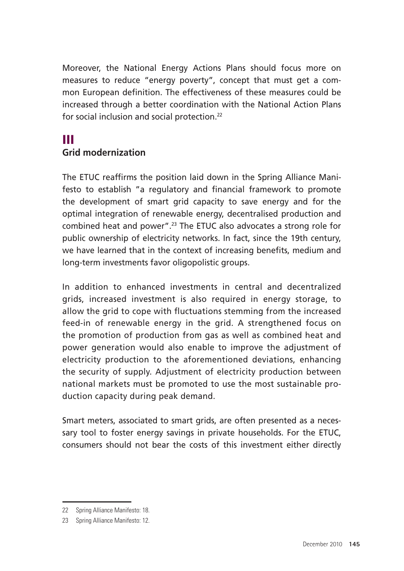Moreover, the National Energy Actions Plans should focus more on measures to reduce "energy poverty", concept that must get a common European definition. The effectiveness of these measures could be increased through a better coordination with the National Action Plans for social inclusion and social protection.22

# III

#### **Grid modernization**

The ETUC reaffirms the position laid down in the Spring Alliance Manifesto to establish "a regulatory and financial framework to promote the development of smart grid capacity to save energy and for the optimal integration of renewable energy, decentralised production and combined heat and power".23 The ETUC also advocates a strong role for public ownership of electricity networks. In fact, since the 19th century, we have learned that in the context of increasing benefits, medium and long-term investments favor oligopolistic groups.

In addition to enhanced investments in central and decentralized grids, increased investment is also required in energy storage, to allow the grid to cope with fluctuations stemming from the increased feed-in of renewable energy in the grid. A strengthened focus on the promotion of production from gas as well as combined heat and power generation would also enable to improve the adjustment of electricity production to the aforementioned deviations, enhancing the security of supply. Adjustment of electricity production between national markets must be promoted to use the most sustainable production capacity during peak demand.

Smart meters, associated to smart grids, are often presented as a necessary tool to foster energy savings in private households. For the ETUC, consumers should not bear the costs of this investment either directly

<sup>22</sup> Spring Alliance Manifesto: 18.

<sup>23</sup> Spring Alliance Manifesto: 12.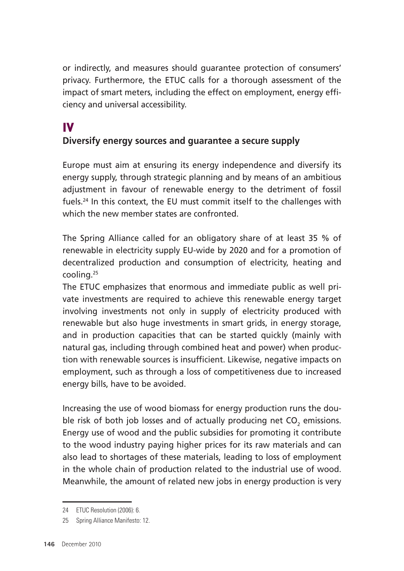or indirectly, and measures should guarantee protection of consumers' privacy. Furthermore, the ETUC calls for a thorough assessment of the impact of smart meters, including the effect on employment, energy efficiency and universal accessibility.

# IV

#### **Diversify energy sources and guarantee a secure supply**

Europe must aim at ensuring its energy independence and diversify its energy supply, through strategic planning and by means of an ambitious adjustment in favour of renewable energy to the detriment of fossil fuels.24 In this context, the EU must commit itself to the challenges with which the new member states are confronted.

The Spring Alliance called for an obligatory share of at least 35 % of renewable in electricity supply EU-wide by 2020 and for a promotion of decentralized production and consumption of electricity, heating and cooling.25

The ETUC emphasizes that enormous and immediate public as well private investments are required to achieve this renewable energy target involving investments not only in supply of electricity produced with renewable but also huge investments in smart grids, in energy storage, and in production capacities that can be started quickly (mainly with natural gas, including through combined heat and power) when production with renewable sources is insufficient. Likewise, negative impacts on employment, such as through a loss of competitiveness due to increased energy bills, have to be avoided.

Increasing the use of wood biomass for energy production runs the double risk of both job losses and of actually producing net  $\mathsf{CO}_2$  emissions. Energy use of wood and the public subsidies for promoting it contribute to the wood industry paying higher prices for its raw materials and can also lead to shortages of these materials, leading to loss of employment in the whole chain of production related to the industrial use of wood. Meanwhile, the amount of related new jobs in energy production is very

<sup>24</sup> ETUC Resolution (2006): 6.

<sup>25</sup> Spring Alliance Manifesto: 12.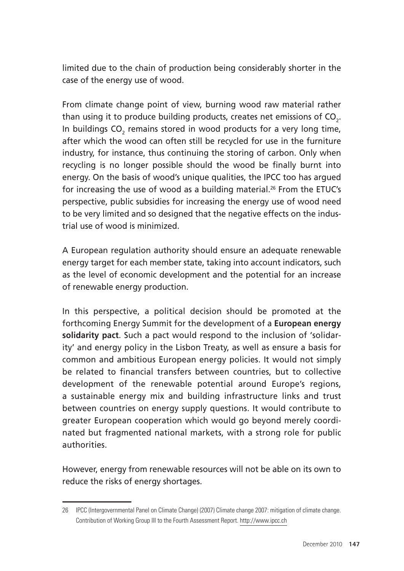limited due to the chain of production being considerably shorter in the case of the energy use of wood.

From climate change point of view, burning wood raw material rather than using it to produce building products, creates net emissions of CO<sub>2</sub>. In buildings CO $_{\textrm{\tiny{2}}}$  remains stored in wood products for a very long time, after which the wood can often still be recycled for use in the furniture industry, for instance, thus continuing the storing of carbon. Only when recycling is no longer possible should the wood be finally burnt into energy. On the basis of wood's unique qualities, the IPCC too has argued for increasing the use of wood as a building material.<sup>26</sup> From the ETUC's perspective, public subsidies for increasing the energy use of wood need to be very limited and so designed that the negative effects on the industrial use of wood is minimized.

A European regulation authority should ensure an adequate renewable energy target for each member state, taking into account indicators, such as the level of economic development and the potential for an increase of renewable energy production.

In this perspective, a political decision should be promoted at the forthcoming Energy Summit for the development of a **European energy solidarity pact**. Such a pact would respond to the inclusion of 'solidarity' and energy policy in the Lisbon Treaty, as well as ensure a basis for common and ambitious European energy policies. It would not simply be related to financial transfers between countries, but to collective development of the renewable potential around Europe's regions, a sustainable energy mix and building infrastructure links and trust between countries on energy supply questions. It would contribute to greater European cooperation which would go beyond merely coordinated but fragmented national markets, with a strong role for public authorities.

However, energy from renewable resources will not be able on its own to reduce the risks of energy shortages.

<sup>26</sup> IPCC (Intergovernmental Panel on Climate Change) (2007) Climate change 2007: mitigation of climate change. Contribution of Working Group III to the Fourth Assessment Report. http://www.ipcc.ch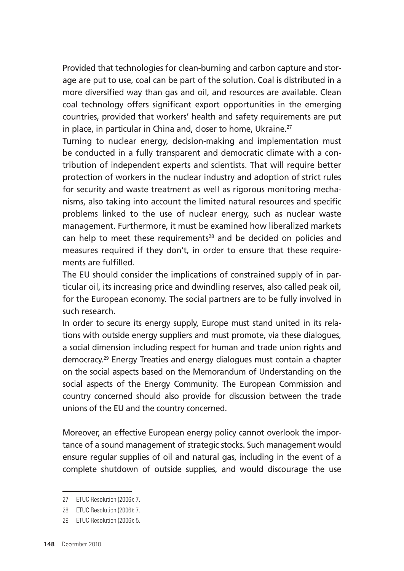Provided that technologies for clean-burning and carbon capture and storage are put to use, coal can be part of the solution. Coal is distributed in a more diversified way than gas and oil, and resources are available. Clean coal technology offers significant export opportunities in the emerging countries, provided that workers' health and safety requirements are put in place, in particular in China and, closer to home, Ukraine.<sup>27</sup>

Turning to nuclear energy, decision-making and implementation must be conducted in a fully transparent and democratic climate with a contribution of independent experts and scientists. That will require better protection of workers in the nuclear industry and adoption of strict rules for security and waste treatment as well as rigorous monitoring mechanisms, also taking into account the limited natural resources and specific problems linked to the use of nuclear energy, such as nuclear waste management. Furthermore, it must be examined how liberalized markets can help to meet these requirements<sup>28</sup> and be decided on policies and measures required if they don't, in order to ensure that these requirements are fulfilled.

The EU should consider the implications of constrained supply of in particular oil, its increasing price and dwindling reserves, also called peak oil, for the European economy. The social partners are to be fully involved in such research.

In order to secure its energy supply, Europe must stand united in its relations with outside energy suppliers and must promote, via these dialogues, a social dimension including respect for human and trade union rights and democracy.29 Energy Treaties and energy dialogues must contain a chapter on the social aspects based on the Memorandum of Understanding on the social aspects of the Energy Community. The European Commission and country concerned should also provide for discussion between the trade unions of the EU and the country concerned.

Moreover, an effective European energy policy cannot overlook the importance of a sound management of strategic stocks. Such management would ensure regular supplies of oil and natural gas, including in the event of a complete shutdown of outside supplies, and would discourage the use

<sup>27</sup> ETUC Resolution (2006): 7.

<sup>28</sup> ETUC Resolution (2006): 7.

<sup>29</sup> ETUC Resolution (2006): 5.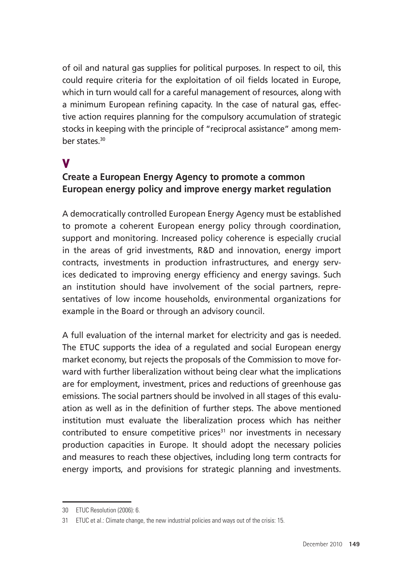of oil and natural gas supplies for political purposes. In respect to oil, this could require criteria for the exploitation of oil fields located in Europe, which in turn would call for a careful management of resources, along with a minimum European refining capacity. In the case of natural gas, effective action requires planning for the compulsory accumulation of strategic stocks in keeping with the principle of "reciprocal assistance" among member states<sup>30</sup>

## V

#### **Create a European Energy Agency to promote a common European energy policy and improve energy market regulation**

A democratically controlled European Energy Agency must be established to promote a coherent European energy policy through coordination, support and monitoring. Increased policy coherence is especially crucial in the areas of grid investments, R&D and innovation, energy import contracts, investments in production infrastructures, and energy services dedicated to improving energy efficiency and energy savings. Such an institution should have involvement of the social partners, representatives of low income households, environmental organizations for example in the Board or through an advisory council.

A full evaluation of the internal market for electricity and gas is needed. The ETUC supports the idea of a regulated and social European energy market economy, but rejects the proposals of the Commission to move forward with further liberalization without being clear what the implications are for employment, investment, prices and reductions of greenhouse gas emissions. The social partners should be involved in all stages of this evaluation as well as in the definition of further steps. The above mentioned institution must evaluate the liberalization process which has neither contributed to ensure competitive prices $31$  nor investments in necessary production capacities in Europe. It should adopt the necessary policies and measures to reach these objectives, including long term contracts for energy imports, and provisions for strategic planning and investments.

<sup>30</sup> ETUC Resolution (2006): 6.

<sup>31</sup> ETUC et al.: Climate change, the new industrial policies and ways out of the crisis: 15.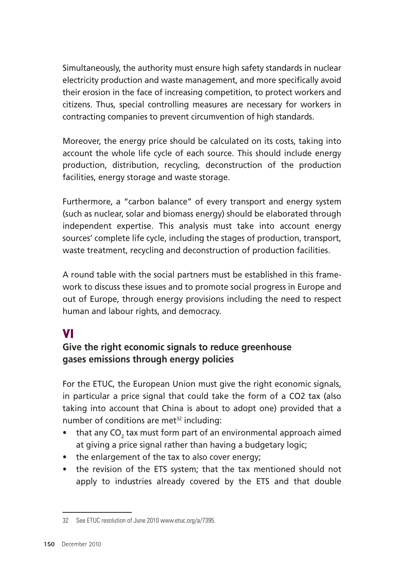Simultaneously, the authority must ensure high safety standards in nuclear electricity production and waste management, and more specifically avoid their erosion in the face of increasing competition, to protect workers and citizens. Thus, special controlling measures are necessary for workers in contracting companies to prevent circumvention of high standards.

Moreover, the energy price should be calculated on its costs, taking into account the whole life cycle of each source. This should include energy production, distribution, recycling, deconstruction of the production facilities, energy storage and waste storage.

Furthermore, a "carbon balance" of every transport and energy system (such as nuclear, solar and biomass energy) should be elaborated through independent expertise. This analysis must take into account energy sources' complete life cycle, including the stages of production, transport, waste treatment, recycling and deconstruction of production facilities.

A round table with the social partners must be established in this framework to discuss these issues and to promote social progress in Europe and out of Europe, through energy provisions including the need to respect human and labour rights, and democracy.

# VI

### **Give the right economic signals to reduce greenhouse gases emissions through energy policies**

For the ETUC, the European Union must give the right economic signals, in particular a price signal that could take the form of a CO2 tax (also taking into account that China is about to adopt one) provided that a number of conditions are met $32$  including:

- that any CO<sub>2</sub> tax must form part of an environmental approach aimed at giving a price signal rather than having a budgetary logic;
- the enlargement of the tax to also cover energy;
- the revision of the ETS system; that the tax mentioned should not apply to industries already covered by the ETS and that double

<sup>32</sup> See ETUC resolution of June 2010 www.etuc.org/a/7395.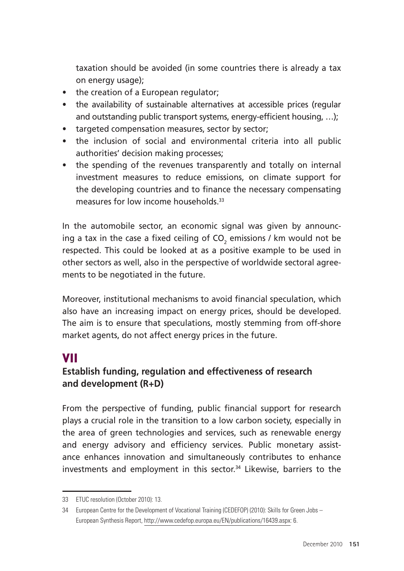taxation should be avoided (in some countries there is already a tax on energy usage);

- the creation of a European regulator;
- the availability of sustainable alternatives at accessible prices (regular and outstanding public transport systems, energy-efficient housing, …);
- targeted compensation measures, sector by sector;
- the inclusion of social and environmental criteria into all public authorities' decision making processes;
- the spending of the revenues transparently and totally on internal investment measures to reduce emissions, on climate support for the developing countries and to finance the necessary compensating measures for low income households.33

In the automobile sector, an economic signal was given by announcing a tax in the case a fixed ceiling of CO $_{\textrm{\tiny{2}}}$  emissions / km would not be respected. This could be looked at as a positive example to be used in other sectors as well, also in the perspective of worldwide sectoral agreements to be negotiated in the future.

Moreover, institutional mechanisms to avoid financial speculation, which also have an increasing impact on energy prices, should be developed. The aim is to ensure that speculations, mostly stemming from off-shore market agents, do not affect energy prices in the future.

## VII

### **Establish funding, regulation and effectiveness of research and development (R+D)**

From the perspective of funding, public financial support for research plays a crucial role in the transition to a low carbon society, especially in the area of green technologies and services, such as renewable energy and energy advisory and efficiency services. Public monetary assistance enhances innovation and simultaneously contributes to enhance investments and employment in this sector.34 Likewise, barriers to the

<sup>33</sup> ETUC resolution (October 2010): 13.

<sup>34</sup> European Centre for the Development of Vocational Training (CEDEFOP) (2010): Skills for Green Jobs – European Synthesis Report, http://www.cedefop.europa.eu/EN/publications/16439.aspx: 6.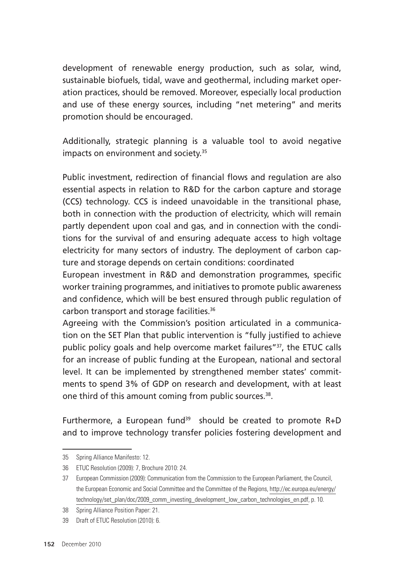development of renewable energy production, such as solar, wind, sustainable biofuels, tidal, wave and geothermal, including market operation practices, should be removed. Moreover, especially local production and use of these energy sources, including "net metering" and merits promotion should be encouraged.

Additionally, strategic planning is a valuable tool to avoid negative impacts on environment and society.<sup>35</sup>

Public investment, redirection of financial flows and regulation are also essential aspects in relation to R&D for the carbon capture and storage (CCS) technology. CCS is indeed unavoidable in the transitional phase, both in connection with the production of electricity, which will remain partly dependent upon coal and gas, and in connection with the conditions for the survival of and ensuring adequate access to high voltage electricity for many sectors of industry. The deployment of carbon capture and storage depends on certain conditions: coordinated

European investment in R&D and demonstration programmes, specific worker training programmes, and initiatives to promote public awareness and confidence, which will be best ensured through public regulation of carbon transport and storage facilities.36

Agreeing with the Commission's position articulated in a communication on the SET Plan that public intervention is "fully justified to achieve public policy goals and help overcome market failures"37, the ETUC calls for an increase of public funding at the European, national and sectoral level. It can be implemented by strengthened member states' commitments to spend 3% of GDP on research and development, with at least one third of this amount coming from public sources.<sup>38</sup>.

Furthermore, a European fund<sup>39</sup> should be created to promote  $R+D$ and to improve technology transfer policies fostering development and

<sup>35</sup> Spring Alliance Manifesto: 12.

<sup>36</sup> ETUC Resolution (2009): 7, Brochure 2010: 24.

<sup>37</sup> European Commission (2009): Communication from the Commission to the European Parliament, the Council, the European Economic and Social Committee and the Committee of the Regions, http://ec.europa.eu/energy/ technology/set\_plan/doc/2009\_comm\_investing\_development\_low\_carbon\_technologies\_en.pdf, p. 10.

<sup>38</sup> Spring Alliance Position Paper: 21.

<sup>39</sup> Draft of ETUC Resolution (2010): 6.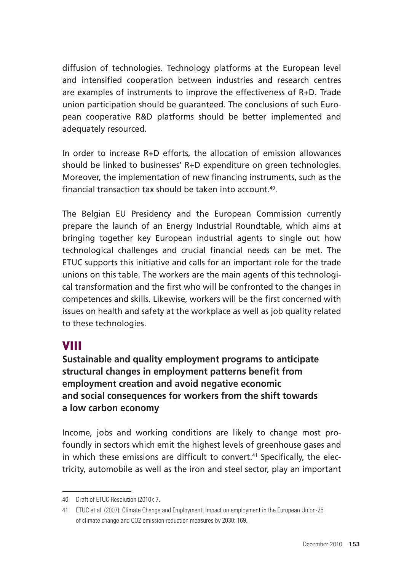diffusion of technologies. Technology platforms at the European level and intensified cooperation between industries and research centres are examples of instruments to improve the effectiveness of R+D. Trade union participation should be guaranteed. The conclusions of such European cooperative R&D platforms should be better implemented and adequately resourced.

In order to increase R+D efforts, the allocation of emission allowances should be linked to businesses' R+D expenditure on green technologies. Moreover, the implementation of new financing instruments, such as the financial transaction tax should be taken into account.40.

The Belgian EU Presidency and the European Commission currently prepare the launch of an Energy Industrial Roundtable, which aims at bringing together key European industrial agents to single out how technological challenges and crucial financial needs can be met. The ETUC supports this initiative and calls for an important role for the trade unions on this table. The workers are the main agents of this technological transformation and the first who will be confronted to the changes in competences and skills. Likewise, workers will be the first concerned with issues on health and safety at the workplace as well as job quality related to these technologies.

## VIII

**Sustainable and quality employment programs to anticipate structural changes in employment patterns benefit from employment creation and avoid negative economic and social consequences for workers from the shift towards a low carbon economy** 

Income, jobs and working conditions are likely to change most profoundly in sectors which emit the highest levels of greenhouse gases and in which these emissions are difficult to convert.<sup>41</sup> Specifically, the electricity, automobile as well as the iron and steel sector, play an important

<sup>40</sup> Draft of ETUC Resolution (2010): 7.

<sup>41</sup> ETUC et al. (2007): Climate Change and Employment: Impact on employment in the European Union-25 of climate change and CO2 emission reduction measures by 2030: 169.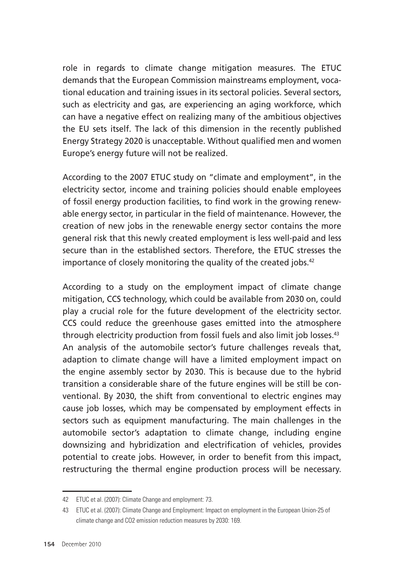role in regards to climate change mitigation measures. The ETUC demands that the European Commission mainstreams employment, vocational education and training issues in its sectoral policies. Several sectors, such as electricity and gas, are experiencing an aging workforce, which can have a negative effect on realizing many of the ambitious objectives the EU sets itself. The lack of this dimension in the recently published Energy Strategy 2020 is unacceptable. Without qualified men and women Europe's energy future will not be realized.

According to the 2007 ETUC study on "climate and employment", in the electricity sector, income and training policies should enable employees of fossil energy production facilities, to find work in the growing renewable energy sector, in particular in the field of maintenance. However, the creation of new jobs in the renewable energy sector contains the more general risk that this newly created employment is less well-paid and less secure than in the established sectors. Therefore, the ETUC stresses the importance of closely monitoring the quality of the created jobs.<sup>42</sup>

According to a study on the employment impact of climate change mitigation, CCS technology, which could be available from 2030 on, could play a crucial role for the future development of the electricity sector. CCS could reduce the greenhouse gases emitted into the atmosphere through electricity production from fossil fuels and also limit job losses.<sup>43</sup> An analysis of the automobile sector's future challenges reveals that, adaption to climate change will have a limited employment impact on the engine assembly sector by 2030. This is because due to the hybrid transition a considerable share of the future engines will be still be conventional. By 2030, the shift from conventional to electric engines may cause job losses, which may be compensated by employment effects in sectors such as equipment manufacturing. The main challenges in the automobile sector's adaptation to climate change, including engine downsizing and hybridization and electrification of vehicles, provides potential to create jobs. However, in order to benefit from this impact, restructuring the thermal engine production process will be necessary.

<sup>42</sup> ETUC et al. (2007): Climate Change and employment: 73.

<sup>43</sup> ETUC et al. (2007): Climate Change and Employment: Impact on employment in the European Union-25 of climate change and CO2 emission reduction measures by 2030: 169.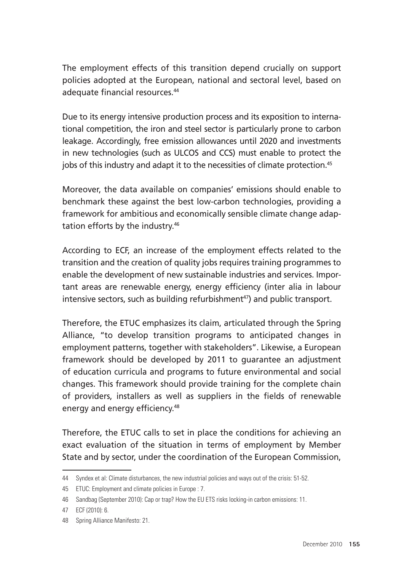The employment effects of this transition depend crucially on support policies adopted at the European, national and sectoral level, based on adequate financial resources.44

Due to its energy intensive production process and its exposition to international competition, the iron and steel sector is particularly prone to carbon leakage. Accordingly, free emission allowances until 2020 and investments in new technologies (such as ULCOS and CCS) must enable to protect the jobs of this industry and adapt it to the necessities of climate protection.<sup>45</sup>

Moreover, the data available on companies' emissions should enable to benchmark these against the best low-carbon technologies, providing a framework for ambitious and economically sensible climate change adaptation efforts by the industry.46

According to ECF, an increase of the employment effects related to the transition and the creation of quality jobs requires training programmes to enable the development of new sustainable industries and services. Important areas are renewable energy, energy efficiency (inter alia in labour intensive sectors, such as building refurbishment<sup>47</sup>) and public transport.

Therefore, the ETUC emphasizes its claim, articulated through the Spring Alliance, "to develop transition programs to anticipated changes in employment patterns, together with stakeholders". Likewise, a European framework should be developed by 2011 to guarantee an adjustment of education curricula and programs to future environmental and social changes. This framework should provide training for the complete chain of providers, installers as well as suppliers in the fields of renewable energy and energy efficiency.48

Therefore, the ETUC calls to set in place the conditions for achieving an exact evaluation of the situation in terms of employment by Member State and by sector, under the coordination of the European Commission,

<sup>44</sup> Syndex et al: Climate disturbances, the new industrial policies and ways out of the crisis: 51-52.

<sup>45</sup> ETUC: Employment and climate policies in Europe : 7.

<sup>46</sup> Sandbag (September 2010): Cap or trap? How the EU ETS risks locking-in carbon emissions: 11.

<sup>47</sup> ECF (2010): 6.

<sup>48</sup> Spring Alliance Manifesto: 21.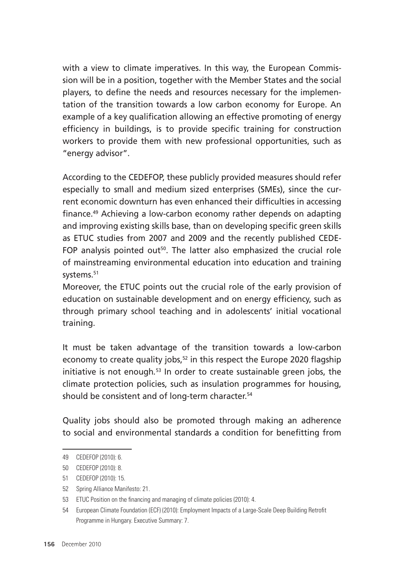with a view to climate imperatives. In this way, the European Commission will be in a position, together with the Member States and the social players, to define the needs and resources necessary for the implementation of the transition towards a low carbon economy for Europe. An example of a key qualification allowing an effective promoting of energy efficiency in buildings, is to provide specific training for construction workers to provide them with new professional opportunities, such as "energy advisor".

According to the CEDEFOP, these publicly provided measures should refer especially to small and medium sized enterprises (SMEs), since the current economic downturn has even enhanced their difficulties in accessing finance.49 Achieving a low-carbon economy rather depends on adapting and improving existing skills base, than on developing specific green skills as ETUC studies from 2007 and 2009 and the recently published CEDE-FOP analysis pointed out<sup>50</sup>. The latter also emphasized the crucial role of mainstreaming environmental education into education and training systems.<sup>51</sup>

Moreover, the ETUC points out the crucial role of the early provision of education on sustainable development and on energy efficiency, such as through primary school teaching and in adolescents' initial vocational training.

It must be taken advantage of the transition towards a low-carbon economy to create quality jobs,<sup>52</sup> in this respect the Europe 2020 flagship initiative is not enough*.* 53 In order to create sustainable green jobs, the climate protection policies, such as insulation programmes for housing, should be consistent and of long-term character.<sup>54</sup>

Quality jobs should also be promoted through making an adherence to social and environmental standards a condition for benefitting from

<sup>49</sup> CEDEFOP (2010): 6.

<sup>50</sup> CEDEFOP (2010): 8.

<sup>51</sup> CEDEFOP (2010): 15.

<sup>52</sup> Spring Alliance Manifesto: 21.

<sup>53</sup> ETUC Position on the financing and managing of climate policies (2010): 4.

<sup>54</sup> European Climate Foundation (ECF) (2010): Employment Impacts of a Large-Scale Deep Building Retrofit Programme in Hungary. Executive Summary: 7.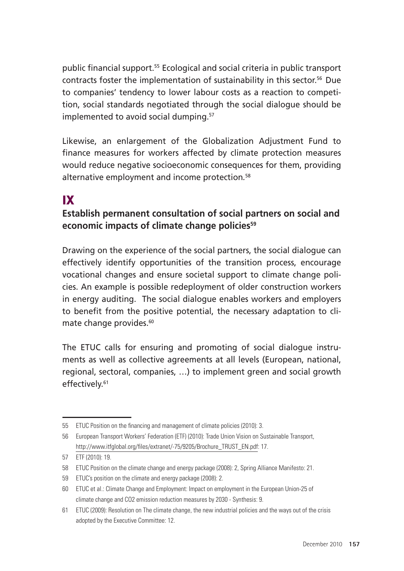public financial support.55 Ecological and social criteria in public transport contracts foster the implementation of sustainability in this sector.<sup>56</sup> Due to companies' tendency to lower labour costs as a reaction to competition, social standards negotiated through the social dialogue should be implemented to avoid social dumping.<sup>57</sup>

Likewise, an enlargement of the Globalization Adjustment Fund to finance measures for workers affected by climate protection measures would reduce negative socioeconomic consequences for them, providing alternative employment and income protection*.* 58

# IX

#### **Establish permanent consultation of social partners on social and economic impacts of climate change policies59**

Drawing on the experience of the social partners, the social dialogue can effectively identify opportunities of the transition process, encourage vocational changes and ensure societal support to climate change policies. An example is possible redeployment of older construction workers in energy auditing. The social dialogue enables workers and employers to benefit from the positive potential, the necessary adaptation to climate change provides.<sup>60</sup>

The ETUC calls for ensuring and promoting of social dialogue instruments as well as collective agreements at all levels (European, national, regional, sectoral, companies, …) to implement green and social growth effectively.<sup>61</sup>

<sup>55</sup> ETUC Position on the financing and management of climate policies (2010): 3.

<sup>56</sup> European Transport Workers' Federation (ETF) (2010): Trade Union Vision on Sustainable Transport, http://www.itfglobal.org/files/extranet/-75/9205/Brochure\_TRUST\_EN.pdf: 17.

<sup>57</sup> ETF (2010): 19.

<sup>58</sup> ETUC Position on the climate change and energy package (2008): 2, Spring Alliance Manifesto: 21.

<sup>59</sup> ETUC's position on the climate and energy package (2008): 2.

<sup>60</sup> ETUC et al.: Climate Change and Employment: Impact on employment in the European Union-25 of climate change and CO2 emission reduction measures by 2030 - Synthesis: 9.

<sup>61</sup> ETUC (2009): Resolution on The climate change, the new industrial policies and the ways out of the crisis adopted by the Executive Committee: 12.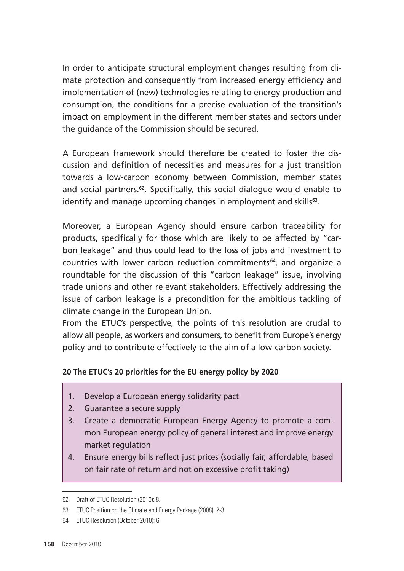In order to anticipate structural employment changes resulting from climate protection and consequently from increased energy efficiency and implementation of (new) technologies relating to energy production and consumption, the conditions for a precise evaluation of the transition's impact on employment in the different member states and sectors under the guidance of the Commission should be secured.

A European framework should therefore be created to foster the discussion and definition of necessities and measures for a just transition towards a low-carbon economy between Commission, member states and social partners.<sup>62</sup>. Specifically, this social dialogue would enable to identify and manage upcoming changes in employment and skills<sup>63</sup>.

Moreover, a European Agency should ensure carbon traceability for products, specifically for those which are likely to be affected by "carbon leakage" and thus could lead to the loss of jobs and investment to countries with lower carbon reduction commitments<sup>64</sup>, and organize a roundtable for the discussion of this "carbon leakage" issue, involving trade unions and other relevant stakeholders. Effectively addressing the issue of carbon leakage is a precondition for the ambitious tackling of climate change in the European Union.

From the ETUC's perspective, the points of this resolution are crucial to allow all people, as workers and consumers, to benefit from Europe's energy policy and to contribute effectively to the aim of a low-carbon society.

#### **20 The ETUC's 20 priorities for the EU energy policy by 2020**

- 1. Develop a European energy solidarity pact
- 2. Guarantee a secure supply
- 3. Create a democratic European Energy Agency to promote a common European energy policy of general interest and improve energy market regulation
- 4. Ensure energy bills reflect just prices (socially fair, affordable, based on fair rate of return and not on excessive profit taking)

Ē

<sup>62</sup> Draft of ETUC Resolution (2010): 8.

<sup>63</sup> ETUC Position on the Climate and Energy Package (2008): 2-3.

<sup>64</sup> ETUC Resolution (October 2010): 6.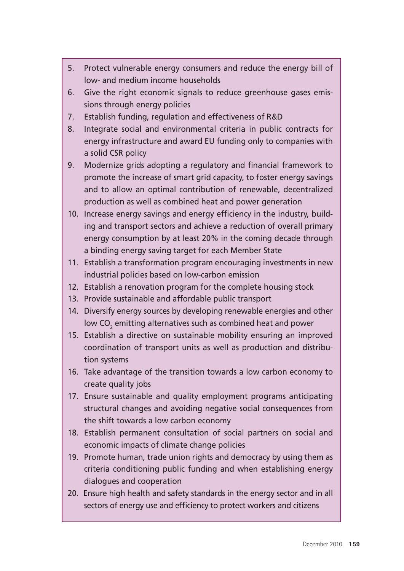- 5. Protect vulnerable energy consumers and reduce the energy bill of low- and medium income households
- 6. Give the right economic signals to reduce greenhouse gases emissions through energy policies
- 7. Establish funding, regulation and effectiveness of R&D
- 8. Integrate social and environmental criteria in public contracts for energy infrastructure and award EU funding only to companies with a solid CSR policy
- 9. Modernize grids adopting a regulatory and financial framework to promote the increase of smart grid capacity, to foster energy savings and to allow an optimal contribution of renewable, decentralized production as well as combined heat and power generation
- 10. Increase energy savings and energy efficiency in the industry, building and transport sectors and achieve a reduction of overall primary energy consumption by at least 20% in the coming decade through a binding energy saving target for each Member State
- 11. Establish a transformation program encouraging investments in new industrial policies based on low-carbon emission
- 12. Establish a renovation program for the complete housing stock
- 13. Provide sustainable and affordable public transport
- 14. Diversify energy sources by developing renewable energies and other low CO $_{\textrm{\tiny{\textrm{2}}}$  emitting alternatives such as combined heat and power
- 15. Establish a directive on sustainable mobility ensuring an improved coordination of transport units as well as production and distribution systems
- 16. Take advantage of the transition towards a low carbon economy to create quality jobs
- 17. Ensure sustainable and quality employment programs anticipating structural changes and avoiding negative social consequences from the shift towards a low carbon economy
- 18. Establish permanent consultation of social partners on social and economic impacts of climate change policies
- 19. Promote human, trade union rights and democracy by using them as criteria conditioning public funding and when establishing energy dialogues and cooperation
- 20. Ensure high health and safety standards in the energy sector and in all sectors of energy use and efficiency to protect workers and citizens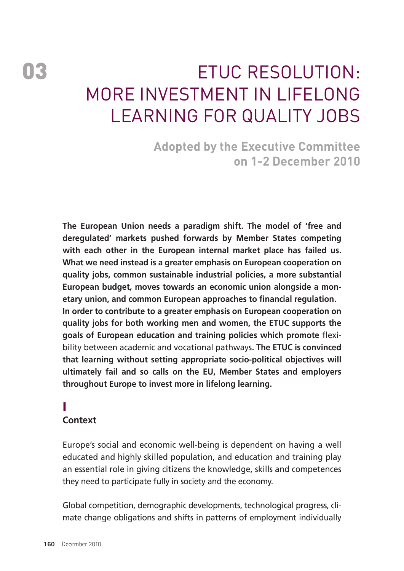# ETUC Resolution: More investment in lifelong **I FARNING FOR QUALITY JOBS**

**Adopted by the Executive Committee on 1-2 December 2010** 

**The European Union needs a paradigm shift. The model of 'free and deregulated' markets pushed forwards by Member States competing with each other in the European internal market place has failed us. What we need instead is a greater emphasis on European cooperation on quality jobs, common sustainable industrial policies, a more substantial European budget, moves towards an economic union alongside a monetary union, and common European approaches to financial regulation. In order to contribute to a greater emphasis on European cooperation on quality jobs for both working men and women, the ETUC supports the goals of European education and training policies which promote** flexibility between academic and vocational pathways**. The ETUC is convinced that learning without setting appropriate socio-political objectives will ultimately fail and so calls on the EU, Member States and employers throughout Europe to invest more in lifelong learning.** 

# I

### **Context**

Europe's social and economic well-being is dependent on having a well educated and highly skilled population, and education and training play an essential role in giving citizens the knowledge, skills and competences they need to participate fully in society and the economy.

Global competition, demographic developments, technological progress, climate change obligations and shifts in patterns of employment individually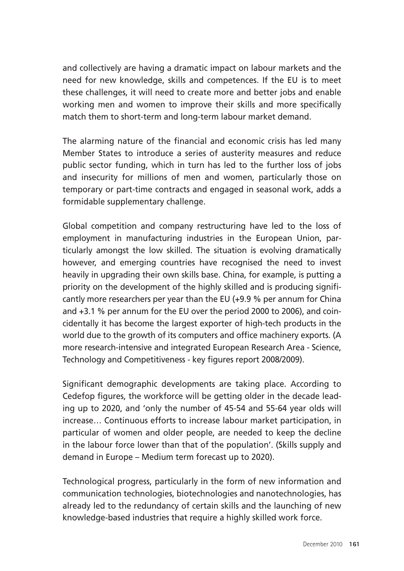and collectively are having a dramatic impact on labour markets and the need for new knowledge, skills and competences. If the EU is to meet these challenges, it will need to create more and better jobs and enable working men and women to improve their skills and more specifically match them to short-term and long-term labour market demand.

The alarming nature of the financial and economic crisis has led many Member States to introduce a series of austerity measures and reduce public sector funding, which in turn has led to the further loss of jobs and insecurity for millions of men and women, particularly those on temporary or part-time contracts and engaged in seasonal work, adds a formidable supplementary challenge.

Global competition and company restructuring have led to the loss of employment in manufacturing industries in the European Union, particularly amongst the low skilled. The situation is evolving dramatically however, and emerging countries have recognised the need to invest heavily in upgrading their own skills base. China, for example, is putting a priority on the development of the highly skilled and is producing significantly more researchers per year than the EU (+9.9 % per annum for China and +3.1 % per annum for the EU over the period 2000 to 2006), and coincidentally it has become the largest exporter of high-tech products in the world due to the growth of its computers and office machinery exports. (A more research-intensive and integrated European Research Area - Science, Technology and Competitiveness - key figures report 2008/2009).

Significant demographic developments are taking place. According to Cedefop figures, the workforce will be getting older in the decade leading up to 2020, and 'only the number of 45-54 and 55-64 year olds will increase… Continuous efforts to increase labour market participation, in particular of women and older people, are needed to keep the decline in the labour force lower than that of the population'. (Skills supply and demand in Europe – Medium term forecast up to 2020).

Technological progress, particularly in the form of new information and communication technologies, biotechnologies and nanotechnologies, has already led to the redundancy of certain skills and the launching of new knowledge-based industries that require a highly skilled work force.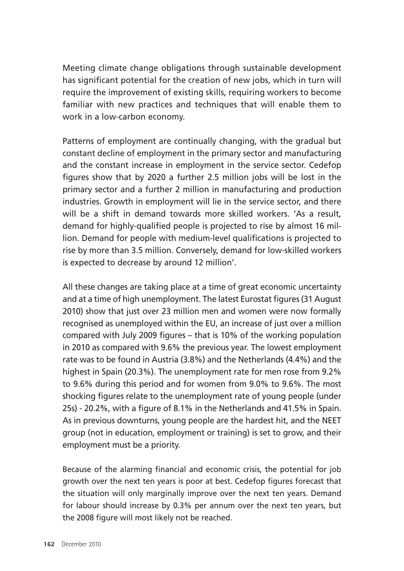Meeting climate change obligations through sustainable development has significant potential for the creation of new jobs, which in turn will require the improvement of existing skills, requiring workers to become familiar with new practices and techniques that will enable them to work in a low-carbon economy.

Patterns of employment are continually changing, with the gradual but constant decline of employment in the primary sector and manufacturing and the constant increase in employment in the service sector. Cedefop figures show that by 2020 a further 2.5 million jobs will be lost in the primary sector and a further 2 million in manufacturing and production industries. Growth in employment will lie in the service sector, and there will be a shift in demand towards more skilled workers. 'As a result, demand for highly-qualified people is projected to rise by almost 16 million. Demand for people with medium-level qualifications is projected to rise by more than 3.5 million. Conversely, demand for low-skilled workers is expected to decrease by around 12 million'.

All these changes are taking place at a time of great economic uncertainty and at a time of high unemployment. The latest Eurostat figures (31 August 2010) show that just over 23 million men and women were now formally recognised as unemployed within the EU, an increase of just over a million compared with July 2009 figures – that is 10% of the working population in 2010 as compared with 9.6% the previous year. The lowest employment rate was to be found in Austria (3.8%) and the Netherlands (4.4%) and the highest in Spain (20.3%). The unemployment rate for men rose from 9.2% to 9.6% during this period and for women from 9.0% to 9.6%. The most shocking figures relate to the unemployment rate of young people (under 25s) - 20.2%, with a figure of 8.1% in the Netherlands and 41.5% in Spain. As in previous downturns, young people are the hardest hit, and the NEET group (not in education, employment or training) is set to grow, and their employment must be a priority.

Because of the alarming financial and economic crisis, the potential for job growth over the next ten years is poor at best. Cedefop figures forecast that the situation will only marginally improve over the next ten years. Demand for labour should increase by 0.3% per annum over the next ten years, but the 2008 figure will most likely not be reached.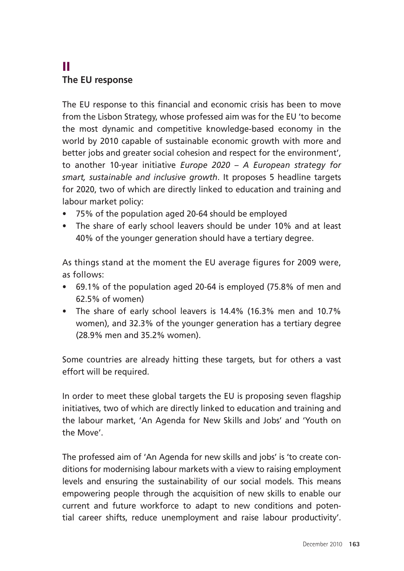# II **The EU response**

The EU response to this financial and economic crisis has been to move from the Lisbon Strategy, whose professed aim was for the EU 'to become the most dynamic and competitive knowledge-based economy in the world by 2010 capable of sustainable economic growth with more and better jobs and greater social cohesion and respect for the environment', to another 10-year initiative *Europe 2020 – A European strategy for smart, sustainable and inclusive growth*. It proposes 5 headline targets for 2020, two of which are directly linked to education and training and labour market policy:

- 75% of the population aged 20-64 should be employed
- The share of early school leavers should be under 10% and at least 40% of the younger generation should have a tertiary degree.

As things stand at the moment the EU average figures for 2009 were, as follows:

- 69.1% of the population aged 20-64 is employed (75.8% of men and 62.5% of women)
- The share of early school leavers is 14.4% (16.3% men and 10.7% women), and 32.3% of the younger generation has a tertiary degree (28.9% men and 35.2% women).

Some countries are already hitting these targets, but for others a vast effort will be required.

In order to meet these global targets the EU is proposing seven flagship initiatives, two of which are directly linked to education and training and the labour market, 'An Agenda for New Skills and Jobs' and 'Youth on the Move'.

The professed aim of 'An Agenda for new skills and jobs' is 'to create conditions for modernising labour markets with a view to raising employment levels and ensuring the sustainability of our social models. This means empowering people through the acquisition of new skills to enable our current and future workforce to adapt to new conditions and potential career shifts, reduce unemployment and raise labour productivity'.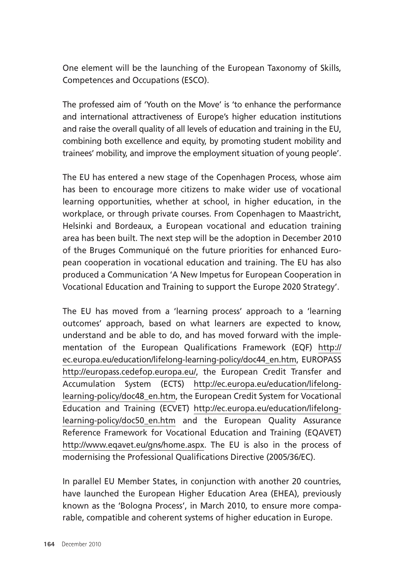One element will be the launching of the European Taxonomy of Skills, Competences and Occupations (ESCO).

The professed aim of 'Youth on the Move' is 'to enhance the performance and international attractiveness of Europe's higher education institutions and raise the overall quality of all levels of education and training in the EU, combining both excellence and equity, by promoting student mobility and trainees' mobility, and improve the employment situation of young people'.

The EU has entered a new stage of the Copenhagen Process, whose aim has been to encourage more citizens to make wider use of vocational learning opportunities, whether at school, in higher education, in the workplace, or through private courses. From Copenhagen to Maastricht, Helsinki and Bordeaux, a European vocational and education training area has been built. The next step will be the adoption in December 2010 of the Bruges Communiqué on the future priorities for enhanced European cooperation in vocational education and training. The EU has also produced a Communication 'A New Impetus for European Cooperation in Vocational Education and Training to support the Europe 2020 Strategy'.

The EU has moved from a 'learning process' approach to a 'learning outcomes' approach, based on what learners are expected to know, understand and be able to do, and has moved forward with the implementation of the European Qualifications Framework (EQF) http:// ec.europa.eu/education/lifelong-learning-policy/doc44\_en.htm, EUROPASS http://europass.cedefop.europa.eu/, the European Credit Transfer and Accumulation System (ECTS) http://ec.europa.eu/education/lifelonglearning-policy/doc48\_en.htm, the European Credit System for Vocational Education and Training (ECVET) http://ec.europa.eu/education/lifelonglearning-policy/doc50\_en.htm and the European Quality Assurance Reference Framework for Vocational Education and Training (EQAVET) http://www.eqavet.eu/gns/home.aspx. The EU is also in the process of modernising the Professional Qualifications Directive (2005/36/EC).

In parallel EU Member States, in conjunction with another 20 countries, have launched the European Higher Education Area (EHEA), previously known as the 'Bologna Process', in March 2010, to ensure more comparable, compatible and coherent systems of higher education in Europe.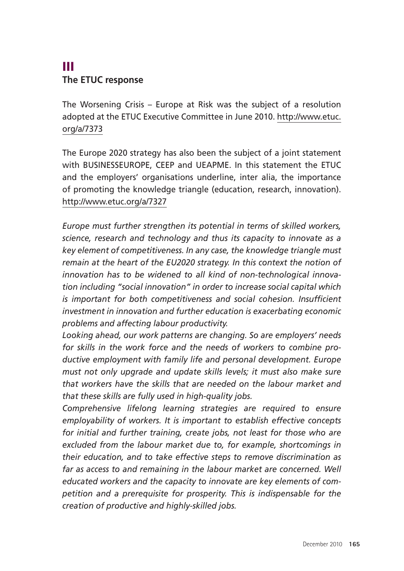# III **The ETUC response**

The Worsening Crisis – Europe at Risk was the subject of a resolution adopted at the ETUC Executive Committee in June 2010. http://www.etuc. org/a/7373

The Europe 2020 strategy has also been the subject of a joint statement with BUSINESSEUROPE, CEEP and UEAPME. In this statement the ETUC and the employers' organisations underline, inter alia, the importance of promoting the knowledge triangle (education, research, innovation). http://www.etuc.org/a/7327

*Europe must further strengthen its potential in terms of skilled workers, science, research and technology and thus its capacity to innovate as a key element of competitiveness. In any case, the knowledge triangle must remain at the heart of the EU2020 strategy. In this context the notion of innovation has to be widened to all kind of non-technological innovation including "social innovation" in order to increase social capital which is important for both competitiveness and social cohesion. Insufficient investment in innovation and further education is exacerbating economic problems and affecting labour productivity.* 

*Looking ahead, our work patterns are changing. So are employers' needs for skills in the work force and the needs of workers to combine productive employment with family life and personal development. Europe must not only upgrade and update skills levels; it must also make sure that workers have the skills that are needed on the labour market and that these skills are fully used in high-quality jobs.* 

*Comprehensive lifelong learning strategies are required to ensure employability of workers. It is important to establish effective concepts for initial and further training, create jobs, not least for those who are excluded from the labour market due to, for example, shortcomings in their education, and to take effective steps to remove discrimination as far as access to and remaining in the labour market are concerned. Well educated workers and the capacity to innovate are key elements of competition and a prerequisite for prosperity. This is indispensable for the creation of productive and highly-skilled jobs.*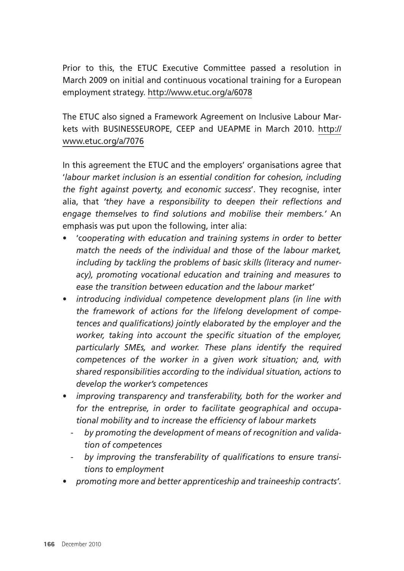Prior to this, the ETUC Executive Committee passed a resolution in March 2009 on initial and continuous vocational training for a European employment strategy. http://www.etuc.org/a/6078

The ETUC also signed a Framework Agreement on Inclusive Labour Markets with BUSINESSEUROPE, CEEP and UEAPME in March 2010. http:// www.etuc.org/a/7076

In this agreement the ETUC and the employers' organisations agree that '*labour market inclusion is an essential condition for cohesion, including the fight against poverty, and economic success*'. They recognise, inter alia, that *'they have a responsibility to deepen their reflections and engage themselves to find solutions and mobilise their members.'* An emphasis was put upon the following, inter alia:

- 'c*ooperating with education and training systems in order to better match the needs of the individual and those of the labour market, including by tackling the problems of basic skills (literacy and numeracy), promoting vocational education and training and measures to ease the transition between education and the labour market'*
- *introducing individual competence development plans (in line with the framework of actions for the lifelong development of competences and qualifications) jointly elaborated by the employer and the worker, taking into account the specific situation of the employer, particularly SMEs, and worker. These plans identify the required competences of the worker in a given work situation; and, with shared responsibilities according to the individual situation, actions to develop the worker's competences*
- *improving transparency and transferability, both for the worker and for the entreprise, in order to facilitate geographical and occupational mobility and to increase the efficiency of labour markets* 
	- *by promoting the development of means of recognition and validation of competences*
	- *by improving the transferability of qualifications to ensure transitions to employment*
- *promoting more and better apprenticeship and traineeship contracts'.*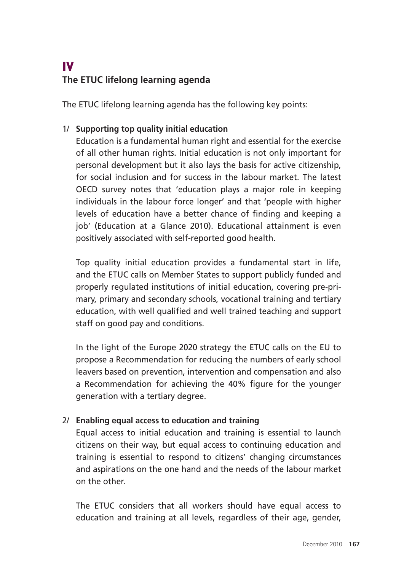# IV **The ETUC lifelong learning agenda**

The ETUC lifelong learning agenda has the following key points:

#### 1/ **Supporting top quality initial education**

Education is a fundamental human right and essential for the exercise of all other human rights. Initial education is not only important for personal development but it also lays the basis for active citizenship, for social inclusion and for success in the labour market. The latest OECD survey notes that 'education plays a major role in keeping individuals in the labour force longer' and that 'people with higher levels of education have a better chance of finding and keeping a job' (Education at a Glance 2010). Educational attainment is even positively associated with self-reported good health.

Top quality initial education provides a fundamental start in life, and the ETUC calls on Member States to support publicly funded and properly regulated institutions of initial education, covering pre-primary, primary and secondary schools, vocational training and tertiary education, with well qualified and well trained teaching and support staff on good pay and conditions.

In the light of the Europe 2020 strategy the ETUC calls on the EU to propose a Recommendation for reducing the numbers of early school leavers based on prevention, intervention and compensation and also a Recommendation for achieving the 40% figure for the younger generation with a tertiary degree.

#### 2/ **Enabling equal access to education and training**

Equal access to initial education and training is essential to launch citizens on their way, but equal access to continuing education and training is essential to respond to citizens' changing circumstances and aspirations on the one hand and the needs of the labour market on the other.

The ETUC considers that all workers should have equal access to education and training at all levels, regardless of their age, gender,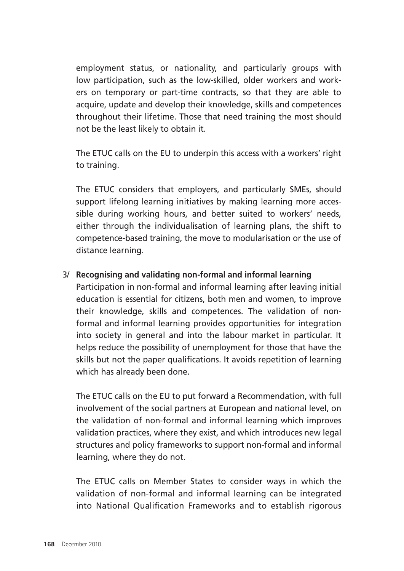employment status, or nationality, and particularly groups with low participation, such as the low-skilled, older workers and workers on temporary or part-time contracts, so that they are able to acquire, update and develop their knowledge, skills and competences throughout their lifetime. Those that need training the most should not be the least likely to obtain it.

The ETUC calls on the EU to underpin this access with a workers' right to training.

The ETUC considers that employers, and particularly SMEs, should support lifelong learning initiatives by making learning more accessible during working hours, and better suited to workers' needs, either through the individualisation of learning plans, the shift to competence-based training, the move to modularisation or the use of distance learning.

#### 3/ **Recognising and validating non-formal and informal learning**

Participation in non-formal and informal learning after leaving initial education is essential for citizens, both men and women, to improve their knowledge, skills and competences. The validation of nonformal and informal learning provides opportunities for integration into society in general and into the labour market in particular. It helps reduce the possibility of unemployment for those that have the skills but not the paper qualifications. It avoids repetition of learning which has already been done.

The ETUC calls on the EU to put forward a Recommendation, with full involvement of the social partners at European and national level, on the validation of non-formal and informal learning which improves validation practices, where they exist, and which introduces new legal structures and policy frameworks to support non-formal and informal learning, where they do not.

The ETUC calls on Member States to consider ways in which the validation of non-formal and informal learning can be integrated into National Qualification Frameworks and to establish rigorous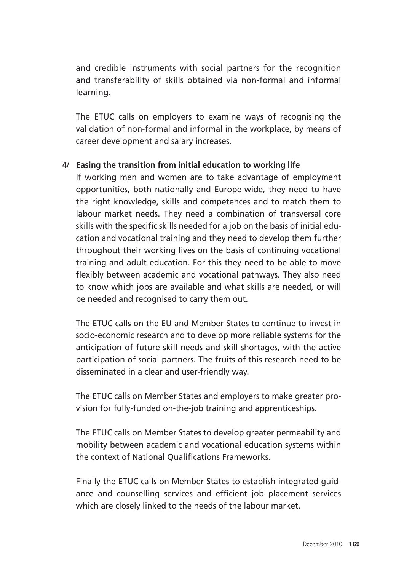and credible instruments with social partners for the recognition and transferability of skills obtained via non-formal and informal learning.

The ETUC calls on employers to examine ways of recognising the validation of non-formal and informal in the workplace, by means of career development and salary increases.

#### 4/ **Easing the transition from initial education to working life**

If working men and women are to take advantage of employment opportunities, both nationally and Europe-wide, they need to have the right knowledge, skills and competences and to match them to labour market needs. They need a combination of transversal core skills with the specific skills needed for a job on the basis of initial education and vocational training and they need to develop them further throughout their working lives on the basis of continuing vocational training and adult education. For this they need to be able to move flexibly between academic and vocational pathways. They also need to know which jobs are available and what skills are needed, or will be needed and recognised to carry them out.

The ETUC calls on the EU and Member States to continue to invest in socio-economic research and to develop more reliable systems for the anticipation of future skill needs and skill shortages, with the active participation of social partners. The fruits of this research need to be disseminated in a clear and user-friendly way.

The ETUC calls on Member States and employers to make greater provision for fully-funded on-the-job training and apprenticeships.

The ETUC calls on Member States to develop greater permeability and mobility between academic and vocational education systems within the context of National Qualifications Frameworks.

Finally the ETUC calls on Member States to establish integrated guidance and counselling services and efficient job placement services which are closely linked to the needs of the labour market.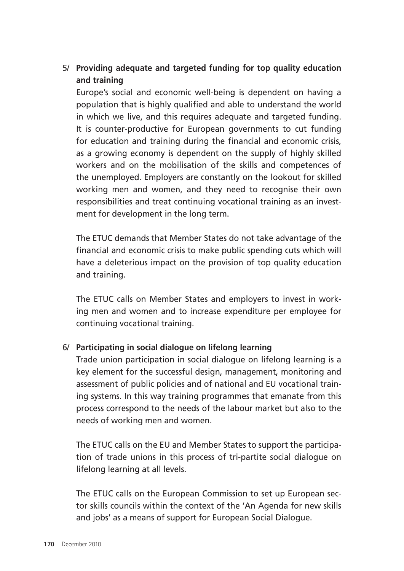#### 5/ **Providing adequate and targeted funding for top quality education and training**

Europe's social and economic well-being is dependent on having a population that is highly qualified and able to understand the world in which we live, and this requires adequate and targeted funding. It is counter-productive for European governments to cut funding for education and training during the financial and economic crisis, as a growing economy is dependent on the supply of highly skilled workers and on the mobilisation of the skills and competences of the unemployed. Employers are constantly on the lookout for skilled working men and women, and they need to recognise their own responsibilities and treat continuing vocational training as an investment for development in the long term.

The ETUC demands that Member States do not take advantage of the financial and economic crisis to make public spending cuts which will have a deleterious impact on the provision of top quality education and training.

The ETUC calls on Member States and employers to invest in working men and women and to increase expenditure per employee for continuing vocational training.

#### 6/ **Participating in social dialogue on lifelong learning**

Trade union participation in social dialogue on lifelong learning is a key element for the successful design, management, monitoring and assessment of public policies and of national and EU vocational training systems. In this way training programmes that emanate from this process correspond to the needs of the labour market but also to the needs of working men and women.

The ETUC calls on the EU and Member States to support the participation of trade unions in this process of tri-partite social dialogue on lifelong learning at all levels.

The ETUC calls on the European Commission to set up European sector skills councils within the context of the 'An Agenda for new skills and jobs' as a means of support for European Social Dialogue.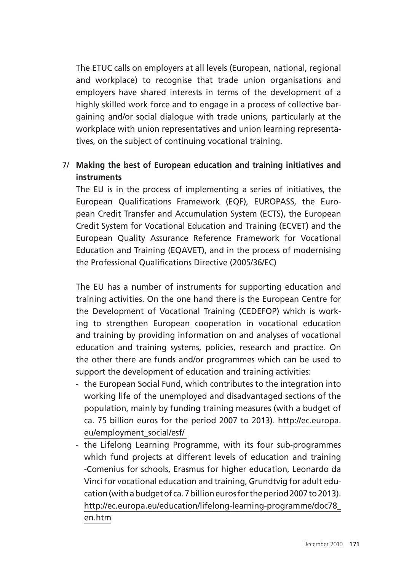The ETUC calls on employers at all levels (European, national, regional and workplace) to recognise that trade union organisations and employers have shared interests in terms of the development of a highly skilled work force and to engage in a process of collective bargaining and/or social dialogue with trade unions, particularly at the workplace with union representatives and union learning representatives, on the subject of continuing vocational training.

#### 7/ **Making the best of European education and training initiatives and instruments**

The EU is in the process of implementing a series of initiatives, the European Qualifications Framework (EQF), EUROPASS, the European Credit Transfer and Accumulation System (ECTS), the European Credit System for Vocational Education and Training (ECVET) and the European Quality Assurance Reference Framework for Vocational Education and Training (EQAVET), and in the process of modernising the Professional Qualifications Directive (2005/36/EC)

The EU has a number of instruments for supporting education and training activities. On the one hand there is the European Centre for the Development of Vocational Training (CEDEFOP) which is working to strengthen European cooperation in vocational education and training by providing information on and analyses of vocational education and training systems, policies, research and practice. On the other there are funds and/or programmes which can be used to support the development of education and training activities:

- the European Social Fund, which contributes to the integration into working life of the unemployed and disadvantaged sections of the population, mainly by funding training measures (with a budget of ca. 75 billion euros for the period 2007 to 2013). http://ec.europa. eu/employment\_social/esf/
- the Lifelong Learning Programme, with its four sub-programmes which fund projects at different levels of education and training -Comenius for schools, Erasmus for higher education, Leonardo da Vinci for vocational education and training, Grundtvig for adult education (with a budget of ca. 7 billion euros for the period 2007 to 2013). http://ec.europa.eu/education/lifelong-learning-programme/doc78\_ en.htm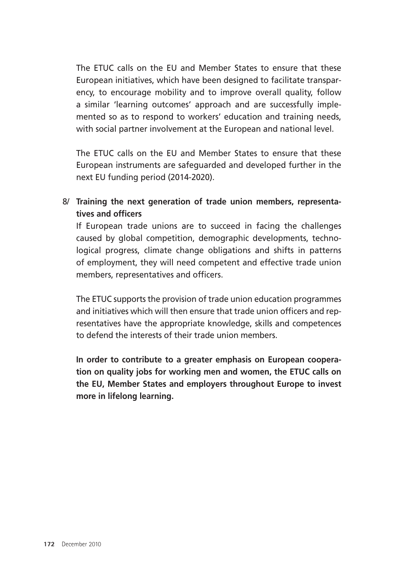The ETUC calls on the EU and Member States to ensure that these European initiatives, which have been designed to facilitate transparency, to encourage mobility and to improve overall quality, follow a similar 'learning outcomes' approach and are successfully implemented so as to respond to workers' education and training needs, with social partner involvement at the European and national level.

The ETUC calls on the EU and Member States to ensure that these European instruments are safeguarded and developed further in the next EU funding period (2014-2020).

8/ **Training the next generation of trade union members, representatives and officers** 

If European trade unions are to succeed in facing the challenges caused by global competition, demographic developments, technological progress, climate change obligations and shifts in patterns of employment, they will need competent and effective trade union members, representatives and officers.

The ETUC supports the provision of trade union education programmes and initiatives which will then ensure that trade union officers and representatives have the appropriate knowledge, skills and competences to defend the interests of their trade union members.

**In order to contribute to a greater emphasis on European cooperation on quality jobs for working men and women, the ETUC calls on the EU, Member States and employers throughout Europe to invest more in lifelong learning.**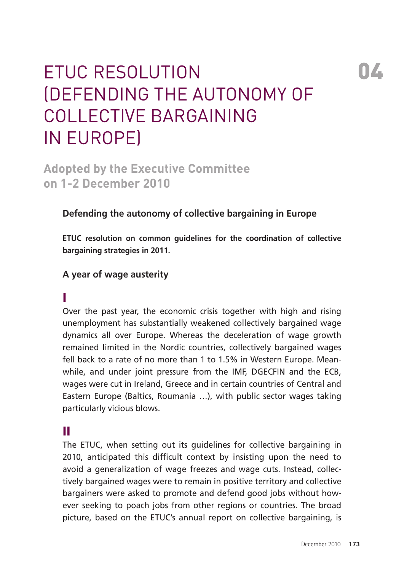# **04**

# ETUC Resolution (Defending the autonomy of collective bargaining in Europe)

**Adopted by the Executive Committee on 1-2 December 2010** 

### **Defending the autonomy of collective bargaining in Europe**

**ETUC resolution on common guidelines for the coordination of collective bargaining strategies in 2011.** 

#### **A year of wage austerity**

#### I

Over the past year, the economic crisis together with high and rising unemployment has substantially weakened collectively bargained wage dynamics all over Europe. Whereas the deceleration of wage growth remained limited in the Nordic countries, collectively bargained wages fell back to a rate of no more than 1 to 1.5% in Western Europe. Meanwhile, and under joint pressure from the IMF, DGECFIN and the ECB, wages were cut in Ireland, Greece and in certain countries of Central and Eastern Europe (Baltics, Roumania …), with public sector wages taking particularly vicious blows.

## II

The ETUC, when setting out its guidelines for collective bargaining in 2010, anticipated this difficult context by insisting upon the need to avoid a generalization of wage freezes and wage cuts. Instead, collectively bargained wages were to remain in positive territory and collective bargainers were asked to promote and defend good jobs without however seeking to poach jobs from other regions or countries. The broad picture, based on the ETUC's annual report on collective bargaining, is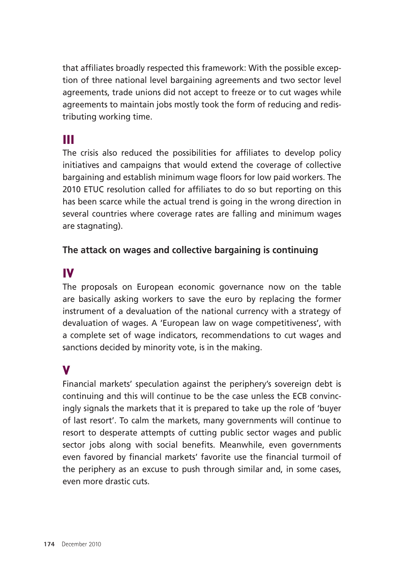that affiliates broadly respected this framework: With the possible exception of three national level bargaining agreements and two sector level agreements, trade unions did not accept to freeze or to cut wages while agreements to maintain jobs mostly took the form of reducing and redistributing working time.

# III

The crisis also reduced the possibilities for affiliates to develop policy initiatives and campaigns that would extend the coverage of collective bargaining and establish minimum wage floors for low paid workers. The 2010 ETUC resolution called for affiliates to do so but reporting on this has been scarce while the actual trend is going in the wrong direction in several countries where coverage rates are falling and minimum wages are stagnating).

#### **The attack on wages and collective bargaining is continuing**

## IV

The proposals on European economic governance now on the table are basically asking workers to save the euro by replacing the former instrument of a devaluation of the national currency with a strategy of devaluation of wages. A 'European law on wage competitiveness', with a complete set of wage indicators, recommendations to cut wages and sanctions decided by minority vote, is in the making.

# V

Financial markets' speculation against the periphery's sovereign debt is continuing and this will continue to be the case unless the ECB convincingly signals the markets that it is prepared to take up the role of 'buyer of last resort'. To calm the markets, many governments will continue to resort to desperate attempts of cutting public sector wages and public sector jobs along with social benefits. Meanwhile, even governments even favored by financial markets' favorite use the financial turmoil of the periphery as an excuse to push through similar and, in some cases, even more drastic cuts.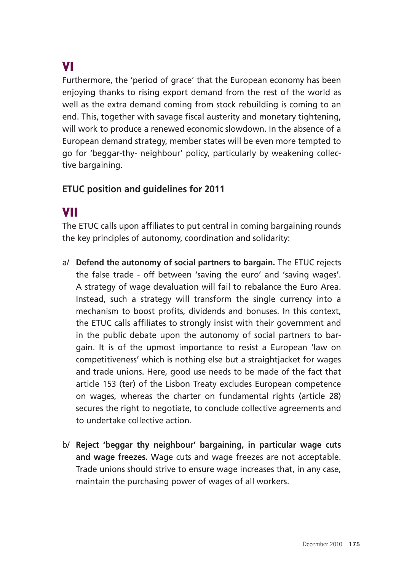# VI

Furthermore, the 'period of grace' that the European economy has been enjoying thanks to rising export demand from the rest of the world as well as the extra demand coming from stock rebuilding is coming to an end. This, together with savage fiscal austerity and monetary tightening, will work to produce a renewed economic slowdown. In the absence of a European demand strategy, member states will be even more tempted to go for 'beggar-thy- neighbour' policy, particularly by weakening collective bargaining.

#### **ETUC position and guidelines for 2011**

## VII

The ETUC calls upon affiliates to put central in coming bargaining rounds the key principles of autonomy, coordination and solidarity:

- a/ **Defend the autonomy of social partners to bargain.** The ETUC rejects the false trade - off between 'saving the euro' and 'saving wages'. A strategy of wage devaluation will fail to rebalance the Euro Area. Instead, such a strategy will transform the single currency into a mechanism to boost profits, dividends and bonuses. In this context, the ETUC calls affiliates to strongly insist with their government and in the public debate upon the autonomy of social partners to bargain. It is of the upmost importance to resist a European 'law on competitiveness' which is nothing else but a straightjacket for wages and trade unions. Here, good use needs to be made of the fact that article 153 (ter) of the Lisbon Treaty excludes European competence on wages, whereas the charter on fundamental rights (article 28) secures the right to negotiate, to conclude collective agreements and to undertake collective action.
- b/ **Reject 'beggar thy neighbour' bargaining, in particular wage cuts and wage freezes.** Wage cuts and wage freezes are not acceptable. Trade unions should strive to ensure wage increases that, in any case, maintain the purchasing power of wages of all workers.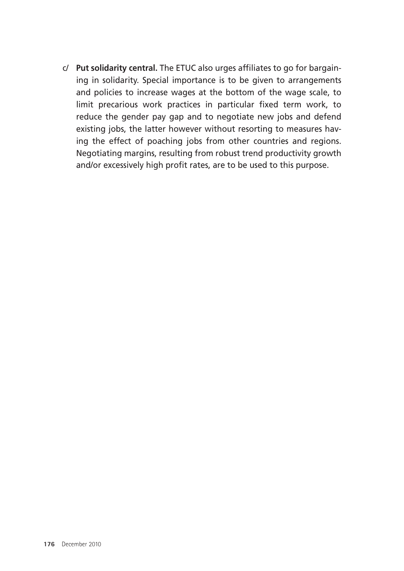c/ **Put solidarity central.** The ETUC also urges affiliates to go for bargaining in solidarity. Special importance is to be given to arrangements and policies to increase wages at the bottom of the wage scale, to limit precarious work practices in particular fixed term work, to reduce the gender pay gap and to negotiate new jobs and defend existing jobs, the latter however without resorting to measures having the effect of poaching jobs from other countries and regions. Negotiating margins, resulting from robust trend productivity growth and/or excessively high profit rates, are to be used to this purpose.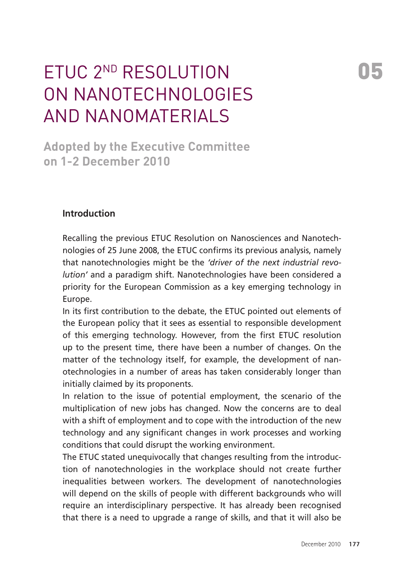# ETUC 2nd resolution on nanotechnologies and nanomaterials

**Adopted by the Executive Committee on 1-2 December 2010** 

#### **Introduction**

Recalling the previous ETUC Resolution on Nanosciences and Nanotechnologies of 25 June 2008, the ETUC confirms its previous analysis, namely that nanotechnologies might be the *'driver of the next industrial revolution'* and a paradigm shift. Nanotechnologies have been considered a priority for the European Commission as a key emerging technology in Europe.

In its first contribution to the debate, the ETUC pointed out elements of the European policy that it sees as essential to responsible development of this emerging technology. However, from the first ETUC resolution up to the present time, there have been a number of changes. On the matter of the technology itself, for example, the development of nanotechnologies in a number of areas has taken considerably longer than initially claimed by its proponents.

In relation to the issue of potential employment, the scenario of the multiplication of new jobs has changed. Now the concerns are to deal with a shift of employment and to cope with the introduction of the new technology and any significant changes in work processes and working conditions that could disrupt the working environment.

The ETUC stated unequivocally that changes resulting from the introduction of nanotechnologies in the workplace should not create further inequalities between workers. The development of nanotechnologies will depend on the skills of people with different backgrounds who will require an interdisciplinary perspective. It has already been recognised that there is a need to upgrade a range of skills, and that it will also be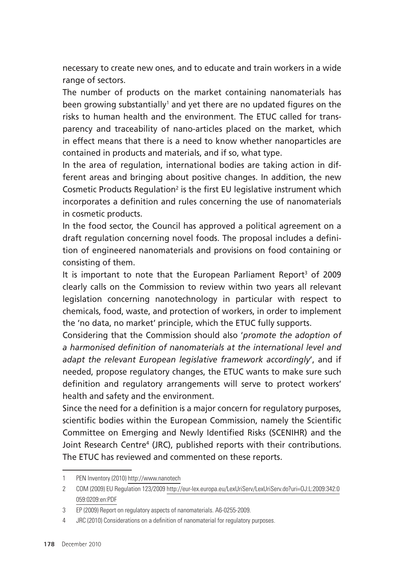necessary to create new ones, and to educate and train workers in a wide range of sectors.

The number of products on the market containing nanomaterials has been growing substantially<sup>1</sup> and yet there are no updated figures on the risks to human health and the environment. The ETUC called for transparency and traceability of nano-articles placed on the market, which in effect means that there is a need to know whether nanoparticles are contained in products and materials, and if so, what type.

In the area of regulation, international bodies are taking action in different areas and bringing about positive changes. In addition, the new Cosmetic Products Regulation<sup>2</sup> is the first EU legislative instrument which incorporates a definition and rules concerning the use of nanomaterials in cosmetic products.

In the food sector, the Council has approved a political agreement on a draft regulation concerning novel foods. The proposal includes a definition of engineered nanomaterials and provisions on food containing or consisting of them.

It is important to note that the European Parliament Report<sup>3</sup> of 2009 clearly calls on the Commission to review within two years all relevant legislation concerning nanotechnology in particular with respect to chemicals, food, waste, and protection of workers, in order to implement the 'no data, no market' principle, which the ETUC fully supports.

Considering that the Commission should also '*promote the adoption of a harmonised definition of nanomaterials at the international level and adapt the relevant European legislative framework accordingly*', and if needed, propose regulatory changes, the ETUC wants to make sure such definition and regulatory arrangements will serve to protect workers' health and safety and the environment.

Since the need for a definition is a major concern for regulatory purposes, scientific bodies within the European Commission, namely the Scientific Committee on Emerging and Newly Identified Risks (SCENIHR) and the Joint Research Centre4 (JRC), published reports with their contributions. The ETUC has reviewed and commented on these reports.

<sup>1</sup> PEN Inventory (2010) http://www.nanotech

<sup>2</sup> COM (2009) EU Regulation 123/2009 http://eur-lex.europa.eu/LexUriServ/LexUriServ.do?uri=OJ:L:2009:342:0 059:0209:en:PDF

<sup>3</sup> EP (2009) Report on regulatory aspects of nanomaterials. A6-0255-2009.

<sup>4</sup> JRC (2010) Considerations on a definition of nanomaterial for regulatory purposes.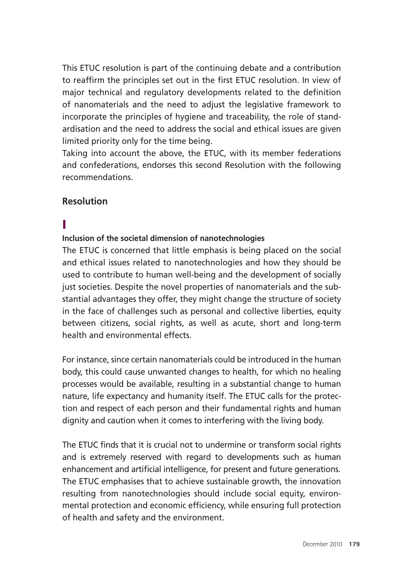This ETUC resolution is part of the continuing debate and a contribution to reaffirm the principles set out in the first ETUC resolution. In view of major technical and regulatory developments related to the definition of nanomaterials and the need to adjust the legislative framework to incorporate the principles of hygiene and traceability, the role of standardisation and the need to address the social and ethical issues are given limited priority only for the time being.

Taking into account the above, the ETUC, with its member federations and confederations, endorses this second Resolution with the following recommendations.

#### **Resolution**

## I

#### **Inclusion of the societal dimension of nanotechnologies**

The ETUC is concerned that little emphasis is being placed on the social and ethical issues related to nanotechnologies and how they should be used to contribute to human well-being and the development of socially just societies. Despite the novel properties of nanomaterials and the substantial advantages they offer, they might change the structure of society in the face of challenges such as personal and collective liberties, equity between citizens, social rights, as well as acute, short and long-term health and environmental effects.

For instance, since certain nanomaterials could be introduced in the human body, this could cause unwanted changes to health, for which no healing processes would be available, resulting in a substantial change to human nature, life expectancy and humanity itself. The ETUC calls for the protection and respect of each person and their fundamental rights and human dignity and caution when it comes to interfering with the living body.

The ETUC finds that it is crucial not to undermine or transform social rights and is extremely reserved with regard to developments such as human enhancement and artificial intelligence, for present and future generations. The ETUC emphasises that to achieve sustainable growth, the innovation resulting from nanotechnologies should include social equity, environmental protection and economic efficiency, while ensuring full protection of health and safety and the environment.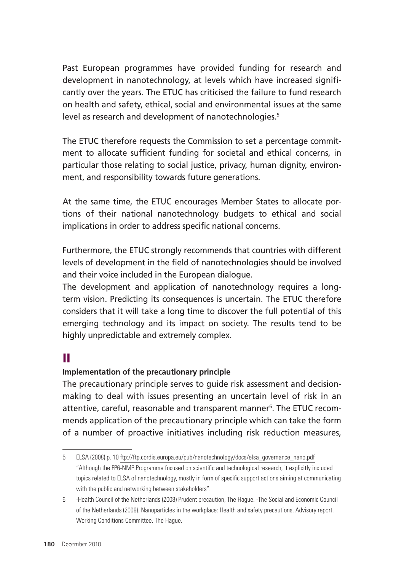Past European programmes have provided funding for research and development in nanotechnology, at levels which have increased significantly over the years. The ETUC has criticised the failure to fund research on health and safety, ethical, social and environmental issues at the same level as research and development of nanotechnologies.<sup>5</sup>

The ETUC therefore requests the Commission to set a percentage commitment to allocate sufficient funding for societal and ethical concerns, in particular those relating to social justice, privacy, human dignity, environment, and responsibility towards future generations.

At the same time, the ETUC encourages Member States to allocate portions of their national nanotechnology budgets to ethical and social implications in order to address specific national concerns.

Furthermore, the ETUC strongly recommends that countries with different levels of development in the field of nanotechnologies should be involved and their voice included in the European dialogue.

The development and application of nanotechnology requires a longterm vision. Predicting its consequences is uncertain. The ETUC therefore considers that it will take a long time to discover the full potential of this emerging technology and its impact on society. The results tend to be highly unpredictable and extremely complex.

### II

#### **Implementation of the precautionary principle**

The precautionary principle serves to guide risk assessment and decisionmaking to deal with issues presenting an uncertain level of risk in an attentive, careful, reasonable and transparent manner<sup>6</sup>. The ETUC recommends application of the precautionary principle which can take the form of a number of proactive initiatives including risk reduction measures,

<sup>5</sup> ELSA (2008) p. 10 ftp://ftp.cordis.europa.eu/pub/nanotechnology/docs/elsa\_governance\_nano.pdf "Although the FP6-NMP Programme focused on scientific and technological research, it explicitly included topics related to ELSA of nanotechnology, mostly in form of specific support actions aiming at communicating with the public and networking between stakeholders".

<sup>6</sup> -Health Council of the Netherlands (2008) Prudent precaution, The Hague. -The Social and Economic Council of the Netherlands (2009). Nanoparticles in the workplace: Health and safety precautions. Advisory report. Working Conditions Committee. The Hague.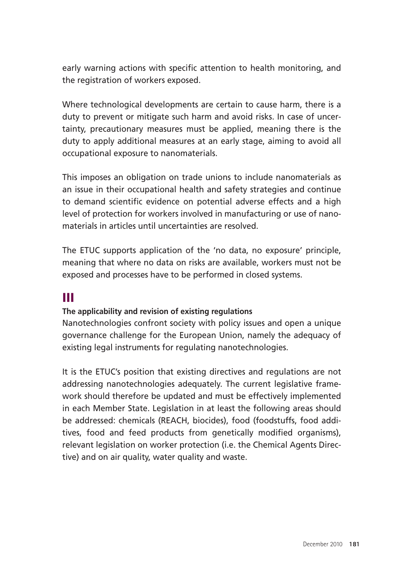early warning actions with specific attention to health monitoring, and the registration of workers exposed.

Where technological developments are certain to cause harm, there is a duty to prevent or mitigate such harm and avoid risks. In case of uncertainty, precautionary measures must be applied, meaning there is the duty to apply additional measures at an early stage, aiming to avoid all occupational exposure to nanomaterials.

This imposes an obligation on trade unions to include nanomaterials as an issue in their occupational health and safety strategies and continue to demand scientific evidence on potential adverse effects and a high level of protection for workers involved in manufacturing or use of nanomaterials in articles until uncertainties are resolved.

The ETUC supports application of the 'no data, no exposure' principle, meaning that where no data on risks are available, workers must not be exposed and processes have to be performed in closed systems.

### III

#### **The applicability and revision of existing regulations**

Nanotechnologies confront society with policy issues and open a unique governance challenge for the European Union, namely the adequacy of existing legal instruments for regulating nanotechnologies.

It is the ETUC's position that existing directives and regulations are not addressing nanotechnologies adequately. The current legislative framework should therefore be updated and must be effectively implemented in each Member State. Legislation in at least the following areas should be addressed: chemicals (REACH, biocides), food (foodstuffs, food additives, food and feed products from genetically modified organisms), relevant legislation on worker protection (i.e. the Chemical Agents Directive) and on air quality, water quality and waste.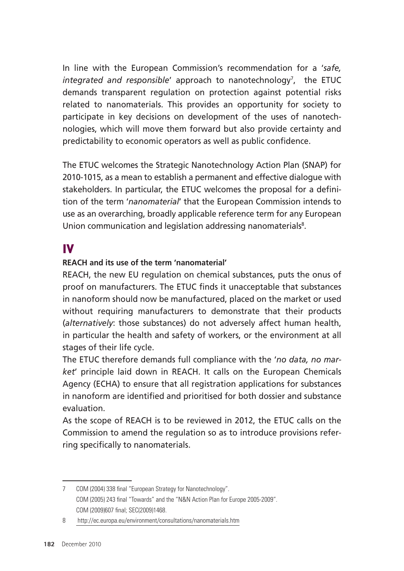In line with the European Commission's recommendation for a '*safe, integrated and responsible'* approach to nanotechnology<sup>7</sup>, the ETUC demands transparent regulation on protection against potential risks related to nanomaterials. This provides an opportunity for society to participate in key decisions on development of the uses of nanotechnologies, which will move them forward but also provide certainty and predictability to economic operators as well as public confidence.

The ETUC welcomes the Strategic Nanotechnology Action Plan (SNAP) for 2010-1015, as a mean to establish a permanent and effective dialogue with stakeholders. In particular, the ETUC welcomes the proposal for a definition of the term '*nanomaterial*' that the European Commission intends to use as an overarching, broadly applicable reference term for any European Union communication and legislation addressing nanomaterials<sup>8</sup>.

### IV

#### **REACH and its use of the term 'nanomaterial'**

REACH, the new EU regulation on chemical substances, puts the onus of proof on manufacturers. The ETUC finds it unacceptable that substances in nanoform should now be manufactured, placed on the market or used without requiring manufacturers to demonstrate that their products (*alternatively*: those substances) do not adversely affect human health, in particular the health and safety of workers, or the environment at all stages of their life cycle.

The ETUC therefore demands full compliance with the '*no data, no market*' principle laid down in REACH. It calls on the European Chemicals Agency (ECHA) to ensure that all registration applications for substances in nanoform are identified and prioritised for both dossier and substance evaluation.

As the scope of REACH is to be reviewed in 2012, the ETUC calls on the Commission to amend the regulation so as to introduce provisions referring specifically to nanomaterials.

<sup>7</sup> COM (2004) 338 final "European Strategy for Nanotechnology". COM (2005) 243 final "Towards" and the "N&N Action Plan for Europe 2005-2009". COM (2009)607 final; SEC(2009)1468.

<sup>8</sup> http://ec.europa.eu/environment/consultations/nanomaterials.htm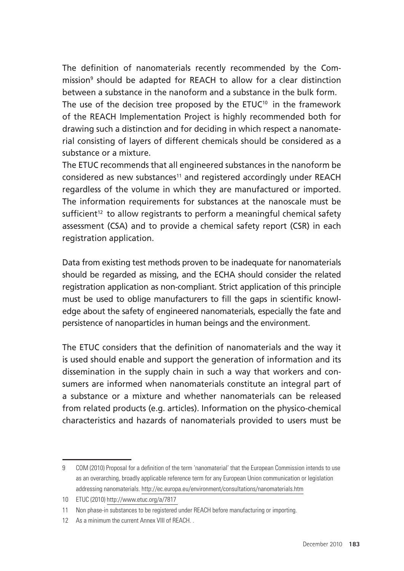The definition of nanomaterials recently recommended by the Commission9 should be adapted for REACH to allow for a clear distinction between a substance in the nanoform and a substance in the bulk form. The use of the decision tree proposed by the  $ETUC^{10}$  in the framework of the REACH Implementation Project is highly recommended both for drawing such a distinction and for deciding in which respect a nanomaterial consisting of layers of different chemicals should be considered as a substance or a mixture.

The ETUC recommends that all engineered substances in the nanoform be considered as new substances<sup>11</sup> and registered accordingly under REACH regardless of the volume in which they are manufactured or imported. The information requirements for substances at the nanoscale must be sufficient<sup>12</sup> to allow registrants to perform a meaningful chemical safety assessment (CSA) and to provide a chemical safety report (CSR) in each registration application.

Data from existing test methods proven to be inadequate for nanomaterials should be regarded as missing, and the ECHA should consider the related registration application as non-compliant. Strict application of this principle must be used to oblige manufacturers to fill the gaps in scientific knowledge about the safety of engineered nanomaterials, especially the fate and persistence of nanoparticles in human beings and the environment.

The ETUC considers that the definition of nanomaterials and the way it is used should enable and support the generation of information and its dissemination in the supply chain in such a way that workers and consumers are informed when nanomaterials constitute an integral part of a substance or a mixture and whether nanomaterials can be released from related products (e.g. articles). Information on the physico-chemical characteristics and hazards of nanomaterials provided to users must be

<sup>9</sup> COM (2010) Proposal for a definition of the term 'nanomaterial' that the European Commission intends to use as an overarching, broadly applicable reference term for any European Union communication or legislation addressing nanomaterials. http://ec.europa.eu/environment/consultations/nanomaterials.htm

<sup>10</sup> ETUC (2010) http://www.etuc.org/a/7817

<sup>11</sup> Non phase-in substances to be registered under REACH before manufacturing or importing.

<sup>12</sup> As a minimum the current Annex VIII of REACH.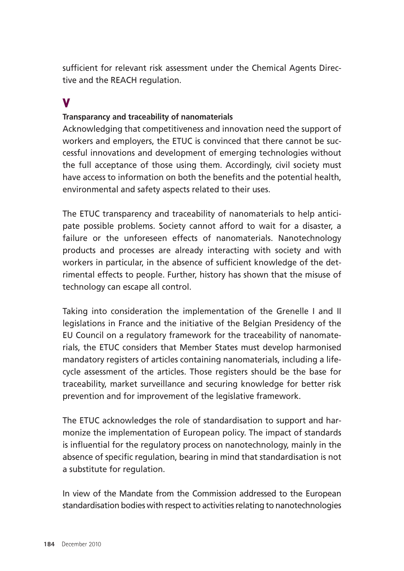sufficient for relevant risk assessment under the Chemical Agents Directive and the REACH regulation.

### V

#### **Transparancy and traceability of nanomaterials**

Acknowledging that competitiveness and innovation need the support of workers and employers, the ETUC is convinced that there cannot be successful innovations and development of emerging technologies without the full acceptance of those using them. Accordingly, civil society must have access to information on both the benefits and the potential health, environmental and safety aspects related to their uses.

The ETUC transparency and traceability of nanomaterials to help anticipate possible problems. Society cannot afford to wait for a disaster, a failure or the unforeseen effects of nanomaterials. Nanotechnology products and processes are already interacting with society and with workers in particular, in the absence of sufficient knowledge of the detrimental effects to people. Further, history has shown that the misuse of technology can escape all control.

Taking into consideration the implementation of the Grenelle I and II legislations in France and the initiative of the Belgian Presidency of the EU Council on a regulatory framework for the traceability of nanomaterials, the ETUC considers that Member States must develop harmonised mandatory registers of articles containing nanomaterials, including a lifecycle assessment of the articles. Those registers should be the base for traceability, market surveillance and securing knowledge for better risk prevention and for improvement of the legislative framework.

The ETUC acknowledges the role of standardisation to support and harmonize the implementation of European policy. The impact of standards is influential for the regulatory process on nanotechnology, mainly in the absence of specific regulation, bearing in mind that standardisation is not a substitute for regulation.

In view of the Mandate from the Commission addressed to the European standardisation bodies with respect to activities relating to nanotechnologies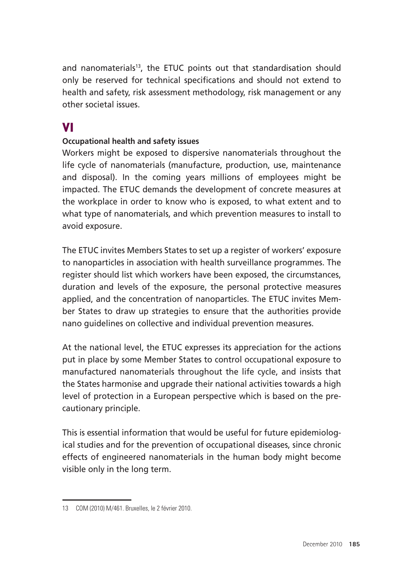and nanomaterials<sup>13</sup>, the ETUC points out that standardisation should only be reserved for technical specifications and should not extend to health and safety, risk assessment methodology, risk management or any other societal issues.

### VI

#### **Occupational health and safety issues**

Workers might be exposed to dispersive nanomaterials throughout the life cycle of nanomaterials (manufacture, production, use, maintenance and disposal). In the coming years millions of employees might be impacted. The ETUC demands the development of concrete measures at the workplace in order to know who is exposed, to what extent and to what type of nanomaterials, and which prevention measures to install to avoid exposure.

The ETUC invites Members States to set up a register of workers' exposure to nanoparticles in association with health surveillance programmes. The register should list which workers have been exposed, the circumstances, duration and levels of the exposure, the personal protective measures applied, and the concentration of nanoparticles. The ETUC invites Member States to draw up strategies to ensure that the authorities provide nano guidelines on collective and individual prevention measures.

At the national level, the ETUC expresses its appreciation for the actions put in place by some Member States to control occupational exposure to manufactured nanomaterials throughout the life cycle, and insists that the States harmonise and upgrade their national activities towards a high level of protection in a European perspective which is based on the precautionary principle.

This is essential information that would be useful for future epidemiological studies and for the prevention of occupational diseases, since chronic effects of engineered nanomaterials in the human body might become visible only in the long term.

<sup>13</sup> COM (2010) M/461. Bruxelles, le 2 février 2010.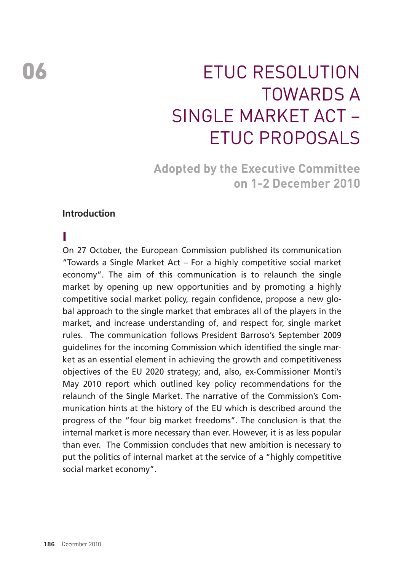# ETUC Resolution Towards a SINGI F MARKET ACT -ETUC proposals

**Adopted by the Executive Committee on 1-2 December 2010** 

#### **Introduction**

#### I

On 27 October, the European Commission published its communication "Towards a Single Market Act – For a highly competitive social market economy". The aim of this communication is to relaunch the single market by opening up new opportunities and by promoting a highly competitive social market policy, regain confidence, propose a new global approach to the single market that embraces all of the players in the market, and increase understanding of, and respect for, single market rules. The communication follows President Barroso's September 2009 guidelines for the incoming Commission which identified the single market as an essential element in achieving the growth and competitiveness objectives of the EU 2020 strategy; and, also, ex-Commissioner Monti's May 2010 report which outlined key policy recommendations for the relaunch of the Single Market. The narrative of the Commission's Communication hints at the history of the EU which is described around the progress of the "four big market freedoms". The conclusion is that the internal market is more necessary than ever. However, it is as less popular than ever. The Commission concludes that new ambition is necessary to put the politics of internal market at the service of a "highly competitive social market economy".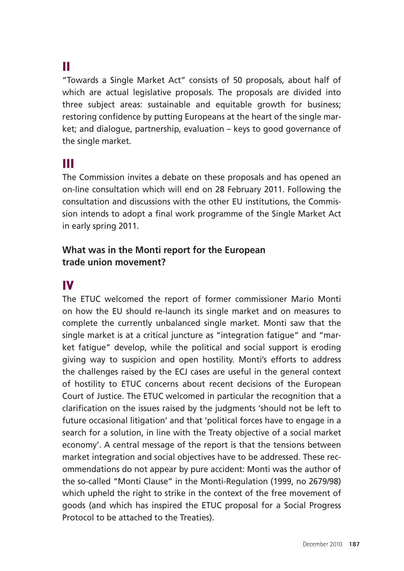### II

"Towards a Single Market Act" consists of 50 proposals, about half of which are actual legislative proposals. The proposals are divided into three subject areas: sustainable and equitable growth for business; restoring confidence by putting Europeans at the heart of the single market; and dialogue, partnership, evaluation – keys to good governance of the single market.

### III

The Commission invites a debate on these proposals and has opened an on-line consultation which will end on 28 February 2011. Following the consultation and discussions with the other EU institutions, the Commission intends to adopt a final work programme of the Single Market Act in early spring 2011.

#### **What was in the Monti report for the European trade union movement?**

#### IV

The ETUC welcomed the report of former commissioner Mario Monti on how the EU should re-launch its single market and on measures to complete the currently unbalanced single market. Monti saw that the single market is at a critical juncture as "integration fatigue" and "market fatigue" develop, while the political and social support is eroding giving way to suspicion and open hostility. Monti's efforts to address the challenges raised by the ECJ cases are useful in the general context of hostility to ETUC concerns about recent decisions of the European Court of Justice. The ETUC welcomed in particular the recognition that a clarification on the issues raised by the judgments 'should not be left to future occasional litigation' and that 'political forces have to engage in a search for a solution, in line with the Treaty objective of a social market economy'. A central message of the report is that the tensions between market integration and social objectives have to be addressed. These recommendations do not appear by pure accident: Monti was the author of the so-called "Monti Clause" in the Monti-Regulation (1999, no 2679/98) which upheld the right to strike in the context of the free movement of goods (and which has inspired the ETUC proposal for a Social Progress Protocol to be attached to the Treaties).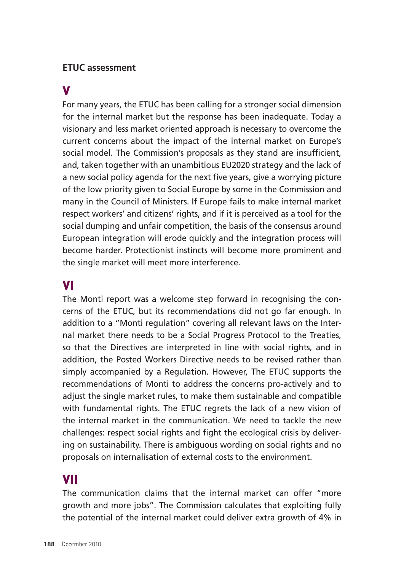#### **ETUC assessment**

#### V

For many years, the ETUC has been calling for a stronger social dimension for the internal market but the response has been inadequate. Today a visionary and less market oriented approach is necessary to overcome the current concerns about the impact of the internal market on Europe's social model. The Commission's proposals as they stand are insufficient, and, taken together with an unambitious EU2020 strategy and the lack of a new social policy agenda for the next five years, give a worrying picture of the low priority given to Social Europe by some in the Commission and many in the Council of Ministers. If Europe fails to make internal market respect workers' and citizens' rights, and if it is perceived as a tool for the social dumping and unfair competition, the basis of the consensus around European integration will erode quickly and the integration process will become harder. Protectionist instincts will become more prominent and the single market will meet more interference.

#### VI vi

The Monti report was a welcome step forward in recognising the concerns of the ETUC, but its recommendations did not go far enough. In addition to a "Monti regulation" covering all relevant laws on the Internal market there needs to be a Social Progress Protocol to the Treaties, so that the Directives are interpreted in line with social rights, and in addition, the Posted Workers Directive needs to be revised rather than simply accompanied by a Regulation. However, The ETUC supports the recommendations of Monti to address the concerns pro-actively and to adjust the single market rules, to make them sustainable and compatible with fundamental rights. The ETUC regrets the lack of a new vision of the internal market in the communication. We need to tackle the new challenges: respect social rights and fight the ecological crisis by delivering on sustainability. There is ambiguous wording on social rights and no proposals on internalisation of external costs to the environment.

### VII

The communication claims that the internal market can offer "more growth and more jobs". The Commission calculates that exploiting fully the potential of the internal market could deliver extra growth of 4% in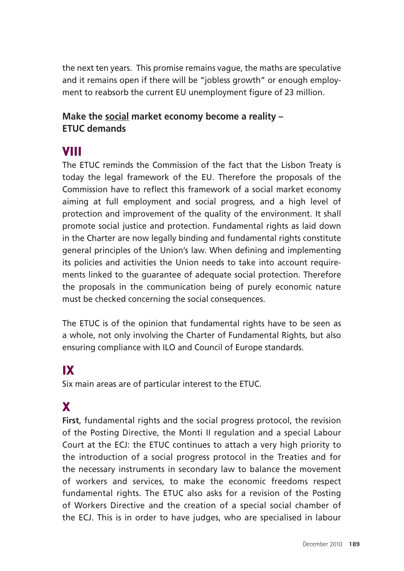the next ten years. This promise remains vague, the maths are speculative and it remains open if there will be "jobless growth" or enough employment to reabsorb the current EU unemployment figure of 23 million.

#### **Make the social market economy become a reality – ETUC demands**

### VIII

The ETUC reminds the Commission of the fact that the Lisbon Treaty is today the legal framework of the EU. Therefore the proposals of the Commission have to reflect this framework of a social market economy aiming at full employment and social progress, and a high level of protection and improvement of the quality of the environment. It shall promote social justice and protection. Fundamental rights as laid down in the Charter are now legally binding and fundamental rights constitute general principles of the Union's law. When defining and implementing its policies and activities the Union needs to take into account requirements linked to the guarantee of adequate social protection. Therefore the proposals in the communication being of purely economic nature must be checked concerning the social consequences.

The ETUC is of the opinion that fundamental rights have to be seen as a whole, not only involving the Charter of Fundamental Rights, but also ensuring compliance with ILO and Council of Europe standards.

# IX

Six main areas are of particular interest to the ETUC.

# X

**First**, fundamental rights and the social progress protocol, the revision of the Posting Directive, the Monti II regulation and a special Labour Court at the ECJ: the ETUC continues to attach a very high priority to the introduction of a social progress protocol in the Treaties and for the necessary instruments in secondary law to balance the movement of workers and services, to make the economic freedoms respect fundamental rights. The ETUC also asks for a revision of the Posting of Workers Directive and the creation of a special social chamber of the ECJ. This is in order to have judges, who are specialised in labour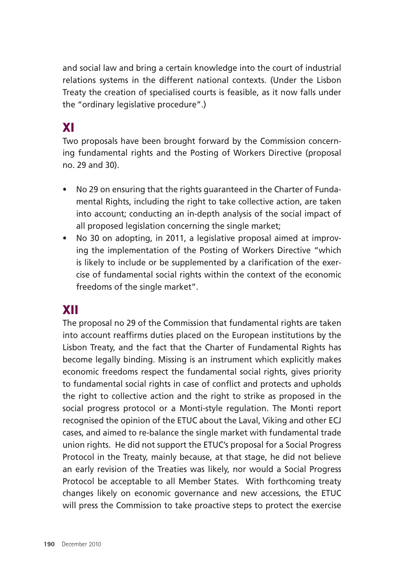and social law and bring a certain knowledge into the court of industrial relations systems in the different national contexts. (Under the Lisbon Treaty the creation of specialised courts is feasible, as it now falls under the "ordinary legislative procedure".)

# XI

Two proposals have been brought forward by the Commission concerning fundamental rights and the Posting of Workers Directive (proposal no. 29 and 30).

- No 29 on ensuring that the rights guaranteed in the Charter of Fundamental Rights, including the right to take collective action, are taken into account; conducting an in-depth analysis of the social impact of all proposed legislation concerning the single market;
- No 30 on adopting, in 2011, a legislative proposal aimed at improving the implementation of the Posting of Workers Directive "which is likely to include or be supplemented by a clarification of the exercise of fundamental social rights within the context of the economic freedoms of the single market".

### XII

The proposal no 29 of the Commission that fundamental rights are taken into account reaffirms duties placed on the European institutions by the Lisbon Treaty, and the fact that the Charter of Fundamental Rights has become legally binding. Missing is an instrument which explicitly makes economic freedoms respect the fundamental social rights, gives priority to fundamental social rights in case of conflict and protects and upholds the right to collective action and the right to strike as proposed in the social progress protocol or a Monti-style regulation. The Monti report recognised the opinion of the ETUC about the Laval, Viking and other ECJ cases, and aimed to re-balance the single market with fundamental trade union rights. He did not support the ETUC's proposal for a Social Progress Protocol in the Treaty, mainly because, at that stage, he did not believe an early revision of the Treaties was likely, nor would a Social Progress Protocol be acceptable to all Member States. With forthcoming treaty changes likely on economic governance and new accessions, the ETUC will press the Commission to take proactive steps to protect the exercise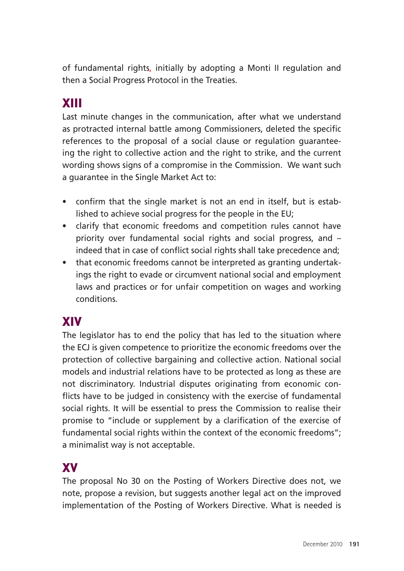of fundamental rights, initially by adopting a Monti II regulation and then a Social Progress Protocol in the Treaties.

# XIII

Last minute changes in the communication, after what we understand as protracted internal battle among Commissioners, deleted the specific references to the proposal of a social clause or regulation guaranteeing the right to collective action and the right to strike, and the current wording shows signs of a compromise in the Commission. We want such a guarantee in the Single Market Act to:

- confirm that the single market is not an end in itself, but is established to achieve social progress for the people in the EU;
- clarify that economic freedoms and competition rules cannot have priority over fundamental social rights and social progress, and – indeed that in case of conflict social rights shall take precedence and;
- that economic freedoms cannot be interpreted as granting undertakings the right to evade or circumvent national social and employment laws and practices or for unfair competition on wages and working conditions.

# XIV

The legislator has to end the policy that has led to the situation where the ECJ is given competence to prioritize the economic freedoms over the protection of collective bargaining and collective action. National social models and industrial relations have to be protected as long as these are not discriminatory. Industrial disputes originating from economic conflicts have to be judged in consistency with the exercise of fundamental social rights. It will be essential to press the Commission to realise their promise to "include or supplement by a clarification of the exercise of fundamental social rights within the context of the economic freedoms"; a minimalist way is not acceptable.

# XV

The proposal No 30 on the Posting of Workers Directive does not, we note, propose a revision, but suggests another legal act on the improved implementation of the Posting of Workers Directive. What is needed is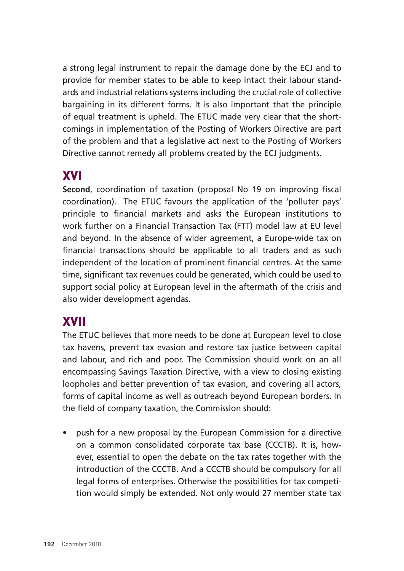a strong legal instrument to repair the damage done by the ECJ and to provide for member states to be able to keep intact their labour standards and industrial relations systems including the crucial role of collective bargaining in its different forms. It is also important that the principle of equal treatment is upheld. The ETUC made very clear that the shortcomings in implementation of the Posting of Workers Directive are part of the problem and that a legislative act next to the Posting of Workers Directive cannot remedy all problems created by the ECJ judgments.

### XVI

**Second**, coordination of taxation (proposal No 19 on improving fiscal coordination). The ETUC favours the application of the 'polluter pays' principle to financial markets and asks the European institutions to work further on a Financial Transaction Tax (FTT) model law at EU level and beyond. In the absence of wider agreement, a Europe-wide tax on financial transactions should be applicable to all traders and as such independent of the location of prominent financial centres. At the same time, significant tax revenues could be generated, which could be used to support social policy at European level in the aftermath of the crisis and also wider development agendas.

# XVII

The ETUC believes that more needs to be done at European level to close tax havens, prevent tax evasion and restore tax justice between capital and labour, and rich and poor. The Commission should work on an all encompassing Savings Taxation Directive, with a view to closing existing loopholes and better prevention of tax evasion, and covering all actors, forms of capital income as well as outreach beyond European borders. In the field of company taxation, the Commission should:

• push for a new proposal by the European Commission for a directive on a common consolidated corporate tax base (CCCTB). It is, however, essential to open the debate on the tax rates together with the introduction of the CCCTB. And a CCCTB should be compulsory for all legal forms of enterprises. Otherwise the possibilities for tax competition would simply be extended. Not only would 27 member state tax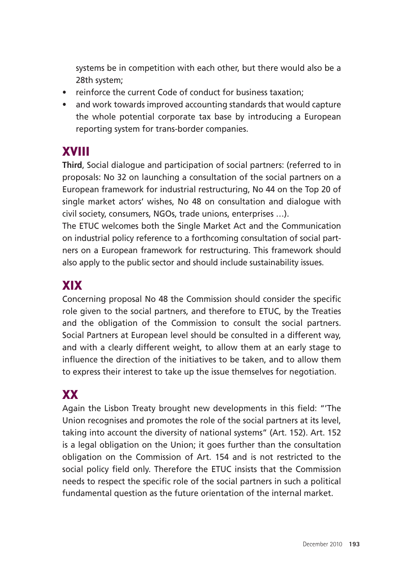systems be in competition with each other, but there would also be a 28th system;

- reinforce the current Code of conduct for business taxation;
- and work towards improved accounting standards that would capture the whole potential corporate tax base by introducing a European reporting system for trans-border companies.

## XVIII

**Third**, Social dialogue and participation of social partners: (referred to in proposals: No 32 on launching a consultation of the social partners on a European framework for industrial restructuring, No 44 on the Top 20 of single market actors' wishes, No 48 on consultation and dialogue with civil society, consumers, NGOs, trade unions, enterprises …).

The ETUC welcomes both the Single Market Act and the Communication on industrial policy reference to a forthcoming consultation of social partners on a European framework for restructuring. This framework should also apply to the public sector and should include sustainability issues.

### XIX

Concerning proposal No 48 the Commission should consider the specific role given to the social partners, and therefore to ETUC, by the Treaties and the obligation of the Commission to consult the social partners. Social Partners at European level should be consulted in a different way, and with a clearly different weight, to allow them at an early stage to influence the direction of the initiatives to be taken, and to allow them to express their interest to take up the issue themselves for negotiation.

# XX

Again the Lisbon Treaty brought new developments in this field: "'The Union recognises and promotes the role of the social partners at its level, taking into account the diversity of national systems" (Art. 152). Art. 152 is a legal obligation on the Union; it goes further than the consultation obligation on the Commission of Art. 154 and is not restricted to the social policy field only. Therefore the ETUC insists that the Commission needs to respect the specific role of the social partners in such a political fundamental question as the future orientation of the internal market.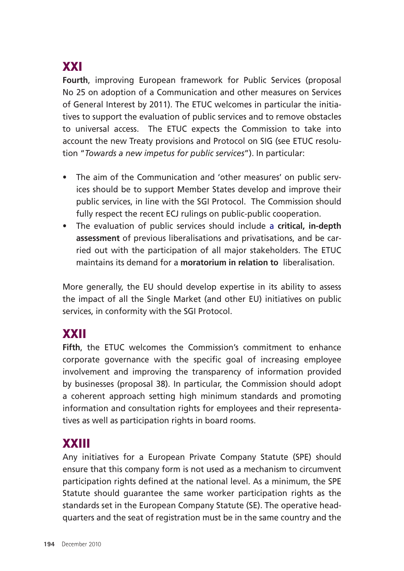# XXI

**Fourth**, improving European framework for Public Services (proposal No 25 on adoption of a Communication and other measures on Services of General Interest by 2011). The ETUC welcomes in particular the initiatives to support the evaluation of public services and to remove obstacles to universal access. The ETUC expects the Commission to take into account the new Treaty provisions and Protocol on SIG (see ETUC resolution "*Towards a new impetus for public services*"). In particular:

- The aim of the Communication and 'other measures' on public services should be to support Member States develop and improve their public services, in line with the SGI Protocol. The Commission should fully respect the recent ECJ rulings on public-public cooperation.
- The evaluation of public services should include a **critical, in-depth assessment** of previous liberalisations and privatisations, and be carried out with the participation of all major stakeholders. The ETUC maintains its demand for a **moratorium in relation to** liberalisation.

More generally, the EU should develop expertise in its ability to assess the impact of all the Single Market (and other EU) initiatives on public services, in conformity with the SGI Protocol.

### XXII

**Fifth**, the ETUC welcomes the Commission's commitment to enhance corporate governance with the specific goal of increasing employee involvement and improving the transparency of information provided by businesses (proposal 38). In particular, the Commission should adopt a coherent approach setting high minimum standards and promoting information and consultation rights for employees and their representatives as well as participation rights in board rooms.

# XXIII

Any initiatives for a European Private Company Statute (SPE) should ensure that this company form is not used as a mechanism to circumvent participation rights defined at the national level. As a minimum, the SPE Statute should guarantee the same worker participation rights as the standards set in the European Company Statute (SE). The operative headquarters and the seat of registration must be in the same country and the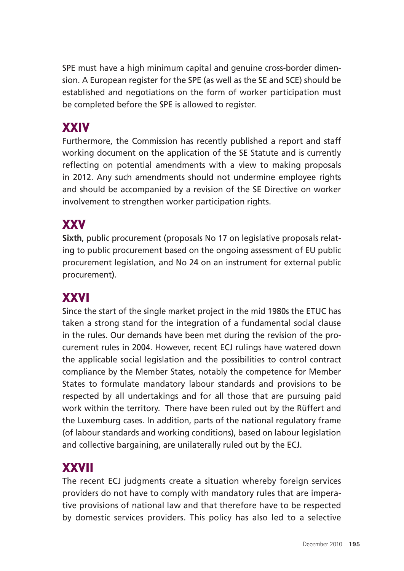SPE must have a high minimum capital and genuine cross-border dimension. A European register for the SPE (as well as the SE and SCE) should be established and negotiations on the form of worker participation must be completed before the SPE is allowed to register.

# **XXIV**

Furthermore, the Commission has recently published a report and staff working document on the application of the SE Statute and is currently reflecting on potential amendments with a view to making proposals in 2012. Any such amendments should not undermine employee rights and should be accompanied by a revision of the SE Directive on worker involvement to strengthen worker participation rights.

# **XXV**

**Sixth**, public procurement (proposals No 17 on legislative proposals relating to public procurement based on the ongoing assessment of EU public procurement legislation, and No 24 on an instrument for external public procurement).

# XXVI

Since the start of the single market project in the mid 1980s the ETUC has taken a strong stand for the integration of a fundamental social clause in the rules. Our demands have been met during the revision of the procurement rules in 2004. However, recent ECJ rulings have watered down the applicable social legislation and the possibilities to control contract compliance by the Member States, notably the competence for Member States to formulate mandatory labour standards and provisions to be respected by all undertakings and for all those that are pursuing paid work within the territory. There have been ruled out by the Rüffert and the Luxemburg cases. In addition, parts of the national regulatory frame (of labour standards and working conditions), based on labour legislation and collective bargaining, are unilaterally ruled out by the ECJ.

# XXVII

The recent ECJ judgments create a situation whereby foreign services providers do not have to comply with mandatory rules that are imperative provisions of national law and that therefore have to be respected by domestic services providers. This policy has also led to a selective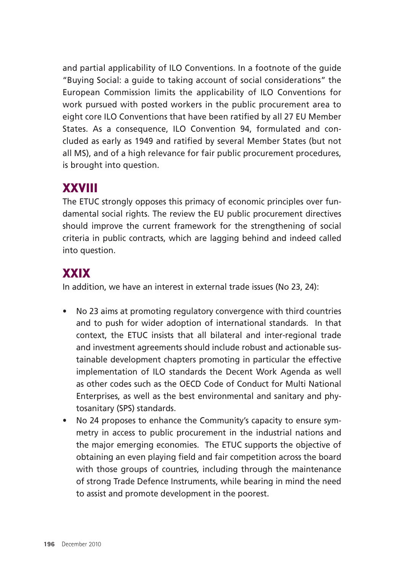and partial applicability of ILO Conventions. In a footnote of the guide "Buying Social: a guide to taking account of social considerations" the European Commission limits the applicability of ILO Conventions for work pursued with posted workers in the public procurement area to eight core ILO Conventions that have been ratified by all 27 EU Member States. As a consequence, ILO Convention 94, formulated and concluded as early as 1949 and ratified by several Member States (but not all MS), and of a high relevance for fair public procurement procedures, is brought into question.

### XXVIII

The ETUC strongly opposes this primacy of economic principles over fundamental social rights. The review the EU public procurement directives should improve the current framework for the strengthening of social criteria in public contracts, which are lagging behind and indeed called into question.

# **XXIX**

In addition, we have an interest in external trade issues (No 23, 24):

- No 23 aims at promoting regulatory convergence with third countries and to push for wider adoption of international standards. In that context, the ETUC insists that all bilateral and inter-regional trade and investment agreements should include robust and actionable sustainable development chapters promoting in particular the effective implementation of ILO standards the Decent Work Agenda as well as other codes such as the OECD Code of Conduct for Multi National Enterprises, as well as the best environmental and sanitary and phytosanitary (SPS) standards.
- No 24 proposes to enhance the Community's capacity to ensure symmetry in access to public procurement in the industrial nations and the major emerging economies. The ETUC supports the objective of obtaining an even playing field and fair competition across the board with those groups of countries, including through the maintenance of strong Trade Defence Instruments, while bearing in mind the need to assist and promote development in the poorest.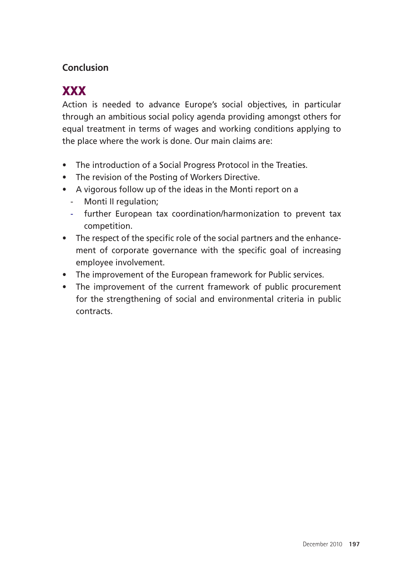#### **Conclusion**

# **XXX**

Action is needed to advance Europe's social objectives, in particular through an ambitious social policy agenda providing amongst others for equal treatment in terms of wages and working conditions applying to the place where the work is done. Our main claims are:

- The introduction of a Social Progress Protocol in the Treaties.
- The revision of the Posting of Workers Directive.
- A vigorous follow up of the ideas in the Monti report on a
	- Monti II regulation;
	- further European tax coordination/harmonization to prevent tax competition.
- The respect of the specific role of the social partners and the enhancement of corporate governance with the specific goal of increasing employee involvement.
- The improvement of the European framework for Public services.
- The improvement of the current framework of public procurement for the strengthening of social and environmental criteria in public contracts.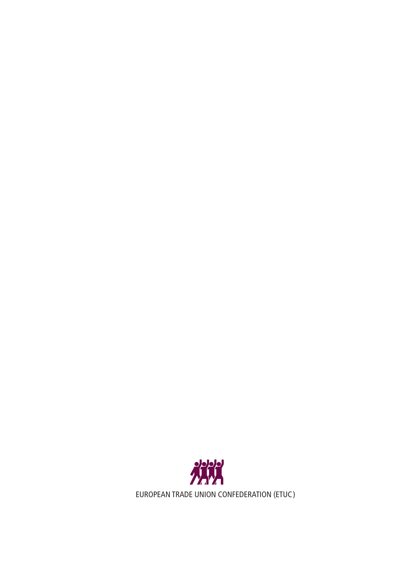